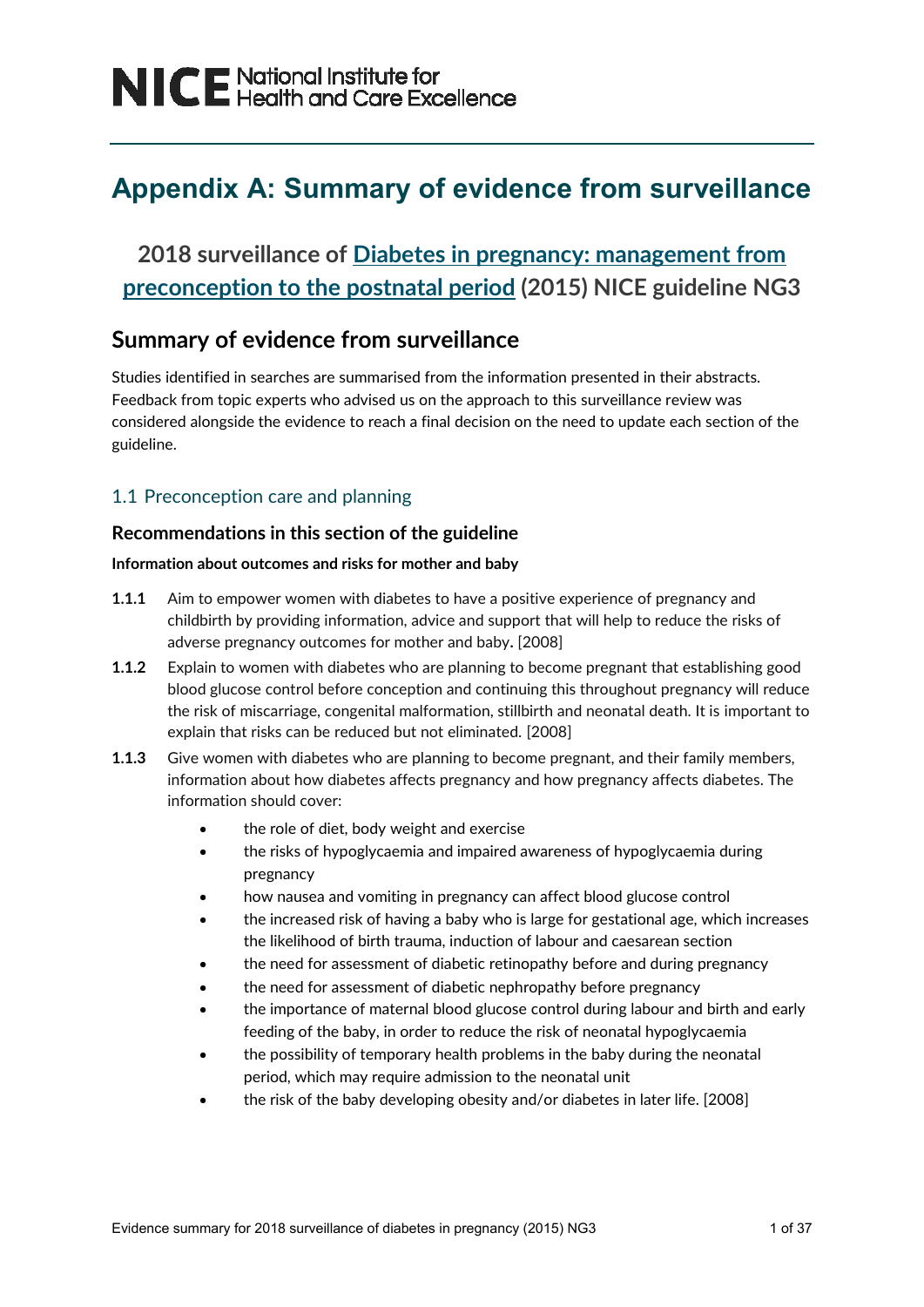# **Appendix A: Summary of evidence from surveillance**

# **2018 surveillance of [Diabetes in pregnancy: management from](https://www.nice.org.uk/guidance/ng3)  [preconception to the](https://www.nice.org.uk/guidance/ng3) postnatal period (2015) NICE guideline NG3**

## **Summary of evidence from surveillance**

Studies identified in searches are summarised from the information presented in their abstracts. Feedback from topic experts who advised us on the approach to this surveillance review was considered alongside the evidence to reach a final decision on the need to update each section of the guideline.

## 1.1 Preconception care and planning

## **Recommendations in this section of the guideline**

#### **Information about outcomes and risks for mother and baby**

- **1.1.1** Aim to empower women with diabetes to have a positive experience of pregnancy and childbirth by providing information, advice and support that will help to reduce the risks of adverse pregnancy outcomes for mother and baby**.** [2008]
- **1.1.2** Explain to women with diabetes who are planning to become pregnant that establishing good blood glucose control before conception and continuing this throughout pregnancy will reduce the risk of miscarriage, congenital malformation, stillbirth and neonatal death. It is important to explain that risks can be reduced but not eliminated. [2008]
- **1.1.3** Give women with diabetes who are planning to become pregnant, and their family members, information about how diabetes affects pregnancy and how pregnancy affects diabetes. The information should cover:
	- the role of diet, body weight and exercise
	- the risks of hypoglycaemia and impaired awareness of hypoglycaemia during pregnancy
	- how nausea and vomiting in pregnancy can affect blood glucose control
	- the increased risk of having a baby who is large for gestational age, which increases the likelihood of birth trauma, induction of labour and caesarean section
	- the need for assessment of diabetic retinopathy before and during pregnancy
	- the need for assessment of diabetic nephropathy before pregnancy
	- the importance of maternal blood glucose control during labour and birth and early feeding of the baby, in order to reduce the risk of neonatal hypoglycaemia
	- the possibility of temporary health problems in the baby during the neonatal period, which may require admission to the neonatal unit
	- the risk of the baby developing obesity and/or diabetes in later life. [2008]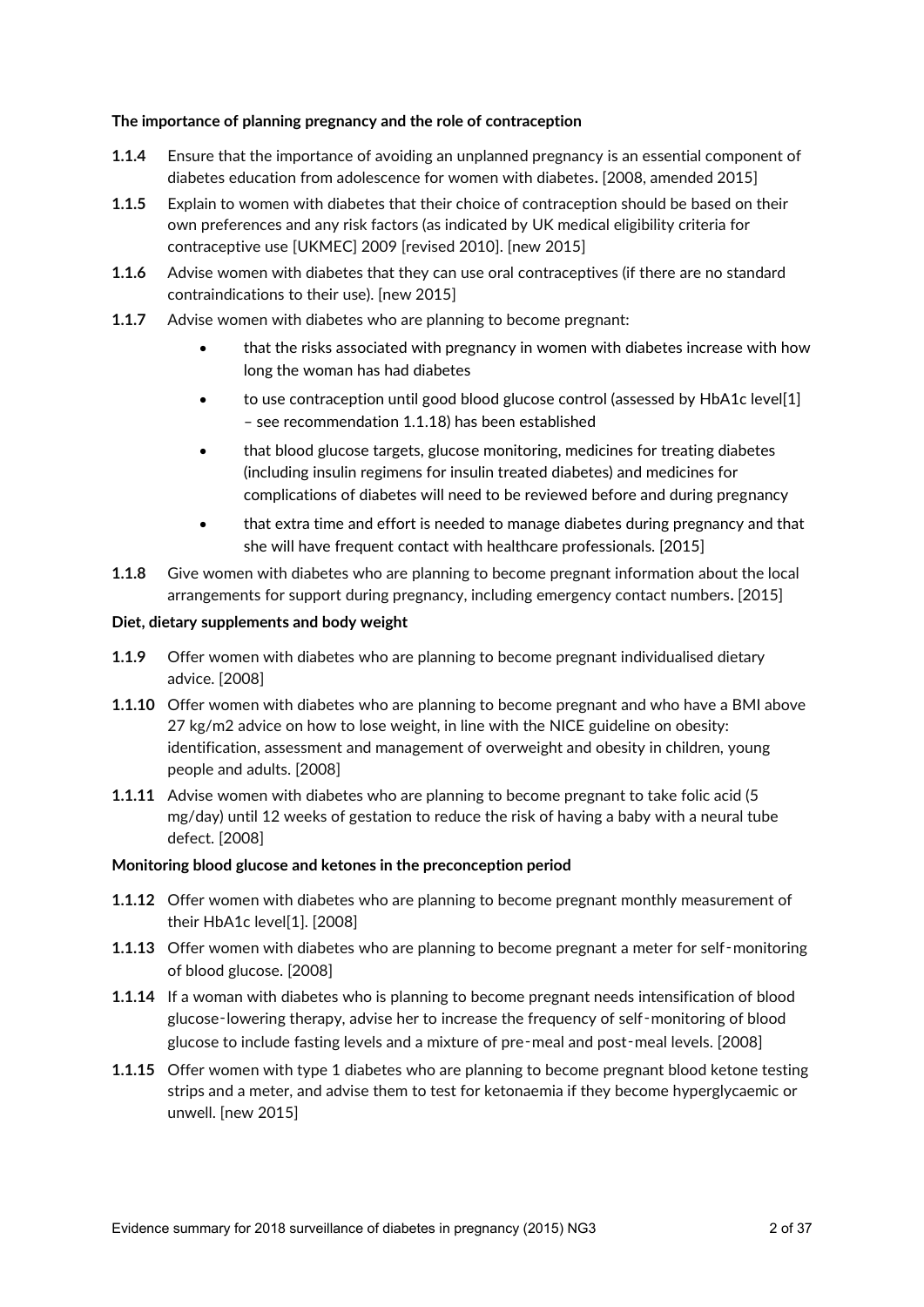#### **The importance of planning pregnancy and the role of contraception**

- **1.1.4** Ensure that the importance of avoiding an unplanned pregnancy is an essential component of diabetes education from adolescence for women with diabetes**.** [2008, amended 2015]
- **1.1.5** Explain to women with diabetes that their choice of contraception should be based on their own preferences and any risk factors (as indicated by UK medical eligibility criteria for contraceptive use [UKMEC] 2009 [revised 2010]. [new 2015]
- **1.1.6** Advise women with diabetes that they can use oral contraceptives (if there are no standard contraindications to their use). [new 2015]
- **1.1.7** Advise women with diabetes who are planning to become pregnant:
	- that the risks associated with pregnancy in women with diabetes increase with how long the woman has had diabetes
	- to use contraception until good blood glucose control (assessed by HbA1c level[1] – see recommendation 1.1.18) has been established
	- that blood glucose targets, glucose monitoring, medicines for treating diabetes (including insulin regimens for insulin treated diabetes) and medicines for complications of diabetes will need to be reviewed before and during pregnancy
	- that extra time and effort is needed to manage diabetes during pregnancy and that she will have frequent contact with healthcare professionals. [2015]
- **1.1.8** Give women with diabetes who are planning to become pregnant information about the local arrangements for support during pregnancy, including emergency contact numbers**.** [2015]

#### **Diet, dietary supplements and body weight**

- **1.1.9** Offer women with diabetes who are planning to become pregnant individualised dietary advice. [2008]
- **1.1.10** Offer women with diabetes who are planning to become pregnant and who have a BMI above 27 kg/m2 advice on how to lose weight, in line with the NICE guideline on obesity: identification, assessment and management of overweight and obesity in children, young people and adults. [2008]
- **1.1.11** Advise women with diabetes who are planning to become pregnant to take folic acid (5 mg/day) until 12 weeks of gestation to reduce the risk of having a baby with a neural tube defect. [2008]

#### **Monitoring blood glucose and ketones in the preconception period**

- **1.1.12** Offer women with diabetes who are planning to become pregnant monthly measurement of their HbA1c level[1]. [2008]
- **1.1.13** Offer women with diabetes who are planning to become pregnant a meter for self-monitoring of blood glucose. [2008]
- **1.1.14** If a woman with diabetes who is planning to become pregnant needs intensification of blood glucose-lowering therapy, advise her to increase the frequency of self-monitoring of blood glucose to include fasting levels and a mixture of pre‑meal and post‑meal levels. [2008]
- **1.1.15** Offer women with type 1 diabetes who are planning to become pregnant blood ketone testing strips and a meter, and advise them to test for ketonaemia if they become hyperglycaemic or unwell. [new 2015]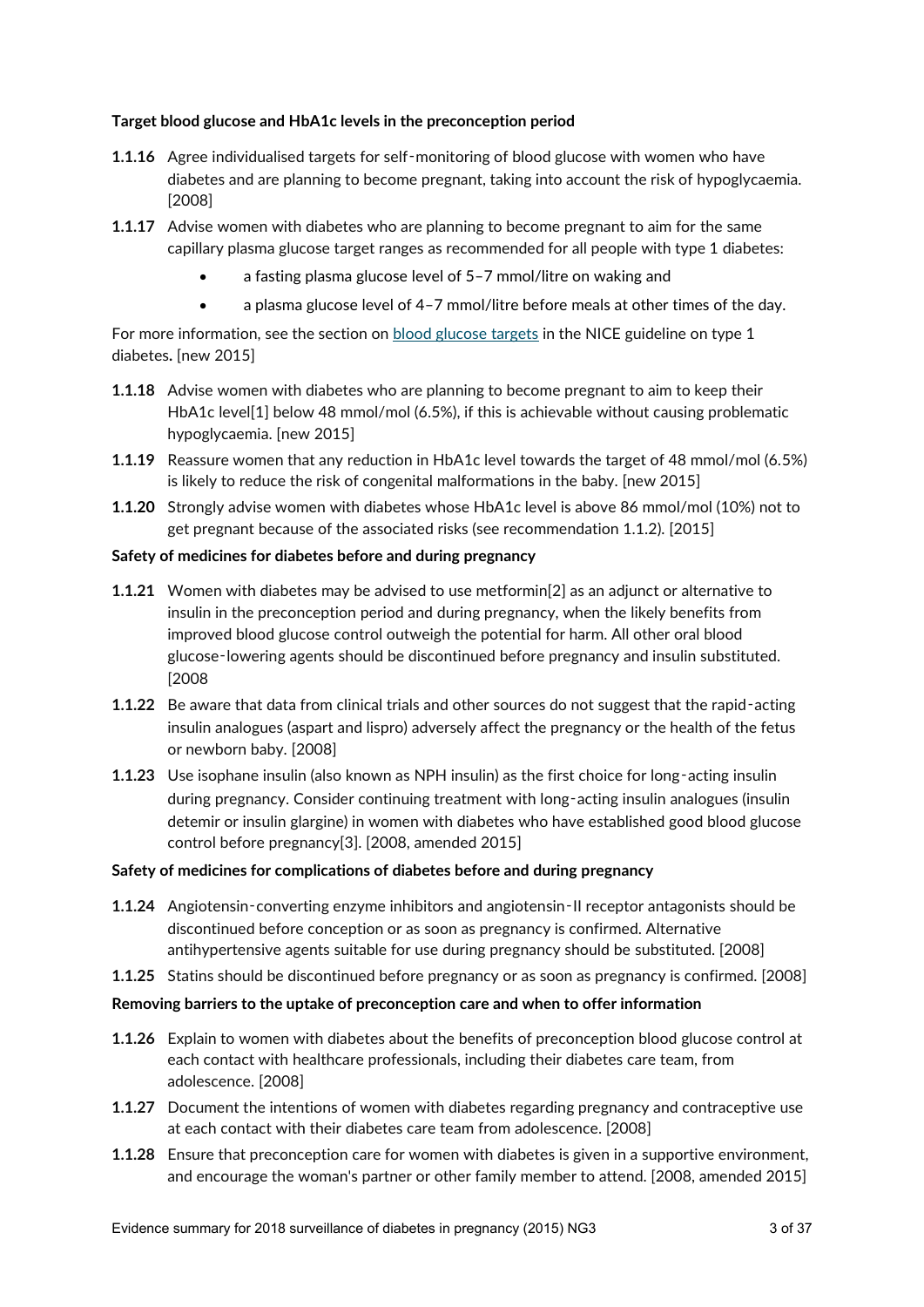#### **Target blood glucose and HbA1c levels in the preconception period**

- **1.1.16** Agree individualised targets for self-monitoring of blood glucose with women who have diabetes and are planning to become pregnant, taking into account the risk of hypoglycaemia. [2008]
- **1.1.17** Advise women with diabetes who are planning to become pregnant to aim for the same capillary plasma glucose target ranges as recommended for all people with type 1 diabetes:
	- a fasting plasma glucose level of 5–7 mmol/litre on waking and
	- a plasma glucose level of 4–7 mmol/litre before meals at other times of the day.

For more information, see the section on [blood glucose targets](http://www.nice.org.uk/guidance/ng17/chapter/1-Recommendations#blood-glucose-management-2) in the NICE guideline on type 1 diabetes**.** [new 2015]

- **1.1.18** Advise women with diabetes who are planning to become pregnant to aim to keep their HbA1c level[1] below 48 mmol/mol (6.5%), if this is achievable without causing problematic hypoglycaemia. [new 2015]
- **1.1.19** Reassure women that any reduction in HbA1c level towards the target of 48 mmol/mol (6.5%) is likely to reduce the risk of congenital malformations in the baby. [new 2015]
- **1.1.20** Strongly advise women with diabetes whose HbA1c level is above 86 mmol/mol (10%) not to get pregnant because of the associated risks (see recommendation 1.1.2). [2015]

#### **Safety of medicines for diabetes before and during pregnancy**

- **1.1.21** Women with diabetes may be advised to use metformin[2] as an adjunct or alternative to insulin in the preconception period and during pregnancy, when the likely benefits from improved blood glucose control outweigh the potential for harm. All other oral blood glucose‑lowering agents should be discontinued before pregnancy and insulin substituted. [2008
- **1.1.22** Be aware that data from clinical trials and other sources do not suggest that the rapid-acting insulin analogues (aspart and lispro) adversely affect the pregnancy or the health of the fetus or newborn baby. [2008]
- **1.1.23** Use isophane insulin (also known as NPH insulin) as the first choice for long-acting insulin during pregnancy. Consider continuing treatment with long-acting insulin analogues (insulin detemir or insulin glargine) in women with diabetes who have established good blood glucose control before pregnancy[3]. [2008, amended 2015]

#### **Safety of medicines for complications of diabetes before and during pregnancy**

- **1.1.24** Angiotensin-converting enzyme inhibitors and angiotensin-II receptor antagonists should be discontinued before conception or as soon as pregnancy is confirmed. Alternative antihypertensive agents suitable for use during pregnancy should be substituted. [2008]
- **1.1.25** Statins should be discontinued before pregnancy or as soon as pregnancy is confirmed. [2008]

#### **Removing barriers to the uptake of preconception care and when to offer information**

- **1.1.26** Explain to women with diabetes about the benefits of preconception blood glucose control at each contact with healthcare professionals, including their diabetes care team, from adolescence. [2008]
- **1.1.27** Document the intentions of women with diabetes regarding pregnancy and contraceptive use at each contact with their diabetes care team from adolescence. [2008]
- **1.1.28** Ensure that preconception care for women with diabetes is given in a supportive environment, and encourage the woman's partner or other family member to attend. [2008, amended 2015]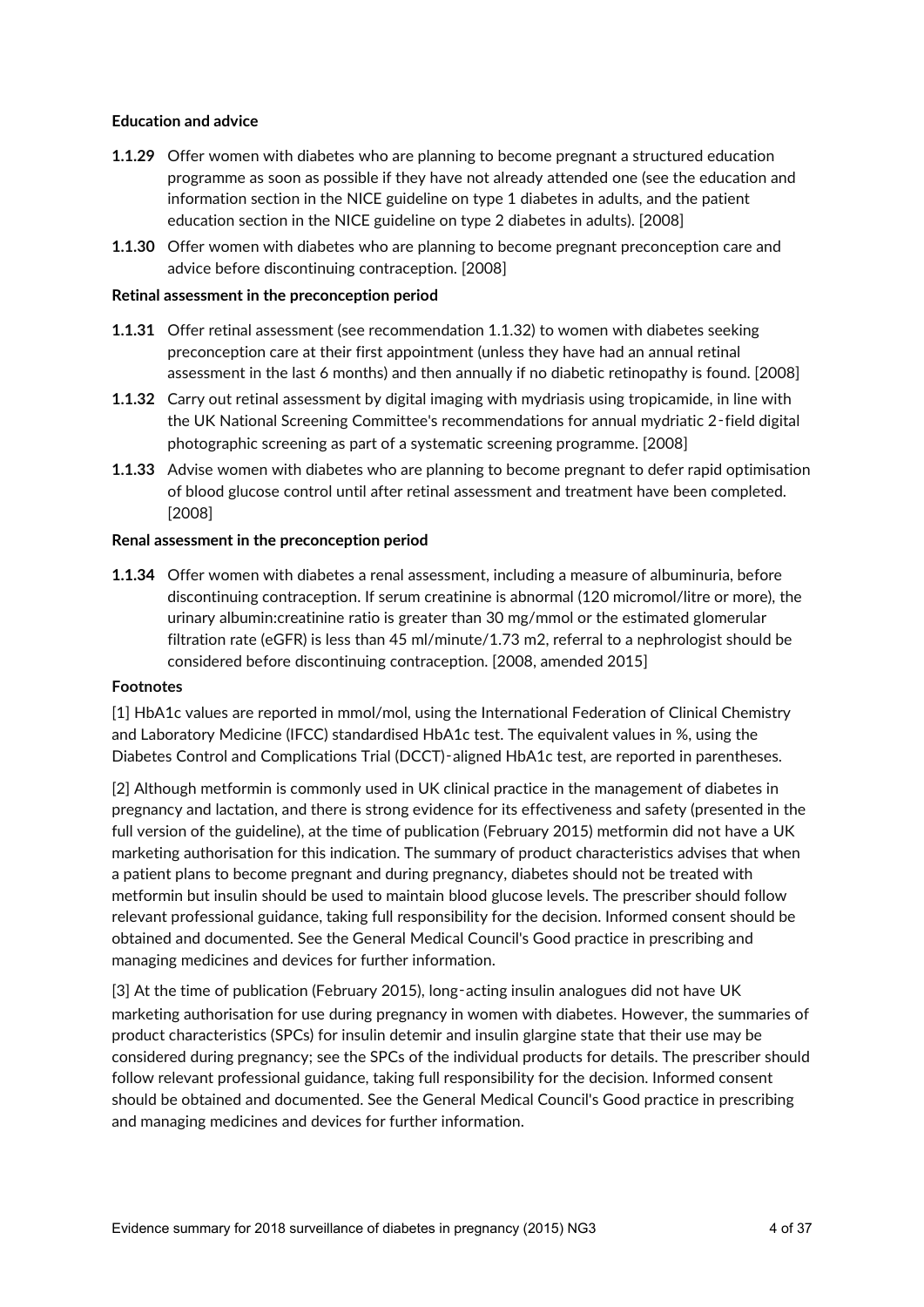#### **Education and advice**

- **1.1.29** Offer women with diabetes who are planning to become pregnant a structured education programme as soon as possible if they have not already attended one (see the education and information section in the NICE guideline on type 1 diabetes in adults, and the patient education section in the NICE guideline on type 2 diabetes in adults). [2008]
- **1.1.30** Offer women with diabetes who are planning to become pregnant preconception care and advice before discontinuing contraception. [2008]

#### **Retinal assessment in the preconception period**

- **1.1.31** Offer retinal assessment (see recommendation 1.1.32) to women with diabetes seeking preconception care at their first appointment (unless they have had an annual retinal assessment in the last 6 months) and then annually if no diabetic retinopathy is found. [2008]
- **1.1.32** Carry out retinal assessment by digital imaging with mydriasis using tropicamide, in line with the UK National Screening Committee's recommendations for annual mydriatic 2‑field digital photographic screening as part of a systematic screening programme. [2008]
- **1.1.33** Advise women with diabetes who are planning to become pregnant to defer rapid optimisation of blood glucose control until after retinal assessment and treatment have been completed. [2008]

#### **Renal assessment in the preconception period**

**1.1.34** Offer women with diabetes a renal assessment, including a measure of albuminuria, before discontinuing contraception. If serum creatinine is abnormal (120 micromol/litre or more), the urinary albumin:creatinine ratio is greater than 30 mg/mmol or the estimated glomerular filtration rate (eGFR) is less than 45 ml/minute/1.73 m2, referral to a nephrologist should be considered before discontinuing contraception. [2008, amended 2015]

#### **Footnotes**

[1] HbA1c values are reported in mmol/mol, using the International Federation of Clinical Chemistry and Laboratory Medicine (IFCC) standardised HbA1c test. The equivalent values in %, using the Diabetes Control and Complications Trial (DCCT)‑aligned HbA1c test, are reported in parentheses.

[2] Although metformin is commonly used in UK clinical practice in the management of diabetes in pregnancy and lactation, and there is strong evidence for its effectiveness and safety (presented in the full version of the guideline), at the time of publication (February 2015) metformin did not have a UK marketing authorisation for this indication. The summary of product characteristics advises that when a patient plans to become pregnant and during pregnancy, diabetes should not be treated with metformin but insulin should be used to maintain blood glucose levels. The prescriber should follow relevant professional guidance, taking full responsibility for the decision. Informed consent should be obtained and documented. See the General Medical Council's Good practice in prescribing and managing medicines and devices for further information.

[3] At the time of publication (February 2015), long-acting insulin analogues did not have UK marketing authorisation for use during pregnancy in women with diabetes. However, the summaries of product characteristics (SPCs) for insulin detemir and insulin glargine state that their use may be considered during pregnancy; see the SPCs of the individual products for details. The prescriber should follow relevant professional guidance, taking full responsibility for the decision. Informed consent should be obtained and documented. See the General Medical Council's Good practice in prescribing and managing medicines and devices for further information.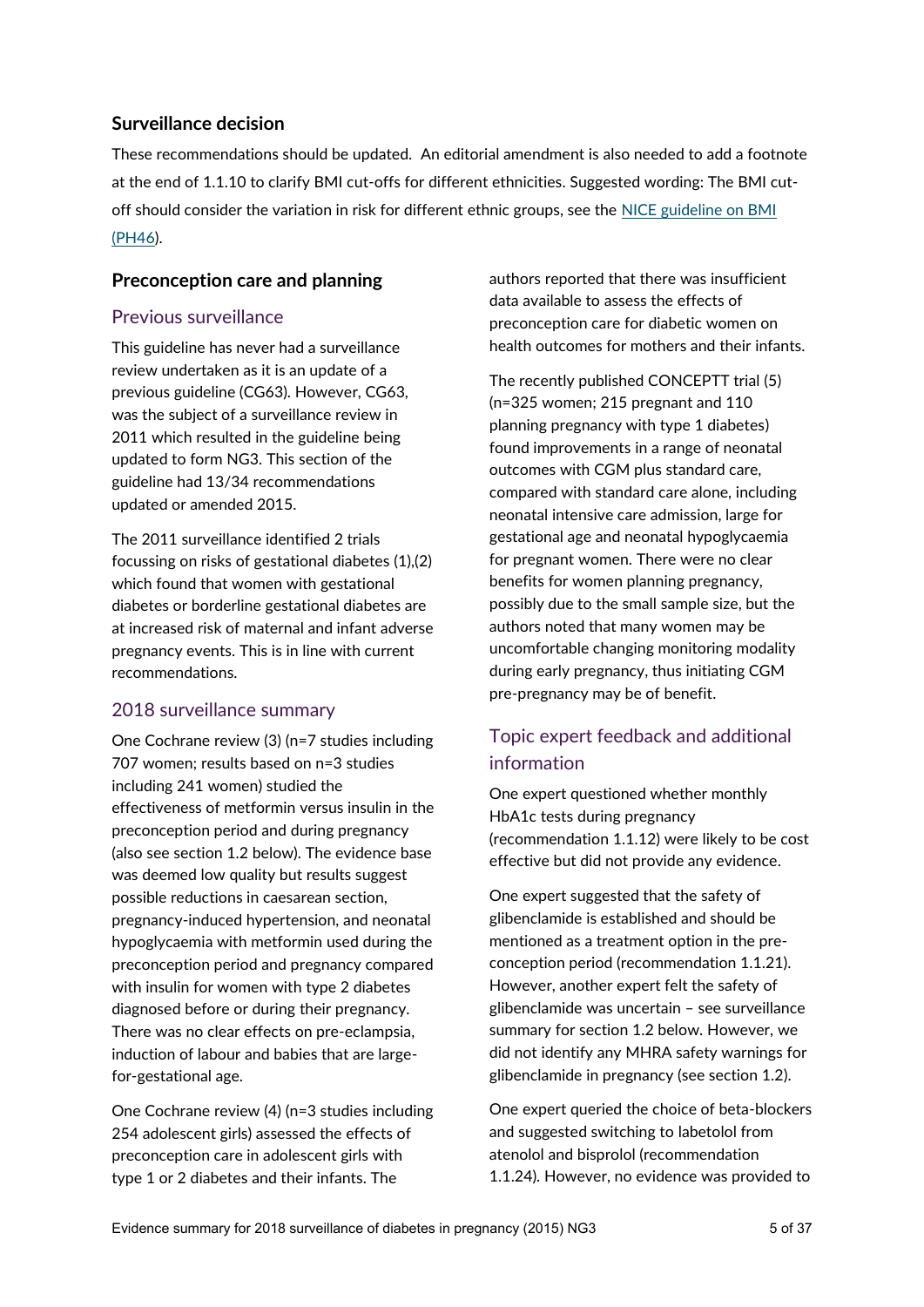## **Surveillance decision**

These recommendations should be updated. An editorial amendment is also needed to add a footnote at the end of 1.1.10 to clarify BMI cut-offs for different ethnicities. Suggested wording: The BMI cutoff should consider the variation in risk for different ethnic groups, see the NICE guideline on BMI [\(PH46\)](https://www.nice.org.uk/guidance/ph46/chapter/1-Recommendations).

## **Preconception care and planning**

## Previous surveillance

This guideline has never had a surveillance review undertaken as it is an update of a previous guideline (CG63). However, CG63, was the subject of a surveillance review in 2011 which resulted in the guideline being updated to form NG3. This section of the guideline had 13/34 recommendations updated or amended 2015.

The 2011 surveillance identified 2 trials focussing on risks of gestational diabetes (1),(2) which found that women with gestational diabetes or borderline gestational diabetes are at increased risk of maternal and infant adverse pregnancy events. This is in line with current recommendations.

## 2018 surveillance summary

One Cochrane review (3) (n=7 studies including 707 women; results based on n=3 studies including 241 women) studied the effectiveness of metformin versus insulin in the preconception period and during pregnancy (also see section 1.2 below). The evidence base was deemed low quality but results suggest possible reductions in caesarean section, pregnancy-induced hypertension, and neonatal hypoglycaemia with metformin used during the preconception period and pregnancy compared with insulin for women with type 2 diabetes diagnosed before or during their pregnancy. There was no clear effects on pre-eclampsia, induction of labour and babies that are largefor-gestational age.

One Cochrane review (4) (n=3 studies including 254 adolescent girls) assessed the effects of preconception care in adolescent girls with type 1 or 2 diabetes and their infants. The

authors reported that there was insufficient data available to assess the effects of preconception care for diabetic women on health outcomes for mothers and their infants.

The recently published CONCEPTT trial (5) (n=325 women; 215 pregnant and 110 planning pregnancy with type 1 diabetes) found improvements in a range of neonatal outcomes with CGM plus standard care, compared with standard care alone, including neonatal intensive care admission, large for gestational age and neonatal hypoglycaemia for pregnant women. There were no clear benefits for women planning pregnancy, possibly due to the small sample size, but the authors noted that many women may be uncomfortable changing monitoring modality during early pregnancy, thus initiating CGM pre-pregnancy may be of benefit.

## Topic expert feedback and additional information

One expert questioned whether monthly HbA1c tests during pregnancy (recommendation 1.1.12) were likely to be cost effective but did not provide any evidence.

One expert suggested that the safety of glibenclamide is established and should be mentioned as a treatment option in the preconception period (recommendation 1.1.21). However, another expert felt the safety of glibenclamide was uncertain – see surveillance summary for section 1.2 below. However, we did not identify any MHRA safety warnings for glibenclamide in pregnancy (see section 1.2).

One expert queried the choice of beta-blockers and suggested switching to labetolol from atenolol and bisprolol (recommendation 1.1.24). However, no evidence was provided to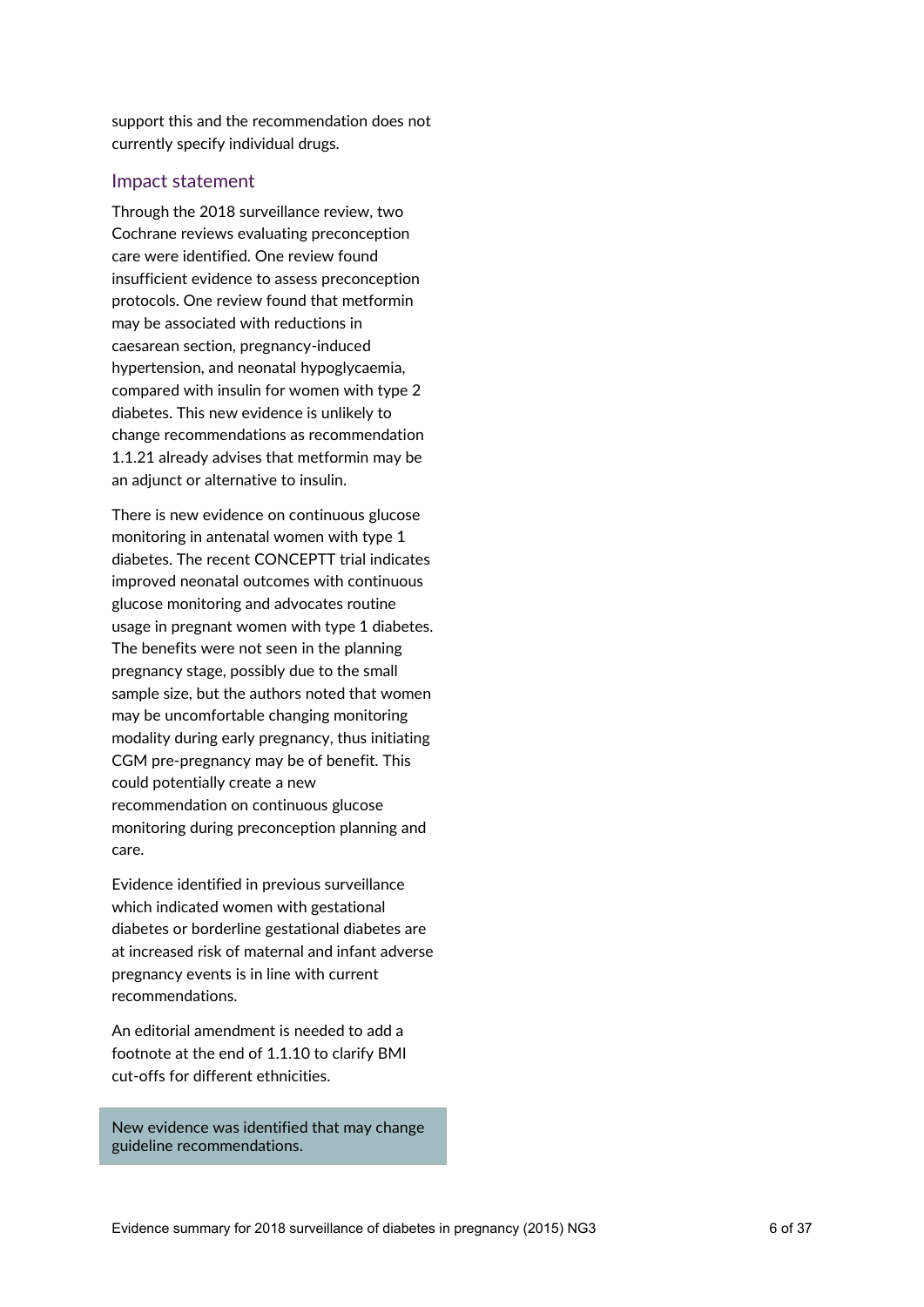support this and the recommendation does not currently specify individual drugs.

#### Impact statement

Through the 2018 surveillance review, two Cochrane reviews evaluating preconception care were identified. One review found insufficient evidence to assess preconception protocols. One review found that metformin may be associated with reductions in caesarean section, pregnancy-induced hypertension, and neonatal hypoglycaemia, compared with insulin for women with type 2 diabetes. This new evidence is unlikely to change recommendations as recommendation 1.1.21 already advises that metformin may be an adjunct or alternative to insulin.

There is new evidence on continuous glucose monitoring in antenatal women with type 1 diabetes. The recent CONCEPTT trial indicates improved neonatal outcomes with continuous glucose monitoring and advocates routine usage in pregnant women with type 1 diabetes. The benefits were not seen in the planning pregnancy stage, possibly due to the small sample size, but the authors noted that women may be uncomfortable changing monitoring modality during early pregnancy, thus initiating CGM pre-pregnancy may be of benefit. This could potentially create a new recommendation on continuous glucose monitoring during preconception planning and care.

Evidence identified in previous surveillance which indicated women with gestational diabetes or borderline gestational diabetes are at increased risk of maternal and infant adverse pregnancy events is in line with current recommendations.

An editorial amendment is needed to add a footnote at the end of 1.1.10 to clarify BMI cut-offs for different ethnicities.

New evidence was identified that may change guideline recommendations.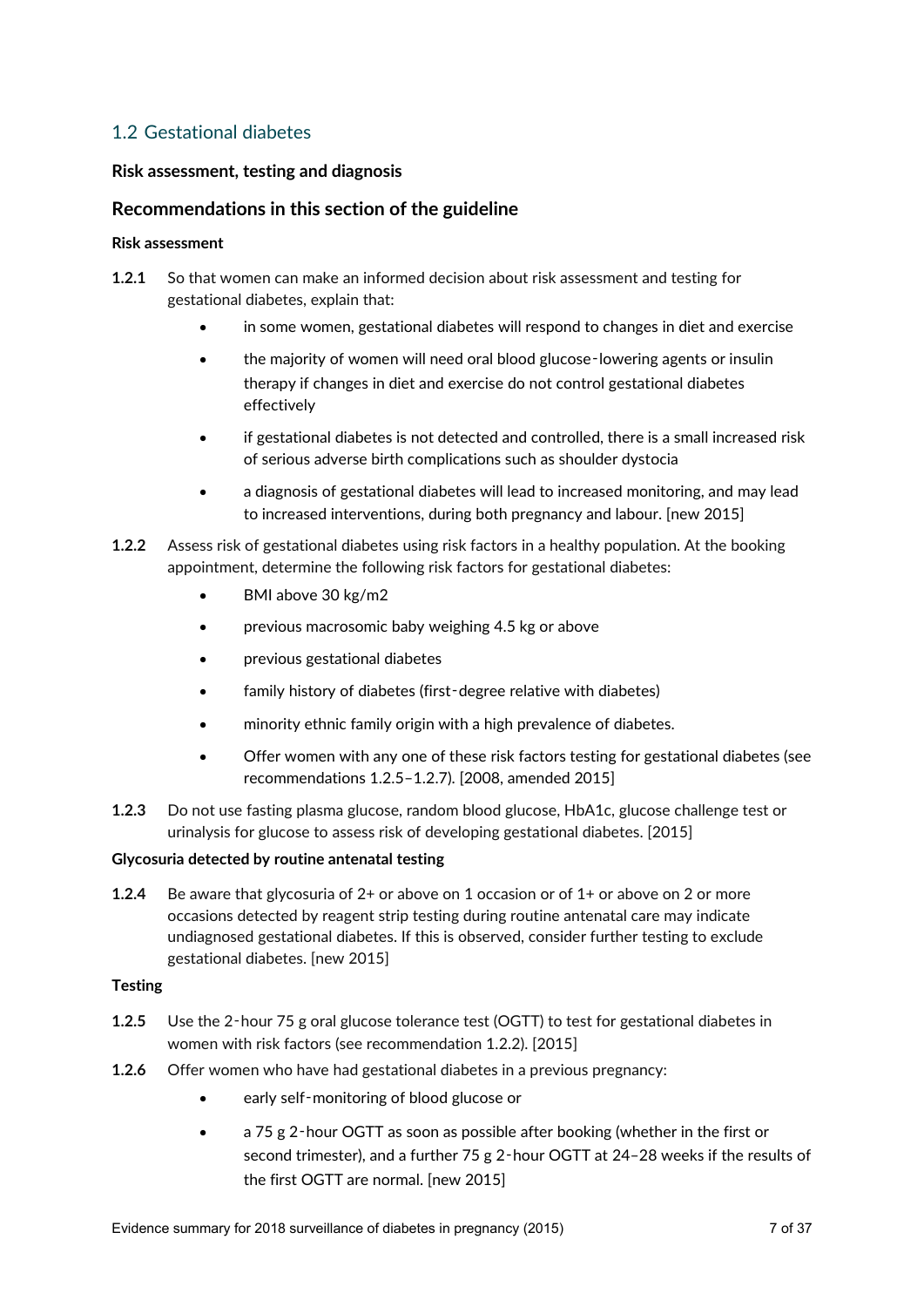## 1.2 Gestational diabetes

#### **Risk assessment, testing and diagnosis**

## **Recommendations in this section of the guideline**

#### **Risk assessment**

- **1.2.1** So that women can make an informed decision about risk assessment and testing for gestational diabetes, explain that:
	- in some women, gestational diabetes will respond to changes in diet and exercise
	- the majority of women will need oral blood glucose-lowering agents or insulin therapy if changes in diet and exercise do not control gestational diabetes effectively
	- if gestational diabetes is not detected and controlled, there is a small increased risk of serious adverse birth complications such as shoulder dystocia
	- a diagnosis of gestational diabetes will lead to increased monitoring, and may lead to increased interventions, during both pregnancy and labour. [new 2015]
- **1.2.2** Assess risk of gestational diabetes using risk factors in a healthy population. At the booking appointment, determine the following risk factors for gestational diabetes:
	- BMI above 30 kg/m2
	- **•** previous macrosomic baby weighing 4.5 kg or above
	- previous gestational diabetes
	- family history of diabetes (first-degree relative with diabetes)
	- minority ethnic family origin with a high prevalence of diabetes.
	- Offer women with any one of these risk factors testing for gestational diabetes (see recommendations 1.2.5–1.2.7). [2008, amended 2015]
- **1.2.3** Do not use fasting plasma glucose, random blood glucose, HbA1c, glucose challenge test or urinalysis for glucose to assess risk of developing gestational diabetes. [2015]

#### **Glycosuria detected by routine antenatal testing**

**1.2.4** Be aware that glycosuria of 2+ or above on 1 occasion or of 1+ or above on 2 or more occasions detected by reagent strip testing during routine antenatal care may indicate undiagnosed gestational diabetes. If this is observed, consider further testing to exclude gestational diabetes. [new 2015]

#### **Testing**

- **1.2.5** Use the 2‑hour 75 g oral glucose tolerance test (OGTT) to test for gestational diabetes in women with risk factors (see recommendation 1.2.2). [2015]
- **1.2.6** Offer women who have had gestational diabetes in a previous pregnancy:
	- early self‑monitoring of blood glucose or
	- a 75 g 2‑hour OGTT as soon as possible after booking (whether in the first or second trimester), and a further 75 g 2-hour OGTT at 24-28 weeks if the results of the first OGTT are normal. [new 2015]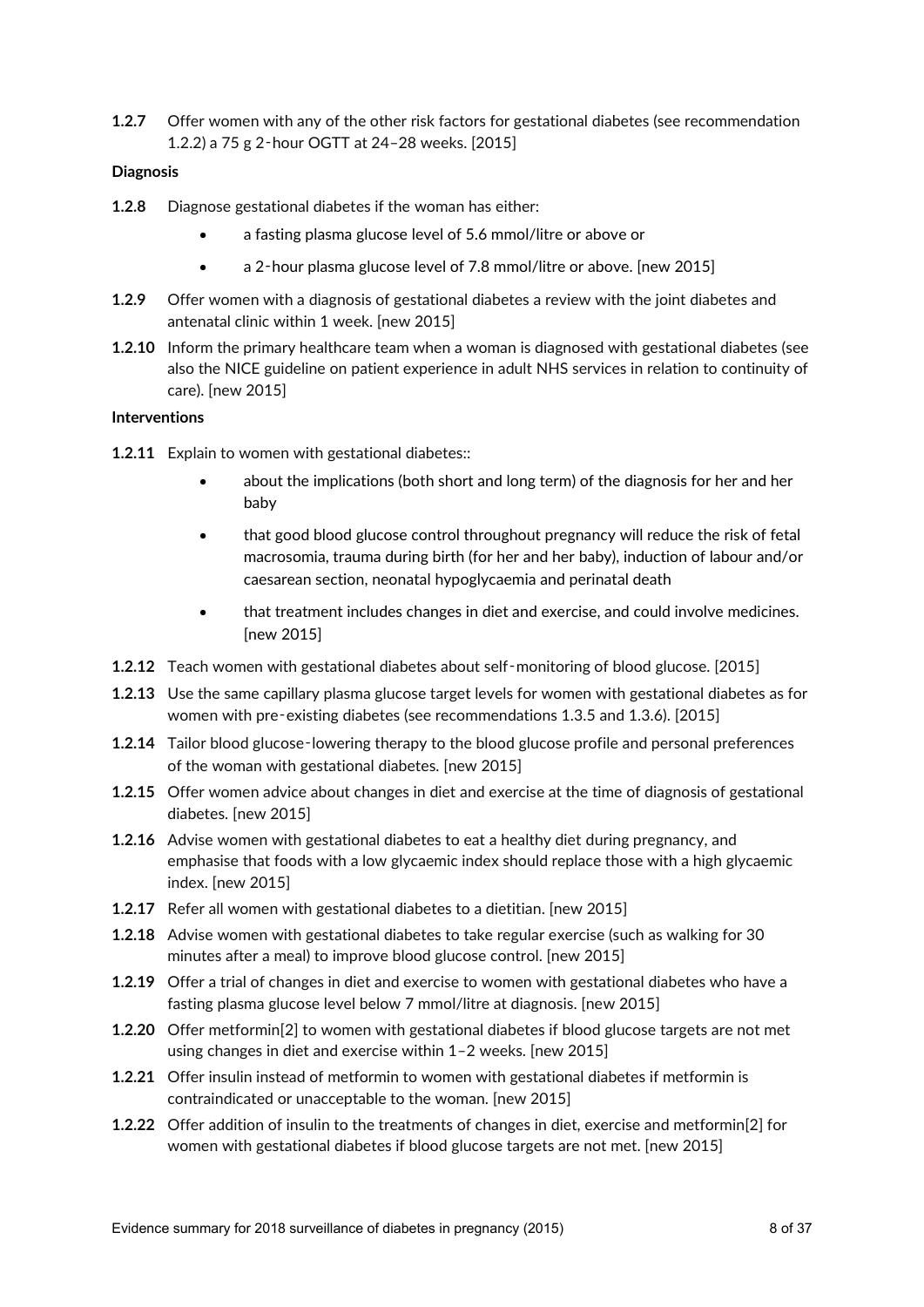**1.2.7** Offer women with any of the other risk factors for gestational diabetes (see recommendation 1.2.2) a 75 g 2‑hour OGTT at 24–28 weeks. [2015]

#### **Diagnosis**

- **1.2.8** Diagnose gestational diabetes if the woman has either:
	- a fasting plasma glucose level of 5.6 mmol/litre or above or
	- a 2‑hour plasma glucose level of 7.8 mmol/litre or above. [new 2015]
- **1.2.9** Offer women with a diagnosis of gestational diabetes a review with the joint diabetes and antenatal clinic within 1 week. [new 2015]
- **1.2.10** Inform the primary healthcare team when a woman is diagnosed with gestational diabetes (see also the NICE guideline on patient experience in adult NHS services in relation to continuity of care). [new 2015]

#### **Interventions**

- **1.2.11** Explain to women with gestational diabetes::
	- about the implications (both short and long term) of the diagnosis for her and her baby
	- that good blood glucose control throughout pregnancy will reduce the risk of fetal macrosomia, trauma during birth (for her and her baby), induction of labour and/or caesarean section, neonatal hypoglycaemia and perinatal death
	- that treatment includes changes in diet and exercise, and could involve medicines. [new 2015]
- **1.2.12** Teach women with gestational diabetes about self‑monitoring of blood glucose. [2015]
- **1.2.13** Use the same capillary plasma glucose target levels for women with gestational diabetes as for women with pre‑existing diabetes (see recommendations 1.3.5 and 1.3.6). [2015]
- **1.2.14** Tailor blood glucose-lowering therapy to the blood glucose profile and personal preferences of the woman with gestational diabetes. [new 2015]
- **1.2.15** Offer women advice about changes in diet and exercise at the time of diagnosis of gestational diabetes. [new 2015]
- **1.2.16** Advise women with gestational diabetes to eat a healthy diet during pregnancy, and emphasise that foods with a low glycaemic index should replace those with a high glycaemic index. [new 2015]
- **1.2.17** Refer all women with gestational diabetes to a dietitian. [new 2015]
- **1.2.18** Advise women with gestational diabetes to take regular exercise (such as walking for 30 minutes after a meal) to improve blood glucose control. [new 2015]
- **1.2.19** Offer a trial of changes in diet and exercise to women with gestational diabetes who have a fasting plasma glucose level below 7 mmol/litre at diagnosis. [new 2015]
- **1.2.20** Offer metformin[2] to women with gestational diabetes if blood glucose targets are not met using changes in diet and exercise within 1–2 weeks. [new 2015]
- **1.2.21** Offer insulin instead of metformin to women with gestational diabetes if metformin is contraindicated or unacceptable to the woman. [new 2015]
- **1.2.22** Offer addition of insulin to the treatments of changes in diet, exercise and metformin[2] for women with gestational diabetes if blood glucose targets are not met. [new 2015]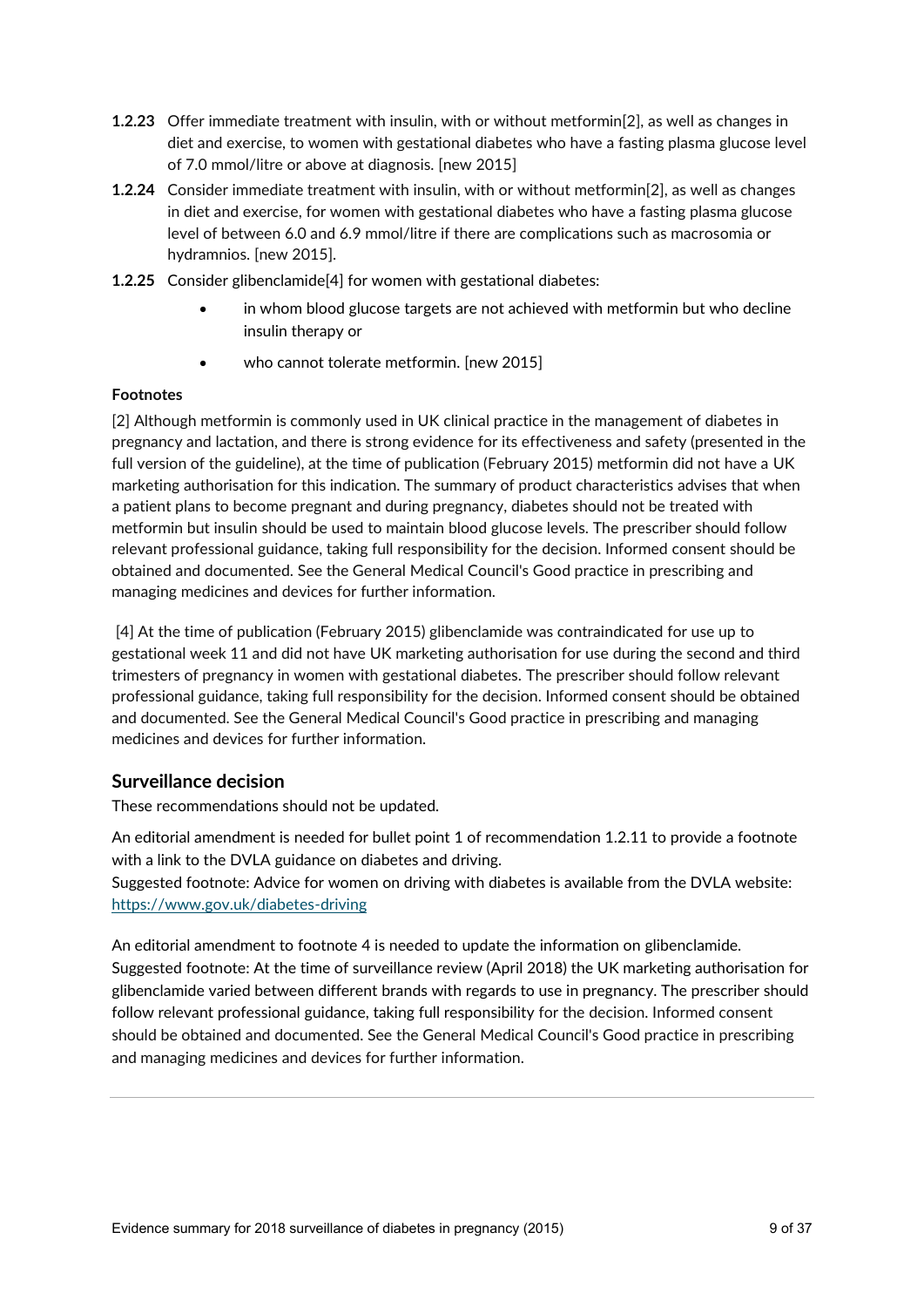- **1.2.23** Offer immediate treatment with insulin, with or without metformin[2], as well as changes in diet and exercise, to women with gestational diabetes who have a fasting plasma glucose level of 7.0 mmol/litre or above at diagnosis. [new 2015]
- **1.2.24** Consider immediate treatment with insulin, with or without metformin[2], as well as changes in diet and exercise, for women with gestational diabetes who have a fasting plasma glucose level of between 6.0 and 6.9 mmol/litre if there are complications such as macrosomia or hydramnios. [new 2015].
- **1.2.25** Consider glibenclamide[4] for women with gestational diabetes:
	- in whom blood glucose targets are not achieved with metformin but who decline insulin therapy or
	- who cannot tolerate metformin. [new 2015]

#### **Footnotes**

[2] Although metformin is commonly used in UK clinical practice in the management of diabetes in pregnancy and lactation, and there is strong evidence for its effectiveness and safety (presented in the full version of the guideline), at the time of publication (February 2015) metformin did not have a UK marketing authorisation for this indication. The summary of product characteristics advises that when a patient plans to become pregnant and during pregnancy, diabetes should not be treated with metformin but insulin should be used to maintain blood glucose levels. The prescriber should follow relevant professional guidance, taking full responsibility for the decision. Informed consent should be obtained and documented. See the General Medical Council's Good practice in prescribing and managing medicines and devices for further information.

[4] At the time of publication (February 2015) glibenclamide was contraindicated for use up to gestational week 11 and did not have UK marketing authorisation for use during the second and third trimesters of pregnancy in women with gestational diabetes. The prescriber should follow relevant professional guidance, taking full responsibility for the decision. Informed consent should be obtained and documented. See the General Medical Council's Good practice in prescribing and managing medicines and devices for further information.

## **Surveillance decision**

These recommendations should not be updated.

An editorial amendment is needed for bullet point 1 of recommendation 1.2.11 to provide a footnote with a link to the DVLA guidance on diabetes and driving.

Suggested footnote: Advice for women on driving with diabetes is available from the DVLA website: <https://www.gov.uk/diabetes-driving>

An editorial amendment to footnote 4 is needed to update the information on glibenclamide. Suggested footnote: At the time of surveillance review (April 2018) the UK marketing authorisation for glibenclamide varied between different brands with regards to use in pregnancy. The prescriber should follow relevant professional guidance, taking full responsibility for the decision. Informed consent should be obtained and documented. See the General Medical Council's Good practice in prescribing and managing medicines and devices for further information.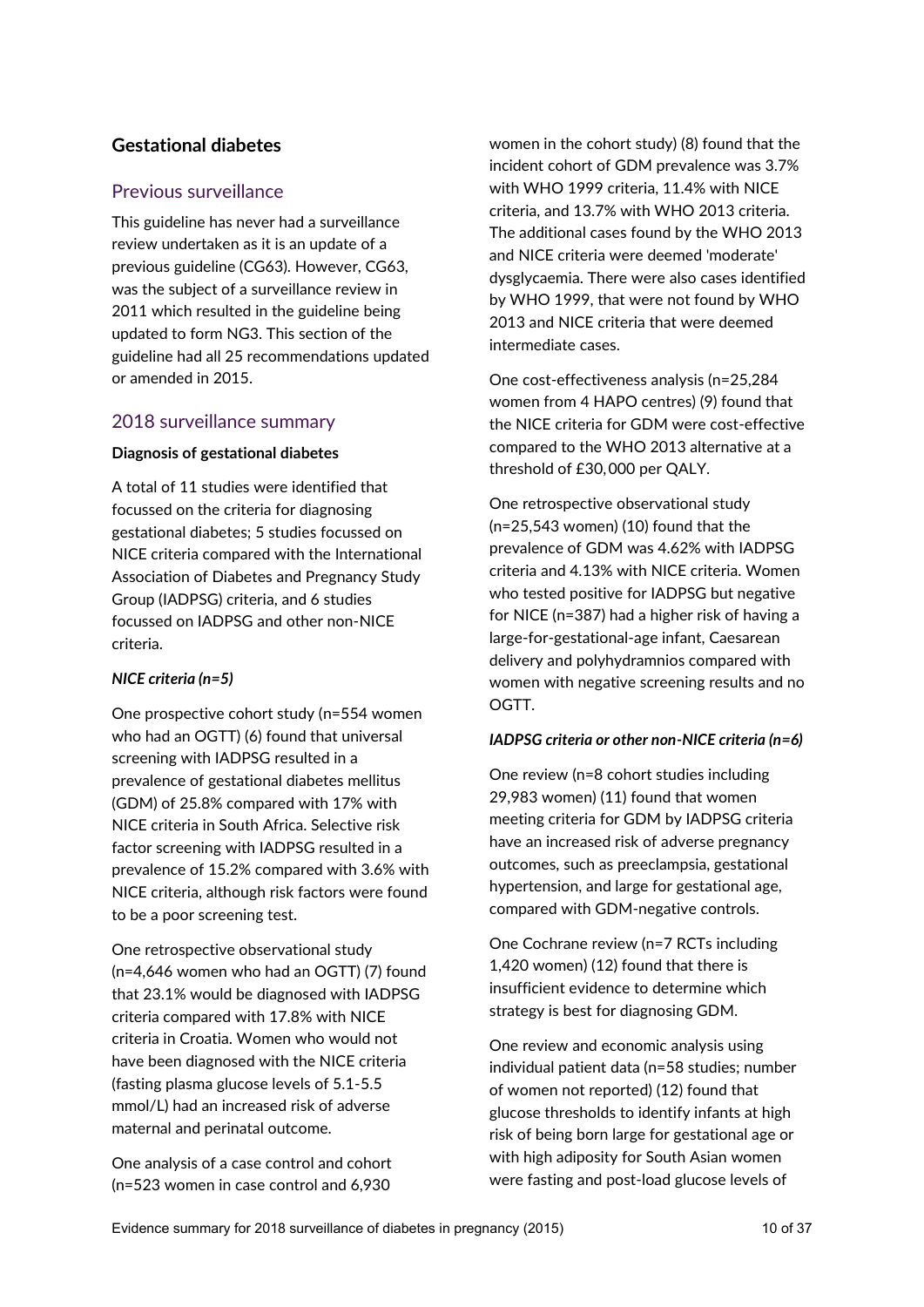## **Gestational diabetes**

## Previous surveillance

This guideline has never had a surveillance review undertaken as it is an update of a previous guideline (CG63). However, CG63, was the subject of a surveillance review in 2011 which resulted in the guideline being updated to form NG3. This section of the guideline had all 25 recommendations updated or amended in 2015.

## 2018 surveillance summary

#### **Diagnosis of gestational diabetes**

A total of 11 studies were identified that focussed on the criteria for diagnosing gestational diabetes; 5 studies focussed on NICE criteria compared with the International Association of Diabetes and Pregnancy Study Group (IADPSG) criteria, and 6 studies focussed on IADPSG and other non-NICE criteria.

## *NICE criteria (n=5)*

One prospective cohort study (n=554 women who had an OGTT) (6) found that universal screening with IADPSG resulted in a prevalence of gestational diabetes mellitus (GDM) of 25.8% compared with 17% with NICE criteria in South Africa. Selective risk factor screening with IADPSG resulted in a prevalence of 15.2% compared with 3.6% with NICE criteria, although risk factors were found to be a poor screening test.

One retrospective observational study (n=4,646 women who had an OGTT) (7) found that 23.1% would be diagnosed with IADPSG criteria compared with 17.8% with NICE criteria in Croatia. Women who would not have been diagnosed with the NICE criteria (fasting plasma glucose levels of 5.1-5.5 mmol/L) had an increased risk of adverse maternal and perinatal outcome.

One analysis of a case control and cohort (n=523 women in case control and 6,930

women in the cohort study) (8) found that the incident cohort of GDM prevalence was 3.7% with WHO 1999 criteria, 11.4% with NICE criteria, and 13.7% with WHO 2013 criteria. The additional cases found by the WHO 2013 and NICE criteria were deemed 'moderate' dysglycaemia. There were also cases identified by WHO 1999, that were not found by WHO 2013 and NICE criteria that were deemed intermediate cases.

One cost-effectiveness analysis (n=25,284 women from 4 HAPO centres) (9) found that the NICE criteria for GDM were cost-effective compared to the WHO 2013 alternative at a threshold of £30, 000 per QALY.

One retrospective observational study (n=25,543 women) (10) found that the prevalence of GDM was 4.62% with IADPSG criteria and 4.13% with NICE criteria. Women who tested positive for IADPSG but negative for NICE (n=387) had a higher risk of having a large-for-gestational-age infant, Caesarean delivery and polyhydramnios compared with women with negative screening results and no OGTT.

#### *IADPSG criteria or other non-NICE criteria (n=6)*

One review (n=8 cohort studies including 29,983 women) (11) found that women meeting criteria for GDM by IADPSG criteria have an increased risk of adverse pregnancy outcomes, such as preeclampsia, gestational hypertension, and large for gestational age, compared with GDM-negative controls.

One Cochrane review (n=7 RCTs including 1,420 women) (12) found that there is insufficient evidence to determine which strategy is best for diagnosing GDM.

One review and economic analysis using individual patient data (n=58 studies; number of women not reported) (12) found that glucose thresholds to identify infants at high risk of being born large for gestational age or with high adiposity for South Asian women were fasting and post-load glucose levels of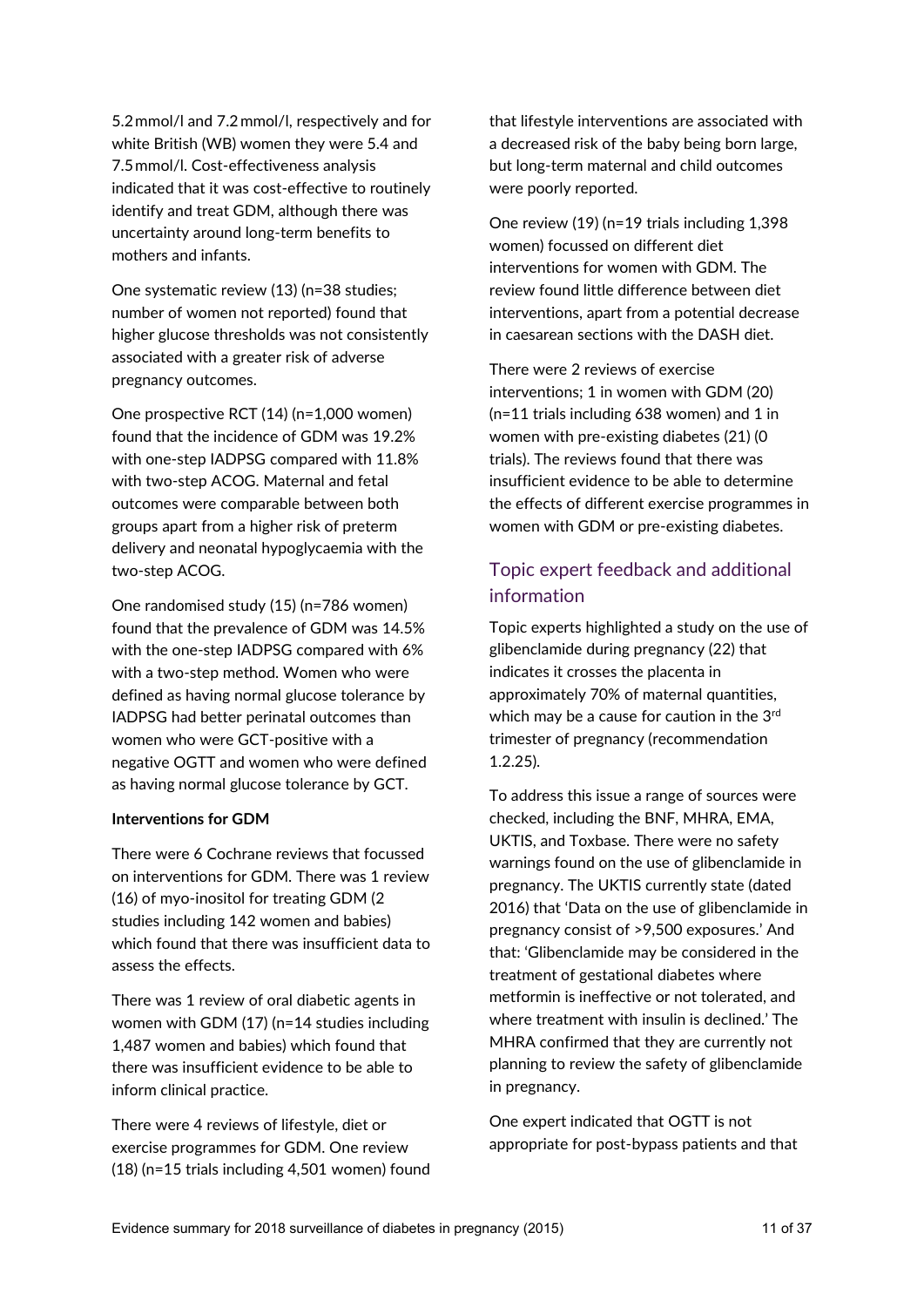5.2 mmol/l and 7.2 mmol/l, respectively and for white British (WB) women they were 5.4 and 7.5 mmol/l. Cost-effectiveness analysis indicated that it was cost-effective to routinely identify and treat GDM, although there was uncertainty around long-term benefits to mothers and infants.

One systematic review (13) (n=38 studies; number of women not reported) found that higher glucose thresholds was not consistently associated with a greater risk of adverse pregnancy outcomes.

One prospective RCT (14) (n=1,000 women) found that the incidence of GDM was 19.2% with one-step IADPSG compared with 11.8% with two-step ACOG. Maternal and fetal outcomes were comparable between both groups apart from a higher risk of preterm delivery and neonatal hypoglycaemia with the two-step ACOG.

One randomised study (15) (n=786 women) found that the prevalence of GDM was 14.5% with the one-step IADPSG compared with 6% with a two-step method. Women who were defined as having normal glucose tolerance by IADPSG had better perinatal outcomes than women who were GCT-positive with a negative OGTT and women who were defined as having normal glucose tolerance by GCT.

#### **Interventions for GDM**

There were 6 Cochrane reviews that focussed on interventions for GDM. There was 1 review (16) of myo-inositol for treating GDM (2 studies including 142 women and babies) which found that there was insufficient data to assess the effects.

There was 1 review of oral diabetic agents in women with GDM (17) (n=14 studies including 1,487 women and babies) which found that there was insufficient evidence to be able to inform clinical practice.

There were 4 reviews of lifestyle, diet or exercise programmes for GDM. One review (18) (n=15 trials including 4,501 women) found that lifestyle interventions are associated with a decreased risk of the baby being born large, but long-term maternal and child outcomes were poorly reported.

One review (19) (n=19 trials including 1,398 women) focussed on different diet interventions for women with GDM. The review found little difference between diet interventions, apart from a potential decrease in caesarean sections with the DASH diet.

There were 2 reviews of exercise interventions; 1 in women with GDM (20) (n=11 trials including 638 women) and 1 in women with pre-existing diabetes (21) (0 trials). The reviews found that there was insufficient evidence to be able to determine the effects of different exercise programmes in women with GDM or pre-existing diabetes.

## Topic expert feedback and additional information

Topic experts highlighted a study on the use of glibenclamide during pregnancy (22) that indicates it crosses the placenta in approximately 70% of maternal quantities, which may be a cause for caution in the 3rd trimester of pregnancy (recommendation 1.2.25).

To address this issue a range of sources were checked, including the BNF, MHRA, EMA, UKTIS, and Toxbase. There were no safety warnings found on the use of glibenclamide in pregnancy. The UKTIS currently state (dated 2016) that 'Data on the use of glibenclamide in pregnancy consist of >9,500 exposures.' And that: 'Glibenclamide may be considered in the treatment of gestational diabetes where metformin is ineffective or not tolerated, and where treatment with insulin is declined.' The MHRA confirmed that they are currently not planning to review the safety of glibenclamide in pregnancy.

One expert indicated that OGTT is not appropriate for post-bypass patients and that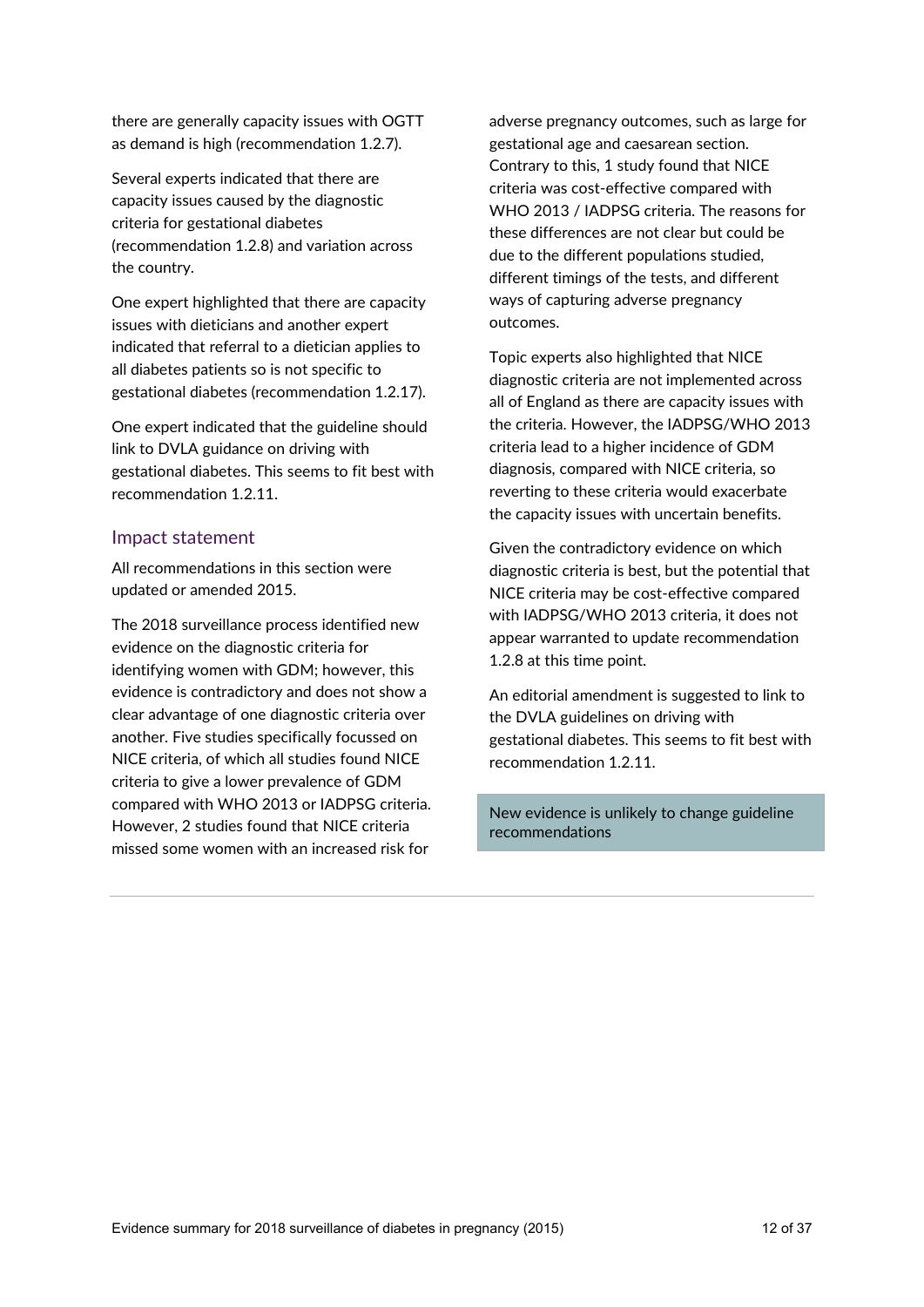there are generally capacity issues with OGTT as demand is high (recommendation 1.2.7).

Several experts indicated that there are capacity issues caused by the diagnostic criteria for gestational diabetes (recommendation 1.2.8) and variation across the country.

One expert highlighted that there are capacity issues with dieticians and another expert indicated that referral to a dietician applies to all diabetes patients so is not specific to gestational diabetes (recommendation 1.2.17).

One expert indicated that the guideline should link to DVLA guidance on driving with gestational diabetes. This seems to fit best with recommendation 1.2.11.

## Impact statement

All recommendations in this section were updated or amended 2015.

The 2018 surveillance process identified new evidence on the diagnostic criteria for identifying women with GDM; however, this evidence is contradictory and does not show a clear advantage of one diagnostic criteria over another. Five studies specifically focussed on NICE criteria, of which all studies found NICE criteria to give a lower prevalence of GDM compared with WHO 2013 or IADPSG criteria. However, 2 studies found that NICE criteria missed some women with an increased risk for

adverse pregnancy outcomes, such as large for gestational age and caesarean section. Contrary to this, 1 study found that NICE criteria was cost-effective compared with WHO 2013 / IADPSG criteria. The reasons for these differences are not clear but could be due to the different populations studied, different timings of the tests, and different ways of capturing adverse pregnancy outcomes.

Topic experts also highlighted that NICE diagnostic criteria are not implemented across all of England as there are capacity issues with the criteria. However, the IADPSG/WHO 2013 criteria lead to a higher incidence of GDM diagnosis, compared with NICE criteria, so reverting to these criteria would exacerbate the capacity issues with uncertain benefits.

Given the contradictory evidence on which diagnostic criteria is best, but the potential that NICE criteria may be cost-effective compared with IADPSG/WHO 2013 criteria, it does not appear warranted to update recommendation 1.2.8 at this time point.

An editorial amendment is suggested to link to the DVLA guidelines on driving with gestational diabetes. This seems to fit best with recommendation 1.2.11.

New evidence is unlikely to change guideline recommendations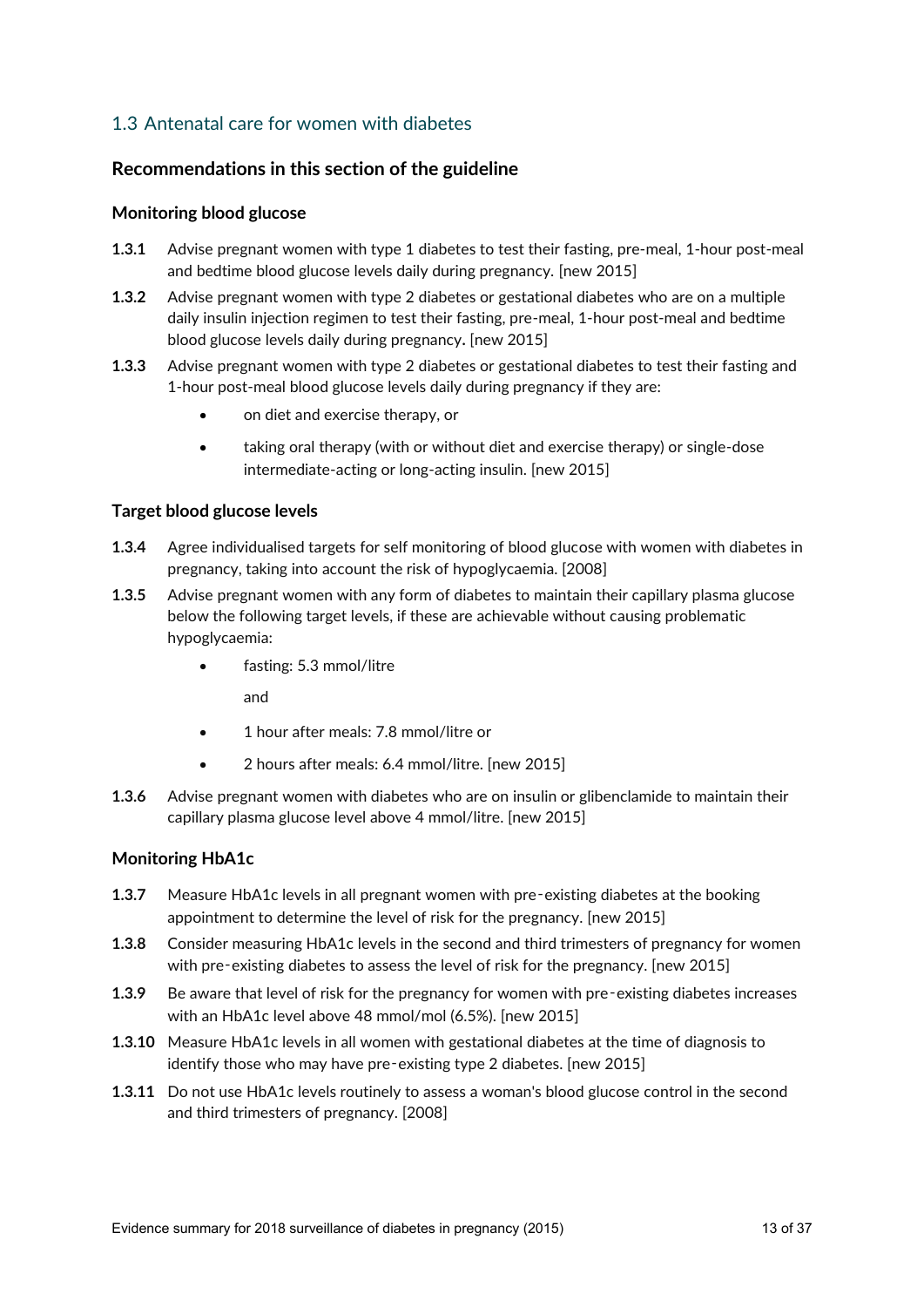## 1.3 Antenatal care for women with diabetes

## **Recommendations in this section of the guideline**

#### **Monitoring blood glucose**

- **1.3.1** Advise pregnant women with type 1 diabetes to test their fasting, pre-meal, 1-hour post-meal and bedtime blood glucose levels daily during pregnancy. [new 2015]
- **1.3.2** Advise pregnant women with type 2 diabetes or gestational diabetes who are on a multiple daily insulin injection regimen to test their fasting, pre-meal, 1-hour post-meal and bedtime blood glucose levels daily during pregnancy**.** [new 2015]
- **1.3.3** Advise pregnant women with type 2 diabetes or gestational diabetes to test their fasting and 1-hour post-meal blood glucose levels daily during pregnancy if they are:
	- on diet and exercise therapy, or
	- taking oral therapy (with or without diet and exercise therapy) or single-dose intermediate-acting or long-acting insulin. [new 2015]

#### **Target blood glucose levels**

- **1.3.4** Agree individualised targets for self monitoring of blood glucose with women with diabetes in pregnancy, taking into account the risk of hypoglycaemia. [2008]
- **1.3.5** Advise pregnant women with any form of diabetes to maintain their capillary plasma glucose below the following target levels, if these are achievable without causing problematic hypoglycaemia:
	- fasting: 5.3 mmol/litre

and

- 1 hour after meals: 7.8 mmol/litre or
- 2 hours after meals: 6.4 mmol/litre. [new 2015]
- **1.3.6** Advise pregnant women with diabetes who are on insulin or glibenclamide to maintain their capillary plasma glucose level above 4 mmol/litre. [new 2015]

## **Monitoring HbA1c**

- **1.3.7** Measure HbA1c levels in all pregnant women with pre‑existing diabetes at the booking appointment to determine the level of risk for the pregnancy. [new 2015]
- **1.3.8** Consider measuring HbA1c levels in the second and third trimesters of pregnancy for women with pre-existing diabetes to assess the level of risk for the pregnancy. [new 2015]
- **1.3.9** Be aware that level of risk for the pregnancy for women with pre-existing diabetes increases with an HbA1c level above 48 mmol/mol (6.5%). [new 2015]
- **1.3.10** Measure HbA1c levels in all women with gestational diabetes at the time of diagnosis to identify those who may have pre-existing type 2 diabetes. [new 2015]
- **1.3.11** Do not use HbA1c levels routinely to assess a woman's blood glucose control in the second and third trimesters of pregnancy. [2008]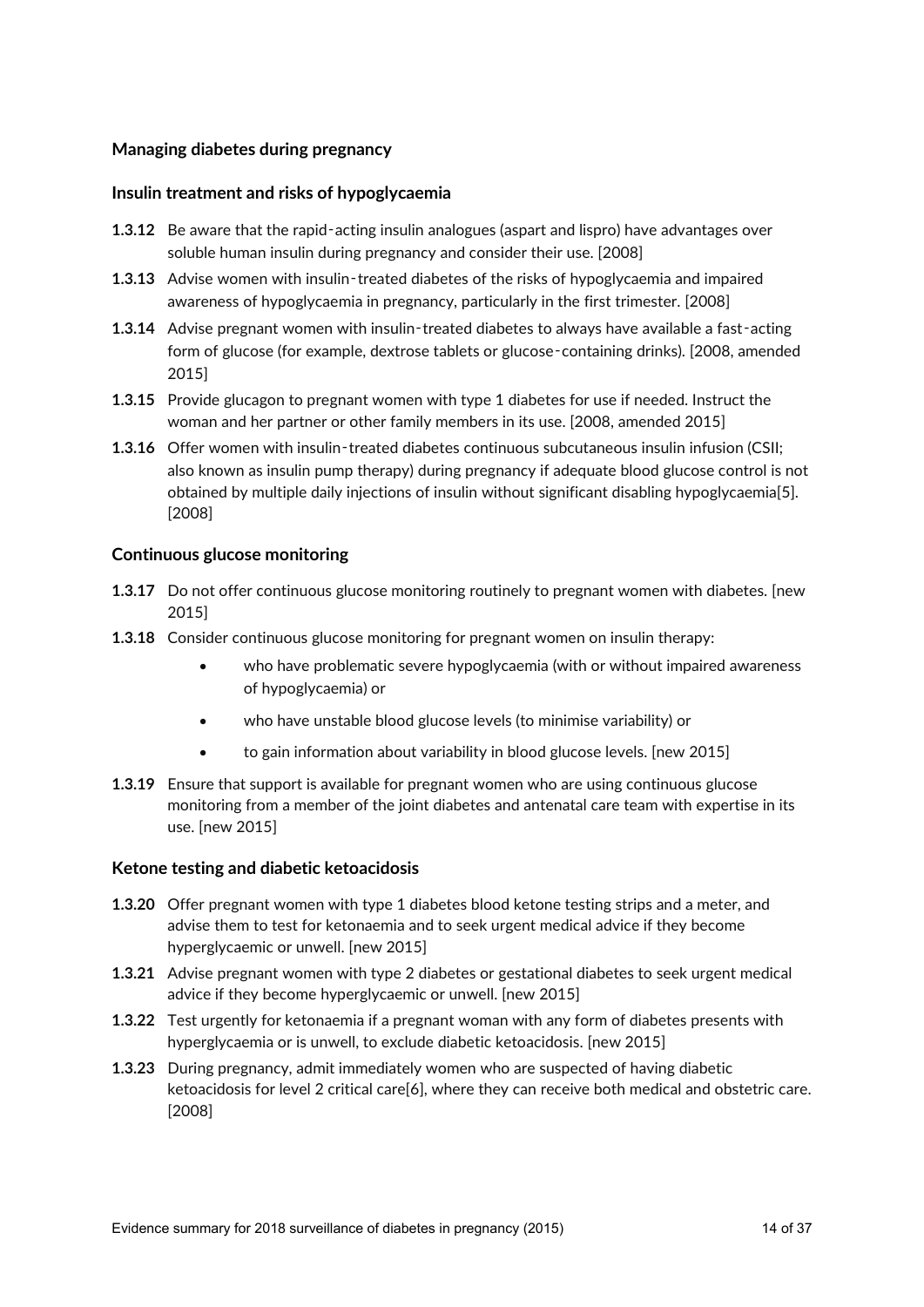#### **Managing diabetes during pregnancy**

#### **Insulin treatment and risks of hypoglycaemia**

- **1.3.12** Be aware that the rapid-acting insulin analogues (aspart and lispro) have advantages over soluble human insulin during pregnancy and consider their use. [2008]
- **1.3.13** Advise women with insulin-treated diabetes of the risks of hypoglycaemia and impaired awareness of hypoglycaemia in pregnancy, particularly in the first trimester. [2008]
- **1.3.14** Advise pregnant women with insulin-treated diabetes to always have available a fast-acting form of glucose (for example, dextrose tablets or glucose-containing drinks). [2008, amended 2015]
- **1.3.15** Provide glucagon to pregnant women with type 1 diabetes for use if needed. Instruct the woman and her partner or other family members in its use. [2008, amended 2015]
- **1.3.16** Offer women with insulin-treated diabetes continuous subcutaneous insulin infusion (CSII; also known as insulin pump therapy) during pregnancy if adequate blood glucose control is not obtained by multiple daily injections of insulin without significant disabling hypoglycaemia[5]. [2008]

#### **Continuous glucose monitoring**

- **1.3.17** Do not offer continuous glucose monitoring routinely to pregnant women with diabetes. [new 2015]
- **1.3.18** Consider continuous glucose monitoring for pregnant women on insulin therapy:
	- who have problematic severe hypoglycaemia (with or without impaired awareness of hypoglycaemia) or
	- who have unstable blood glucose levels (to minimise variability) or
	- to gain information about variability in blood glucose levels. [new 2015]
- **1.3.19** Ensure that support is available for pregnant women who are using continuous glucose monitoring from a member of the joint diabetes and antenatal care team with expertise in its use. [new 2015]

#### **Ketone testing and diabetic ketoacidosis**

- **1.3.20** Offer pregnant women with type 1 diabetes blood ketone testing strips and a meter, and advise them to test for ketonaemia and to seek urgent medical advice if they become hyperglycaemic or unwell. [new 2015]
- **1.3.21** Advise pregnant women with type 2 diabetes or gestational diabetes to seek urgent medical advice if they become hyperglycaemic or unwell. [new 2015]
- **1.3.22** Test urgently for ketonaemia if a pregnant woman with any form of diabetes presents with hyperglycaemia or is unwell, to exclude diabetic ketoacidosis. [new 2015]
- **1.3.23** During pregnancy, admit immediately women who are suspected of having diabetic ketoacidosis for level 2 critical care[6], where they can receive both medical and obstetric care. [2008]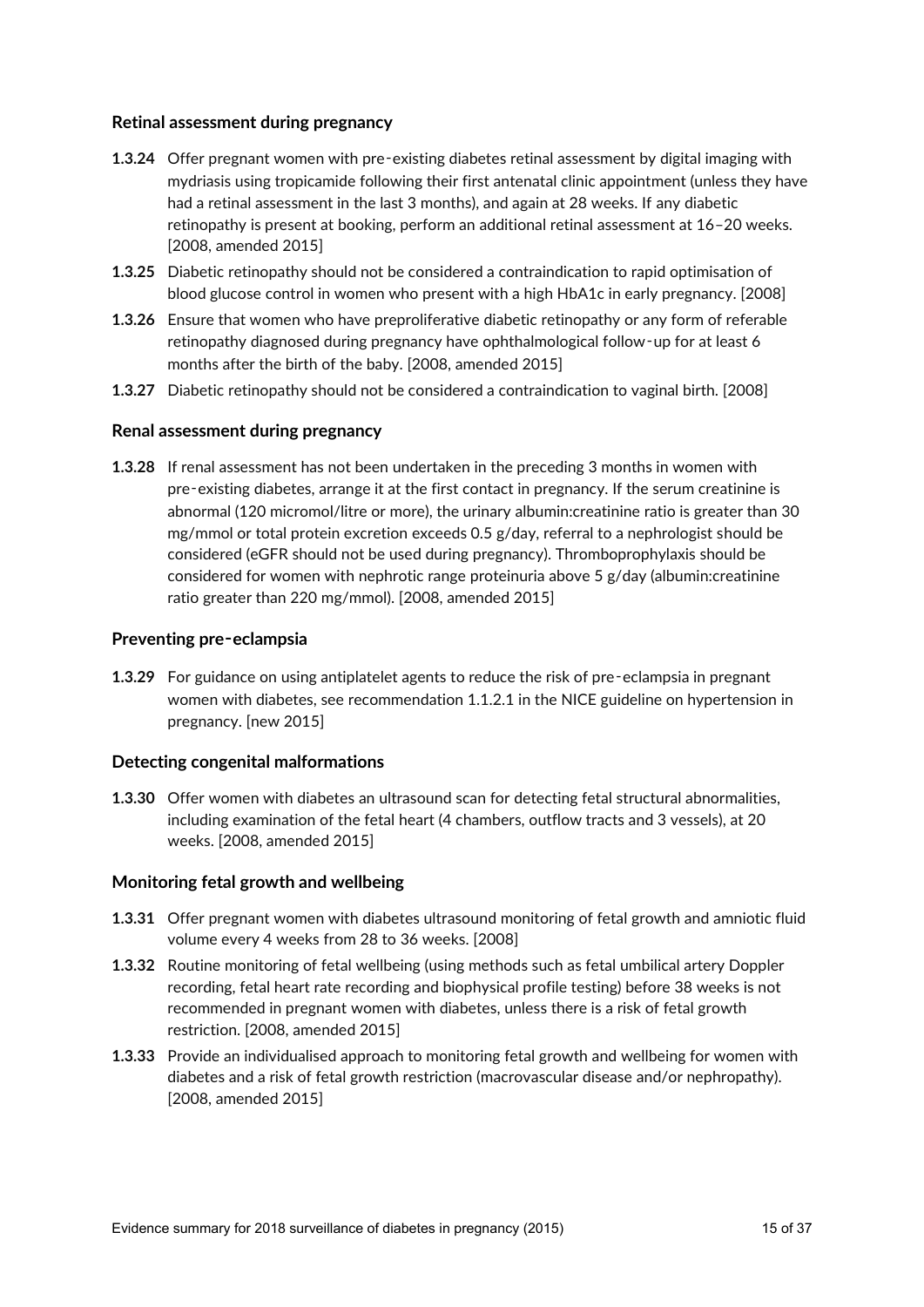#### **Retinal assessment during pregnancy**

- **1.3.24** Offer pregnant women with pre-existing diabetes retinal assessment by digital imaging with mydriasis using tropicamide following their first antenatal clinic appointment (unless they have had a retinal assessment in the last 3 months), and again at 28 weeks. If any diabetic retinopathy is present at booking, perform an additional retinal assessment at 16–20 weeks. [2008, amended 2015]
- **1.3.25** Diabetic retinopathy should not be considered a contraindication to rapid optimisation of blood glucose control in women who present with a high HbA1c in early pregnancy. [2008]
- **1.3.26** Ensure that women who have preproliferative diabetic retinopathy or any form of referable retinopathy diagnosed during pregnancy have ophthalmological follow‑up for at least 6 months after the birth of the baby. [2008, amended 2015]
- **1.3.27** Diabetic retinopathy should not be considered a contraindication to vaginal birth. [2008]

#### **Renal assessment during pregnancy**

**1.3.28** If renal assessment has not been undertaken in the preceding 3 months in women with pre‑existing diabetes, arrange it at the first contact in pregnancy. If the serum creatinine is abnormal (120 micromol/litre or more), the urinary albumin:creatinine ratio is greater than 30 mg/mmol or total protein excretion exceeds 0.5 g/day, referral to a nephrologist should be considered (eGFR should not be used during pregnancy). Thromboprophylaxis should be considered for women with nephrotic range proteinuria above 5 g/day (albumin:creatinine ratio greater than 220 mg/mmol). [2008, amended 2015]

#### **Preventing pre**‑**eclampsia**

**1.3.29** For guidance on using antiplatelet agents to reduce the risk of pre-eclampsia in pregnant women with diabetes, see recommendation 1.1.2.1 in the NICE guideline on hypertension in pregnancy. [new 2015]

#### **Detecting congenital malformations**

**1.3.30** Offer women with diabetes an ultrasound scan for detecting fetal structural abnormalities, including examination of the fetal heart (4 chambers, outflow tracts and 3 vessels), at 20 weeks. [2008, amended 2015]

#### **Monitoring fetal growth and wellbeing**

- **1.3.31** Offer pregnant women with diabetes ultrasound monitoring of fetal growth and amniotic fluid volume every 4 weeks from 28 to 36 weeks. [2008]
- **1.3.32** Routine monitoring of fetal wellbeing (using methods such as fetal umbilical artery Doppler recording, fetal heart rate recording and biophysical profile testing) before 38 weeks is not recommended in pregnant women with diabetes, unless there is a risk of fetal growth restriction. [2008, amended 2015]
- **1.3.33** Provide an individualised approach to monitoring fetal growth and wellbeing for women with diabetes and a risk of fetal growth restriction (macrovascular disease and/or nephropathy). [2008, amended 2015]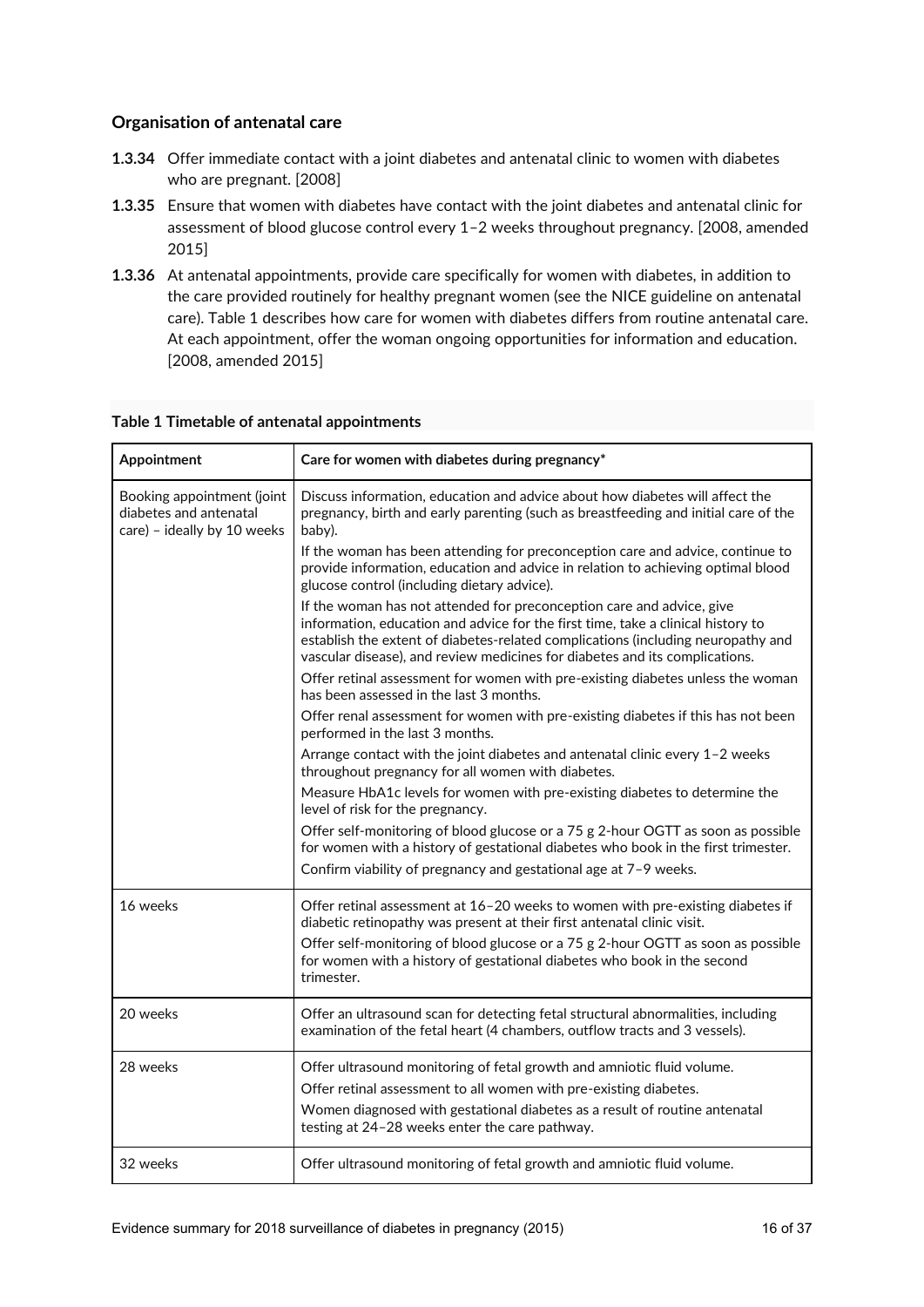## **Organisation of antenatal care**

- **1.3.34** Offer immediate contact with a joint diabetes and antenatal clinic to women with diabetes who are pregnant. [2008]
- **1.3.35** Ensure that women with diabetes have contact with the joint diabetes and antenatal clinic for assessment of blood glucose control every 1–2 weeks throughout pregnancy. [2008, amended 2015]
- **1.3.36** At antenatal appointments, provide care specifically for women with diabetes, in addition to the care provided routinely for healthy pregnant women (see the NICE guideline on antenatal care). Table 1 describes how care for women with diabetes differs from routine antenatal care. At each appointment, offer the woman ongoing opportunities for information and education. [2008, amended 2015]

| Appointment                                                                         | Care for women with diabetes during pregnancy*                                                                                                                                                                                                                                                                               |
|-------------------------------------------------------------------------------------|------------------------------------------------------------------------------------------------------------------------------------------------------------------------------------------------------------------------------------------------------------------------------------------------------------------------------|
| Booking appointment (joint<br>diabetes and antenatal<br>care) - ideally by 10 weeks | Discuss information, education and advice about how diabetes will affect the<br>pregnancy, birth and early parenting (such as breastfeeding and initial care of the<br>baby).                                                                                                                                                |
|                                                                                     | If the woman has been attending for preconception care and advice, continue to<br>provide information, education and advice in relation to achieving optimal blood<br>glucose control (including dietary advice).                                                                                                            |
|                                                                                     | If the woman has not attended for preconception care and advice, give<br>information, education and advice for the first time, take a clinical history to<br>establish the extent of diabetes-related complications (including neuropathy and<br>vascular disease), and review medicines for diabetes and its complications. |
|                                                                                     | Offer retinal assessment for women with pre-existing diabetes unless the woman<br>has been assessed in the last 3 months.                                                                                                                                                                                                    |
|                                                                                     | Offer renal assessment for women with pre-existing diabetes if this has not been<br>performed in the last 3 months.                                                                                                                                                                                                          |
|                                                                                     | Arrange contact with the joint diabetes and antenatal clinic every 1-2 weeks<br>throughout pregnancy for all women with diabetes.                                                                                                                                                                                            |
|                                                                                     | Measure HbA1c levels for women with pre-existing diabetes to determine the<br>level of risk for the pregnancy.                                                                                                                                                                                                               |
|                                                                                     | Offer self-monitoring of blood glucose or a 75 g 2-hour OGTT as soon as possible<br>for women with a history of gestational diabetes who book in the first trimester.                                                                                                                                                        |
|                                                                                     | Confirm viability of pregnancy and gestational age at 7-9 weeks.                                                                                                                                                                                                                                                             |
| 16 weeks                                                                            | Offer retinal assessment at 16-20 weeks to women with pre-existing diabetes if<br>diabetic retinopathy was present at their first antenatal clinic visit.                                                                                                                                                                    |
|                                                                                     | Offer self-monitoring of blood glucose or a 75 g 2-hour OGTT as soon as possible<br>for women with a history of gestational diabetes who book in the second<br>trimester.                                                                                                                                                    |
| 20 weeks                                                                            | Offer an ultrasound scan for detecting fetal structural abnormalities, including<br>examination of the fetal heart (4 chambers, outflow tracts and 3 vessels).                                                                                                                                                               |
| 28 weeks                                                                            | Offer ultrasound monitoring of fetal growth and amniotic fluid volume.                                                                                                                                                                                                                                                       |
|                                                                                     | Offer retinal assessment to all women with pre-existing diabetes.                                                                                                                                                                                                                                                            |
|                                                                                     | Women diagnosed with gestational diabetes as a result of routine antenatal<br>testing at 24-28 weeks enter the care pathway.                                                                                                                                                                                                 |
| 32 weeks                                                                            | Offer ultrasound monitoring of fetal growth and amniotic fluid volume.                                                                                                                                                                                                                                                       |

#### **Table 1 Timetable of antenatal appointments**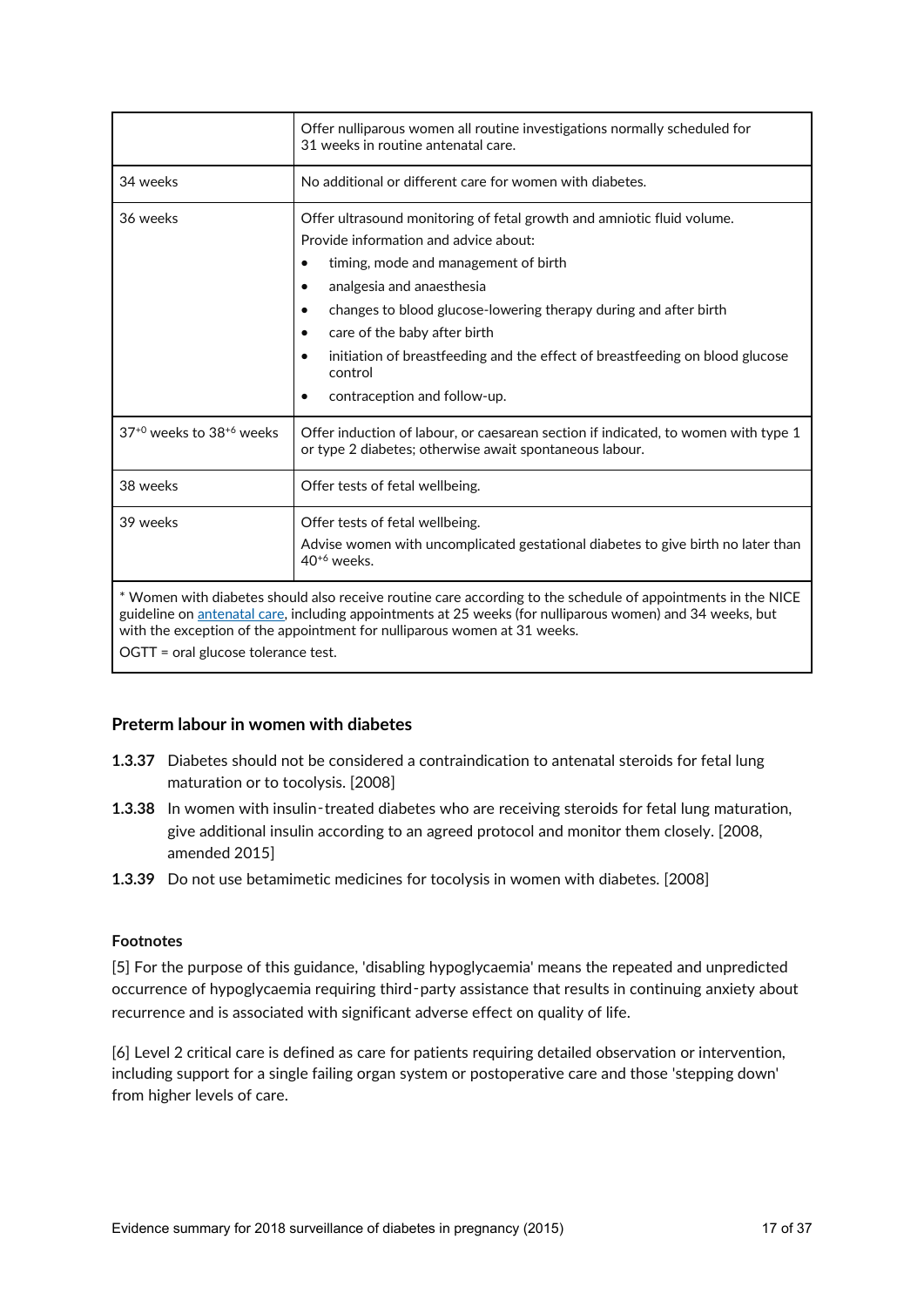|                                                                                                                                                                                                                                                                                                                                              | Offer nulliparous women all routine investigations normally scheduled for<br>31 weeks in routine antenatal care.                                                                                                                                                                                                                                                                                                                                                        |
|----------------------------------------------------------------------------------------------------------------------------------------------------------------------------------------------------------------------------------------------------------------------------------------------------------------------------------------------|-------------------------------------------------------------------------------------------------------------------------------------------------------------------------------------------------------------------------------------------------------------------------------------------------------------------------------------------------------------------------------------------------------------------------------------------------------------------------|
| 34 weeks                                                                                                                                                                                                                                                                                                                                     | No additional or different care for women with diabetes.                                                                                                                                                                                                                                                                                                                                                                                                                |
| 36 weeks                                                                                                                                                                                                                                                                                                                                     | Offer ultrasound monitoring of fetal growth and amniotic fluid volume.<br>Provide information and advice about:<br>timing, mode and management of birth<br>analgesia and anaesthesia<br>$\bullet$<br>changes to blood glucose-lowering therapy during and after birth<br>$\bullet$<br>care of the baby after birth<br>$\bullet$<br>initiation of breastfeeding and the effect of breastfeeding on blood glucose<br>control<br>contraception and follow-up.<br>$\bullet$ |
| $37^{+0}$ weeks to $38^{+6}$ weeks                                                                                                                                                                                                                                                                                                           | Offer induction of labour, or caesarean section if indicated, to women with type 1<br>or type 2 diabetes; otherwise await spontaneous labour.                                                                                                                                                                                                                                                                                                                           |
| 38 weeks                                                                                                                                                                                                                                                                                                                                     | Offer tests of fetal wellbeing.                                                                                                                                                                                                                                                                                                                                                                                                                                         |
| 39 weeks                                                                                                                                                                                                                                                                                                                                     | Offer tests of fetal wellbeing.<br>Advise women with uncomplicated gestational diabetes to give birth no later than<br>$40^{+6}$ weeks.                                                                                                                                                                                                                                                                                                                                 |
| * Women with diabetes should also receive routine care according to the schedule of appointments in the NICE<br>guideline on antenatal care, including appointments at 25 weeks (for nulliparous women) and 34 weeks, but<br>with the exception of the appointment for nulliparous women at 31 weeks.<br>OGTT = oral glucose tolerance test. |                                                                                                                                                                                                                                                                                                                                                                                                                                                                         |

#### **Preterm labour in women with diabetes**

- **1.3.37** Diabetes should not be considered a contraindication to antenatal steroids for fetal lung maturation or to tocolysis. [2008]
- **1.3.38** In women with insulin-treated diabetes who are receiving steroids for fetal lung maturation, give additional insulin according to an agreed protocol and monitor them closely. [2008, amended 2015]
- **1.3.39** Do not use betamimetic medicines for tocolysis in women with diabetes. [2008]

### **Footnotes**

[5] For the purpose of this guidance, 'disabling hypoglycaemia' means the repeated and unpredicted occurrence of hypoglycaemia requiring third-party assistance that results in continuing anxiety about recurrence and is associated with significant adverse effect on quality of life.

[6] Level 2 critical care is defined as care for patients requiring detailed observation or intervention, including support for a single failing organ system or postoperative care and those 'stepping down' from higher levels of care.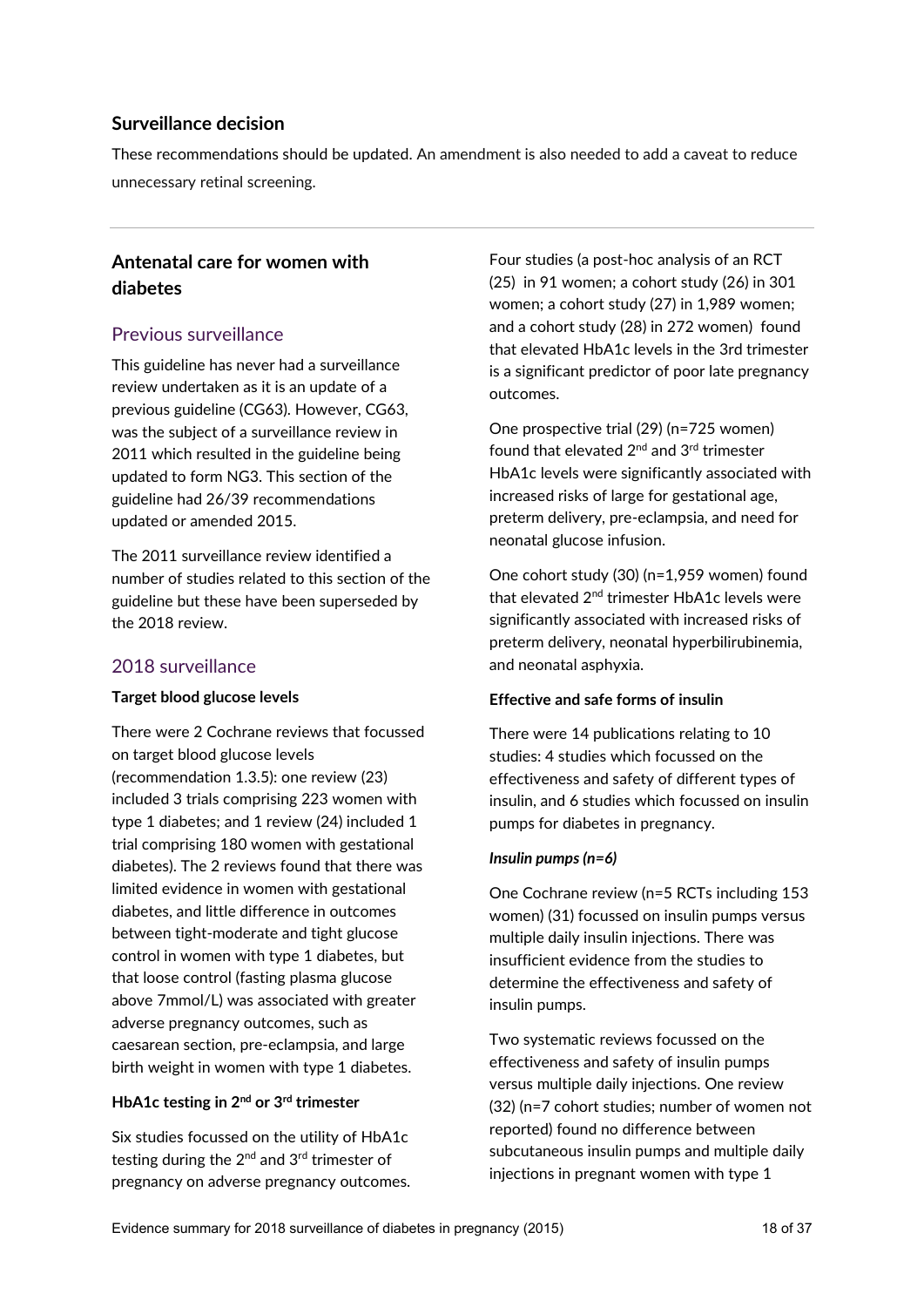## **Surveillance decision**

These recommendations should be updated. An amendment is also needed to add a caveat to reduce unnecessary retinal screening.

## **Antenatal care for women with diabetes**

## Previous surveillance

This guideline has never had a surveillance review undertaken as it is an update of a previous guideline (CG63). However, CG63, was the subject of a surveillance review in 2011 which resulted in the guideline being updated to form NG3. This section of the guideline had 26/39 recommendations updated or amended 2015.

The 2011 surveillance review identified a number of studies related to this section of the guideline but these have been superseded by the 2018 review.

## 2018 surveillance

#### **Target blood glucose levels**

There were 2 Cochrane reviews that focussed on target blood glucose levels (recommendation 1.3.5): one review (23) included 3 trials comprising 223 women with type 1 diabetes; and 1 review (24) included 1 trial comprising 180 women with gestational diabetes). The 2 reviews found that there was limited evidence in women with gestational diabetes, and little difference in outcomes between tight-moderate and tight glucose control in women with type 1 diabetes, but that loose control (fasting plasma glucose above 7mmol/L) was associated with greater adverse pregnancy outcomes, such as caesarean section, pre-eclampsia, and large birth weight in women with type 1 diabetes.

## **HbA1c testing in 2nd or 3rd trimester**

Six studies focussed on the utility of HbA1c testing during the 2<sup>nd</sup> and 3<sup>rd</sup> trimester of pregnancy on adverse pregnancy outcomes. Four studies (a post-hoc analysis of an RCT (25) in 91 women; a cohort study (26) in 301 women; a cohort study (27) in 1,989 women; and a cohort study (28) in 272 women) found that elevated HbA1c levels in the 3rd trimester is a significant predictor of poor late pregnancy outcomes.

One prospective trial (29) (n=725 women) found that elevated 2<sup>nd</sup> and 3<sup>rd</sup> trimester HbA1c levels were significantly associated with increased risks of large for gestational age, preterm delivery, pre-eclampsia, and need for neonatal glucose infusion.

One cohort study (30) (n=1,959 women) found that elevated 2<sup>nd</sup> trimester HbA1c levels were significantly associated with increased risks of preterm delivery, neonatal hyperbilirubinemia, and neonatal asphyxia.

## **Effective and safe forms of insulin**

There were 14 publications relating to 10 studies: 4 studies which focussed on the effectiveness and safety of different types of insulin, and 6 studies which focussed on insulin pumps for diabetes in pregnancy.

#### *Insulin pumps (n=6)*

One Cochrane review (n=5 RCTs including 153 women) (31) focussed on insulin pumps versus multiple daily insulin injections. There was insufficient evidence from the studies to determine the effectiveness and safety of insulin pumps.

Two systematic reviews focussed on the effectiveness and safety of insulin pumps versus multiple daily injections. One review (32) (n=7 cohort studies; number of women not reported) found no difference between subcutaneous insulin pumps and multiple daily injections in pregnant women with type 1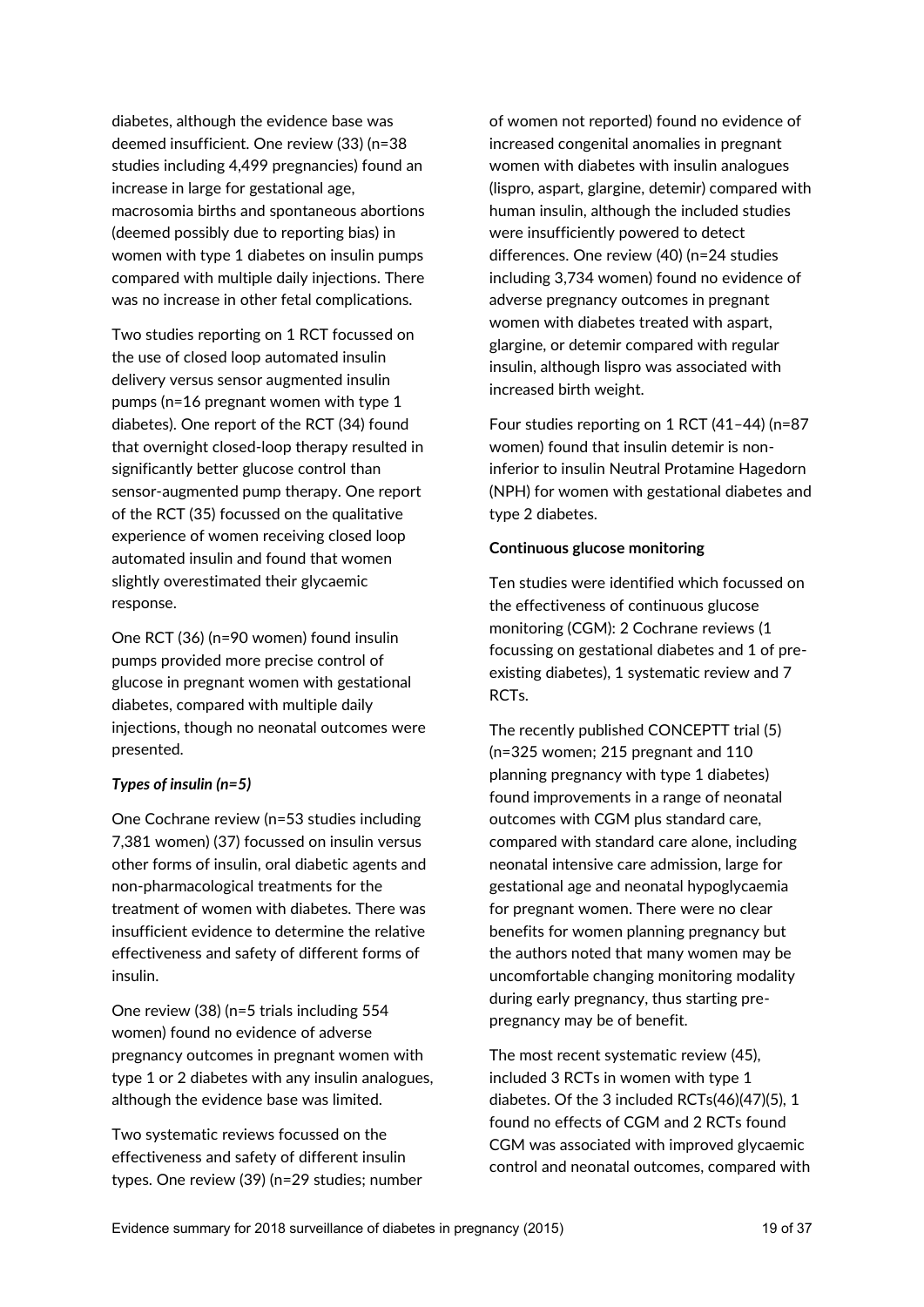diabetes, although the evidence base was deemed insufficient. One review (33) (n=38 studies including 4,499 pregnancies) found an increase in large for gestational age, macrosomia births and spontaneous abortions (deemed possibly due to reporting bias) in women with type 1 diabetes on insulin pumps compared with multiple daily injections. There was no increase in other fetal complications.

Two studies reporting on 1 RCT focussed on the use of closed loop automated insulin delivery versus sensor augmented insulin pumps (n=16 pregnant women with type 1 diabetes). One report of the RCT (34) found that overnight closed-loop therapy resulted in significantly better glucose control than sensor-augmented pump therapy. One report of the RCT (35) focussed on the qualitative experience of women receiving closed loop automated insulin and found that women slightly overestimated their glycaemic response.

One RCT (36) (n=90 women) found insulin pumps provided more precise control of glucose in pregnant women with gestational diabetes, compared with multiple daily injections, though no neonatal outcomes were presented.

#### *Types of insulin (n=5)*

One Cochrane review (n=53 studies including 7,381 women) (37) focussed on insulin versus other forms of insulin, oral diabetic agents and non-pharmacological treatments for the treatment of women with diabetes. There was insufficient evidence to determine the relative effectiveness and safety of different forms of insulin.

One review (38) (n=5 trials including 554 women) found no evidence of adverse pregnancy outcomes in pregnant women with type 1 or 2 diabetes with any insulin analogues, although the evidence base was limited.

Two systematic reviews focussed on the effectiveness and safety of different insulin types. One review (39) (n=29 studies; number of women not reported) found no evidence of increased congenital anomalies in pregnant women with diabetes with insulin analogues (lispro, aspart, glargine, detemir) compared with human insulin, although the included studies were insufficiently powered to detect differences. One review (40) (n=24 studies including 3,734 women) found no evidence of adverse pregnancy outcomes in pregnant women with diabetes treated with aspart, glargine, or detemir compared with regular insulin, although lispro was associated with increased birth weight.

Four studies reporting on 1 RCT (41–44) (n=87 women) found that insulin detemir is noninferior to insulin Neutral Protamine Hagedorn (NPH) for women with gestational diabetes and type 2 diabetes.

#### **Continuous glucose monitoring**

Ten studies were identified which focussed on the effectiveness of continuous glucose monitoring (CGM): 2 Cochrane reviews (1 focussing on gestational diabetes and 1 of preexisting diabetes), 1 systematic review and 7 RCTs.

The recently published CONCEPTT trial (5) (n=325 women; 215 pregnant and 110 planning pregnancy with type 1 diabetes) found improvements in a range of neonatal outcomes with CGM plus standard care, compared with standard care alone, including neonatal intensive care admission, large for gestational age and neonatal hypoglycaemia for pregnant women. There were no clear benefits for women planning pregnancy but the authors noted that many women may be uncomfortable changing monitoring modality during early pregnancy, thus starting prepregnancy may be of benefit.

The most recent systematic review (45), included 3 RCTs in women with type 1 diabetes. Of the 3 included RCTs(46)(47)(5), 1 found no effects of CGM and 2 RCTs found CGM was associated with improved glycaemic control and neonatal outcomes, compared with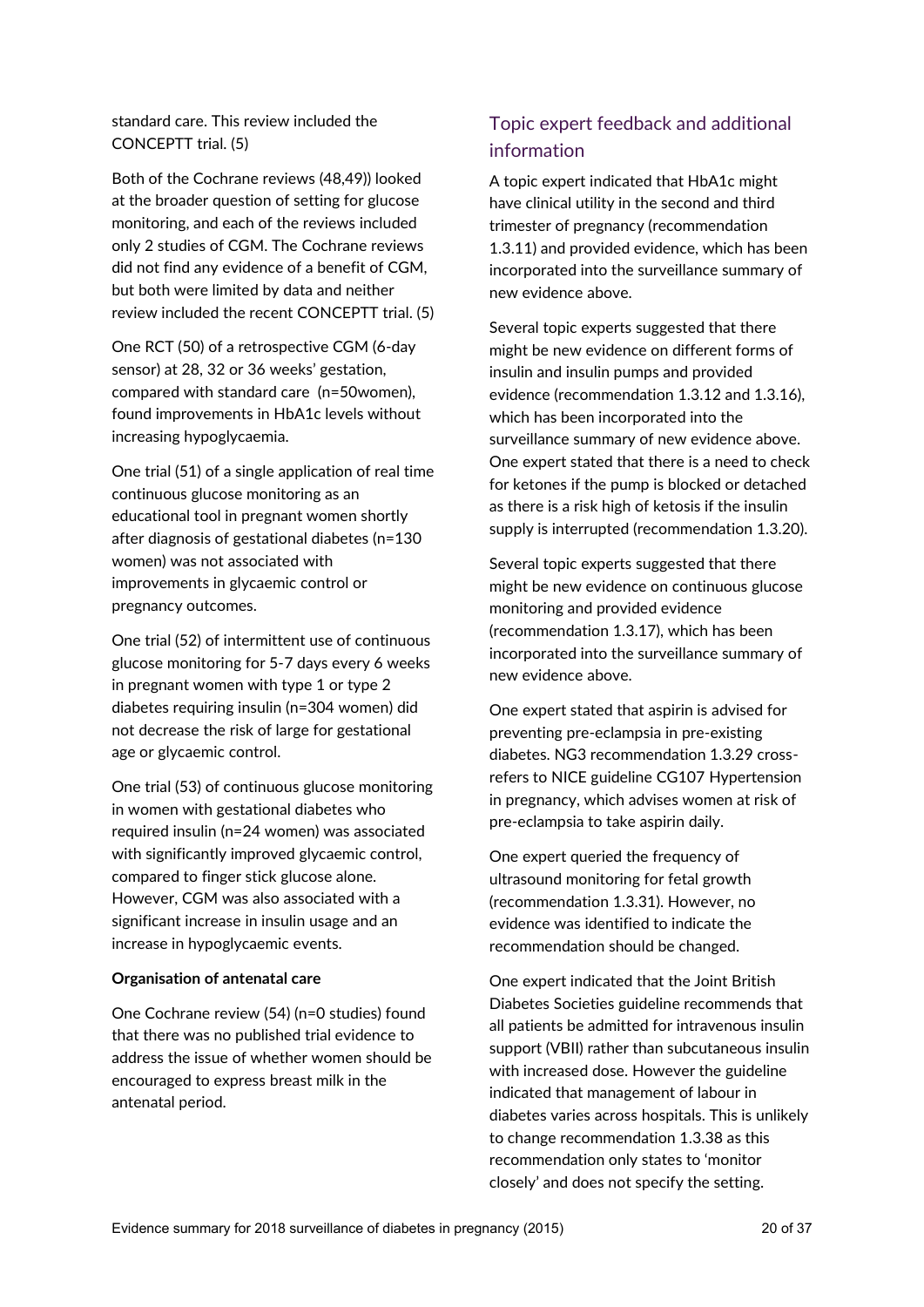## standard care. This review included the CONCEPTT trial. (5)

Both of the Cochrane reviews (48,49)) looked at the broader question of setting for glucose monitoring, and each of the reviews included only 2 studies of CGM. The Cochrane reviews did not find any evidence of a benefit of CGM, but both were limited by data and neither review included the recent CONCEPTT trial. (5)

One RCT (50) of a retrospective CGM (6-day sensor) at 28, 32 or 36 weeks' gestation, compared with standard care (n=50women), found improvements in HbA1c levels without increasing hypoglycaemia.

One trial (51) of a single application of real time continuous glucose monitoring as an educational tool in pregnant women shortly after diagnosis of gestational diabetes (n=130 women) was not associated with improvements in glycaemic control or pregnancy outcomes.

One trial (52) of intermittent use of continuous glucose monitoring for 5-7 days every 6 weeks in pregnant women with type 1 or type 2 diabetes requiring insulin (n=304 women) did not decrease the risk of large for gestational age or glycaemic control.

One trial (53) of continuous glucose monitoring in women with gestational diabetes who required insulin (n=24 women) was associated with significantly improved glycaemic control, compared to finger stick glucose alone. However, CGM was also associated with a significant increase in insulin usage and an increase in hypoglycaemic events.

#### **Organisation of antenatal care**

One Cochrane review (54) (n=0 studies) found that there was no published trial evidence to address the issue of whether women should be encouraged to express breast milk in the antenatal period.

## Topic expert feedback and additional information

A topic expert indicated that HbA1c might have clinical utility in the second and third trimester of pregnancy (recommendation 1.3.11) and provided evidence, which has been incorporated into the surveillance summary of new evidence above.

Several topic experts suggested that there might be new evidence on different forms of insulin and insulin pumps and provided evidence (recommendation 1.3.12 and 1.3.16), which has been incorporated into the surveillance summary of new evidence above. One expert stated that there is a need to check for ketones if the pump is blocked or detached as there is a risk high of ketosis if the insulin supply is interrupted (recommendation 1.3.20).

Several topic experts suggested that there might be new evidence on continuous glucose monitoring and provided evidence (recommendation 1.3.17), which has been incorporated into the surveillance summary of new evidence above.

One expert stated that aspirin is advised for preventing pre-eclampsia in pre-existing diabetes. NG3 recommendation 1.3.29 crossrefers to NICE guideline CG107 Hypertension in pregnancy, which advises women at risk of pre-eclampsia to take aspirin daily.

One expert queried the frequency of ultrasound monitoring for fetal growth (recommendation 1.3.31). However, no evidence was identified to indicate the recommendation should be changed.

One expert indicated that the Joint British Diabetes Societies guideline recommends that all patients be admitted for intravenous insulin support (VBII) rather than subcutaneous insulin with increased dose. However the guideline indicated that management of labour in diabetes varies across hospitals. This is unlikely to change recommendation 1.3.38 as this recommendation only states to 'monitor closely' and does not specify the setting.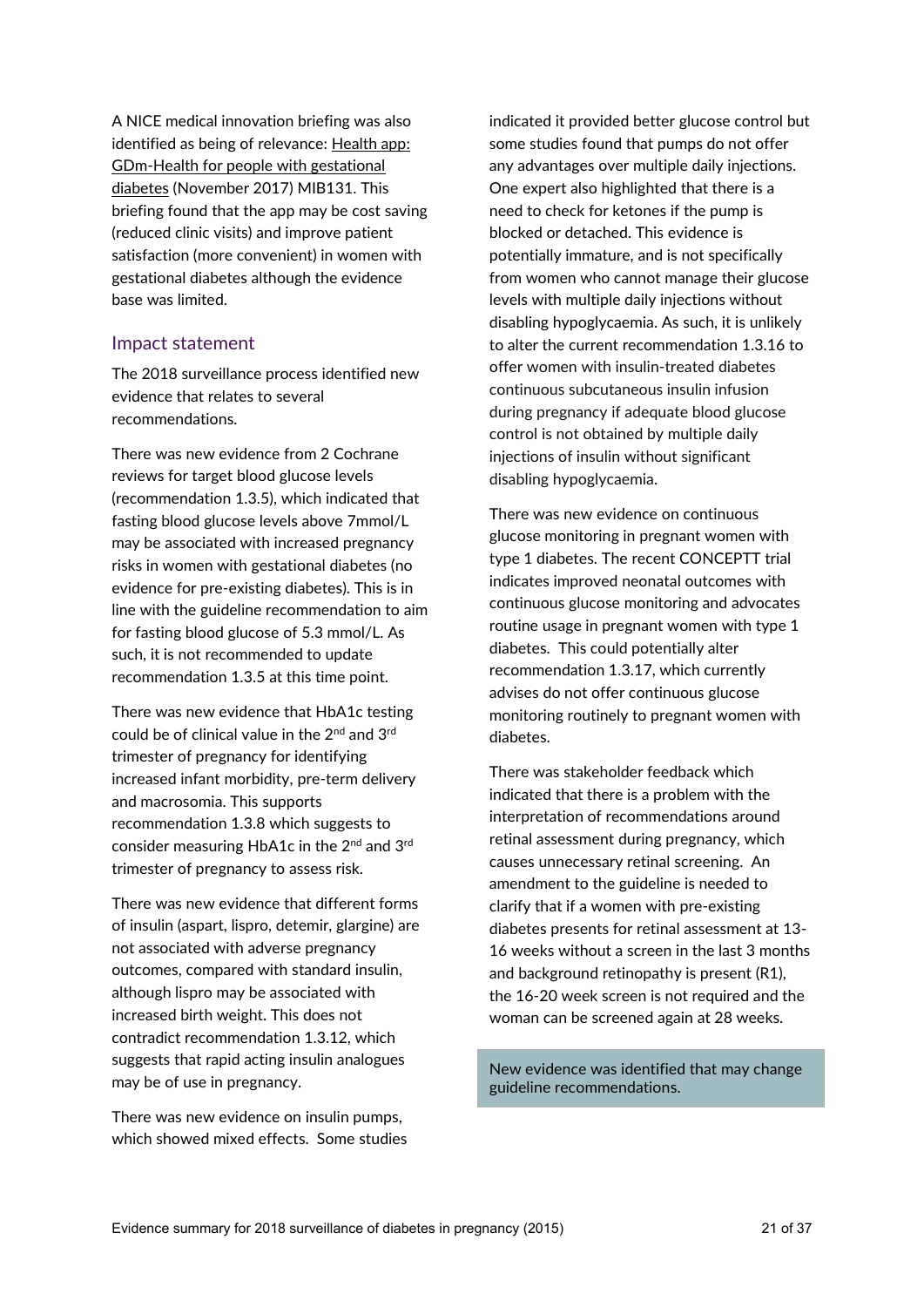A NICE medical innovation briefing was also identified as being of relevance: Health app: [GDm-Health for people with gestational](https://www.nice.org.uk/advice/mib131)  [diabetes](https://www.nice.org.uk/advice/mib131) (November 2017) MIB131. This briefing found that the app may be cost saving (reduced clinic visits) and improve patient satisfaction (more convenient) in women with gestational diabetes although the evidence base was limited.

#### Impact statement

The 2018 surveillance process identified new evidence that relates to several recommendations.

There was new evidence from 2 Cochrane reviews for target blood glucose levels (recommendation 1.3.5), which indicated that fasting blood glucose levels above 7mmol/L may be associated with increased pregnancy risks in women with gestational diabetes (no evidence for pre-existing diabetes). This is in line with the guideline recommendation to aim for fasting blood glucose of 5.3 mmol/L. As such, it is not recommended to update recommendation 1.3.5 at this time point.

There was new evidence that HbA1c testing could be of clinical value in the 2<sup>nd</sup> and 3<sup>rd</sup> trimester of pregnancy for identifying increased infant morbidity, pre-term delivery and macrosomia. This supports recommendation 1.3.8 which suggests to consider measuring HbA1c in the 2<sup>nd</sup> and 3<sup>rd</sup> trimester of pregnancy to assess risk.

There was new evidence that different forms of insulin (aspart, lispro, detemir, glargine) are not associated with adverse pregnancy outcomes, compared with standard insulin, although lispro may be associated with increased birth weight. This does not contradict recommendation 1.3.12, which suggests that rapid acting insulin analogues may be of use in pregnancy.

There was new evidence on insulin pumps, which showed mixed effects. Some studies indicated it provided better glucose control but some studies found that pumps do not offer any advantages over multiple daily injections. One expert also highlighted that there is a need to check for ketones if the pump is blocked or detached. This evidence is potentially immature, and is not specifically from women who cannot manage their glucose levels with multiple daily injections without disabling hypoglycaemia. As such, it is unlikely to alter the current recommendation 1.3.16 to offer women with insulin-treated diabetes continuous subcutaneous insulin infusion during pregnancy if adequate blood glucose control is not obtained by multiple daily injections of insulin without significant disabling hypoglycaemia.

There was new evidence on continuous glucose monitoring in pregnant women with type 1 diabetes. The recent CONCEPTT trial indicates improved neonatal outcomes with continuous glucose monitoring and advocates routine usage in pregnant women with type 1 diabetes. This could potentially alter recommendation 1.3.17, which currently advises do not offer continuous glucose monitoring routinely to pregnant women with diabetes.

There was stakeholder feedback which indicated that there is a problem with the interpretation of recommendations around retinal assessment during pregnancy, which causes unnecessary retinal screening. An amendment to the guideline is needed to clarify that if a women with pre-existing diabetes presents for retinal assessment at 13- 16 weeks without a screen in the last 3 months and background retinopathy is present (R1), the 16-20 week screen is not required and the woman can be screened again at 28 weeks.

New evidence was identified that may change guideline recommendations.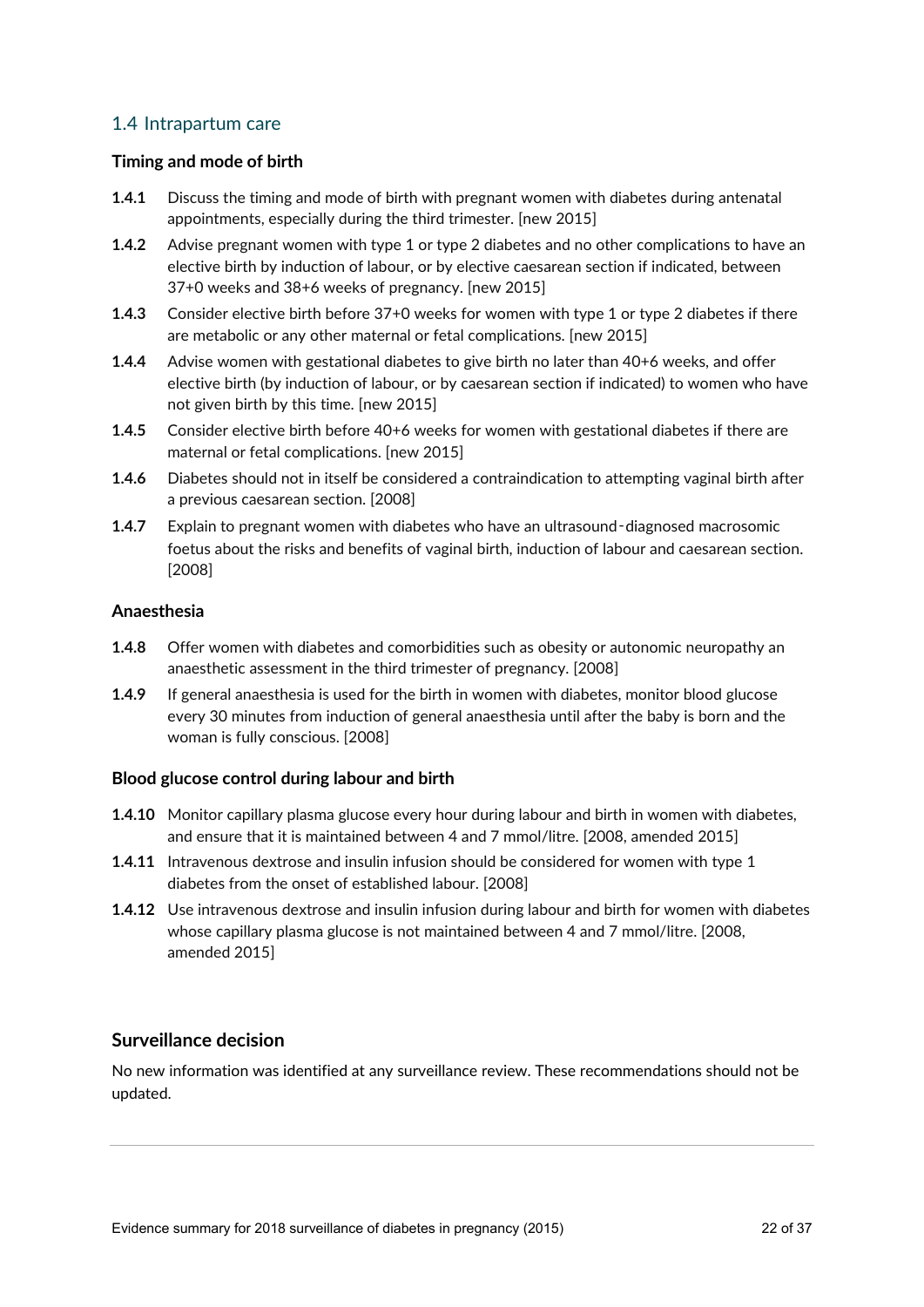## 1.4 Intrapartum care

### **Timing and mode of birth**

- **1.4.1** Discuss the timing and mode of birth with pregnant women with diabetes during antenatal appointments, especially during the third trimester. [new 2015]
- **1.4.2** Advise pregnant women with type 1 or type 2 diabetes and no other complications to have an elective birth by induction of labour, or by elective caesarean section if indicated, between 37+0 weeks and 38+6 weeks of pregnancy. [new 2015]
- **1.4.3** Consider elective birth before 37+0 weeks for women with type 1 or type 2 diabetes if there are metabolic or any other maternal or fetal complications. [new 2015]
- **1.4.4** Advise women with gestational diabetes to give birth no later than 40+6 weeks, and offer elective birth (by induction of labour, or by caesarean section if indicated) to women who have not given birth by this time. [new 2015]
- **1.4.5** Consider elective birth before 40+6 weeks for women with gestational diabetes if there are maternal or fetal complications. [new 2015]
- **1.4.6** Diabetes should not in itself be considered a contraindication to attempting vaginal birth after a previous caesarean section. [2008]
- **1.4.7** Explain to pregnant women with diabetes who have an ultrasound-diagnosed macrosomic foetus about the risks and benefits of vaginal birth, induction of labour and caesarean section. [2008]

#### **Anaesthesia**

- **1.4.8** Offer women with diabetes and comorbidities such as obesity or autonomic neuropathy an anaesthetic assessment in the third trimester of pregnancy. [2008]
- **1.4.9** If general anaesthesia is used for the birth in women with diabetes, monitor blood glucose every 30 minutes from induction of general anaesthesia until after the baby is born and the woman is fully conscious. [2008]

#### **Blood glucose control during labour and birth**

- **1.4.10** Monitor capillary plasma glucose every hour during labour and birth in women with diabetes, and ensure that it is maintained between 4 and 7 mmol/litre. [2008, amended 2015]
- **1.4.11** Intravenous dextrose and insulin infusion should be considered for women with type 1 diabetes from the onset of established labour. [2008]
- **1.4.12** Use intravenous dextrose and insulin infusion during labour and birth for women with diabetes whose capillary plasma glucose is not maintained between 4 and 7 mmol/litre. [2008, amended 2015]

## **Surveillance decision**

No new information was identified at any surveillance review. These recommendations should not be updated.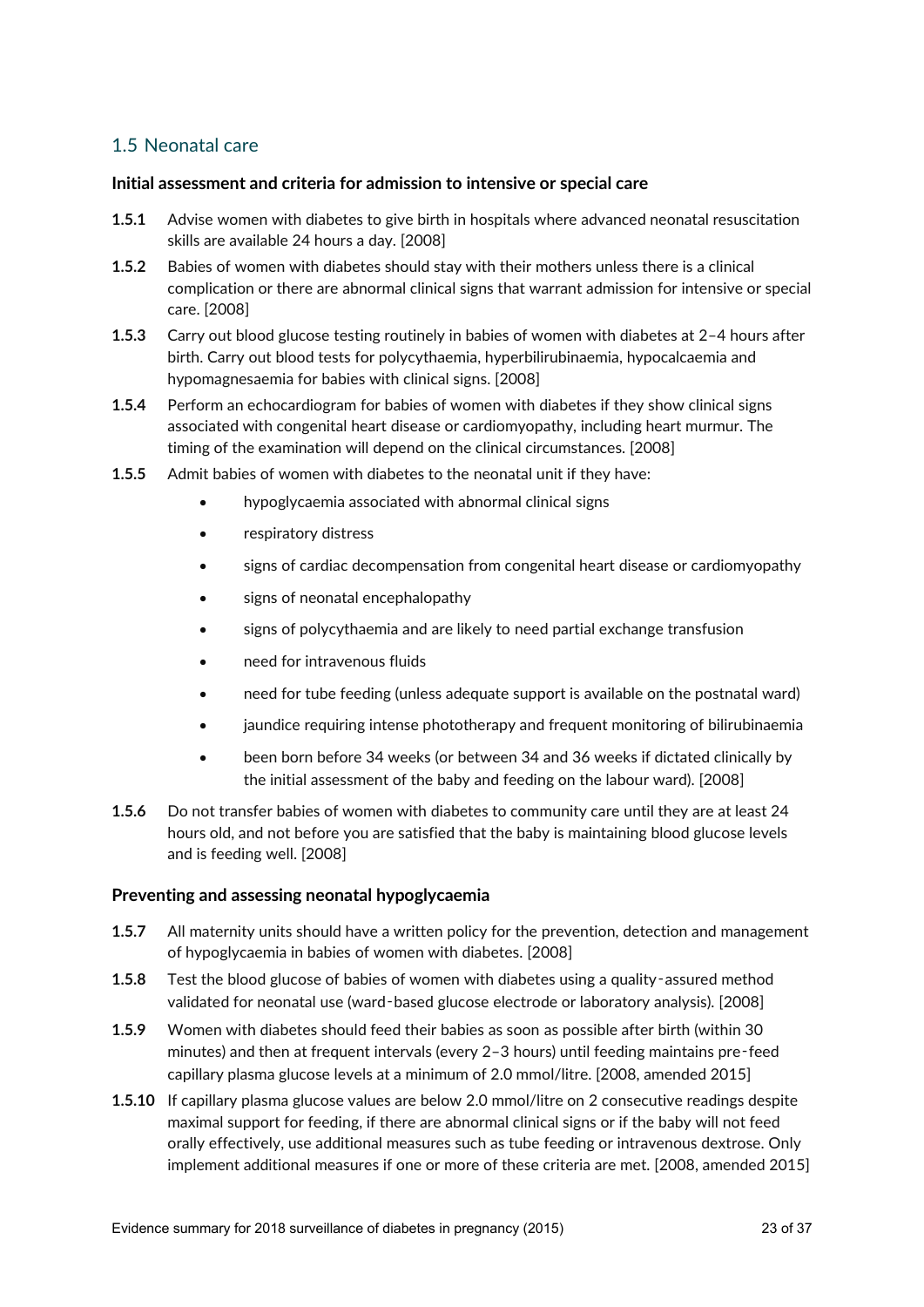## 1.5 Neonatal care

#### **Initial assessment and criteria for admission to intensive or special care**

- **1.5.1** Advise women with diabetes to give birth in hospitals where advanced neonatal resuscitation skills are available 24 hours a day. [2008]
- **1.5.2** Babies of women with diabetes should stay with their mothers unless there is a clinical complication or there are abnormal clinical signs that warrant admission for intensive or special care. [2008]
- **1.5.3** Carry out blood glucose testing routinely in babies of women with diabetes at 2–4 hours after birth. Carry out blood tests for polycythaemia, hyperbilirubinaemia, hypocalcaemia and hypomagnesaemia for babies with clinical signs. [2008]
- **1.5.4** Perform an echocardiogram for babies of women with diabetes if they show clinical signs associated with congenital heart disease or cardiomyopathy, including heart murmur. The timing of the examination will depend on the clinical circumstances. [2008]
- **1.5.5** Admit babies of women with diabetes to the neonatal unit if they have:
	- hypoglycaemia associated with abnormal clinical signs
	- respiratory distress
	- signs of cardiac decompensation from congenital heart disease or cardiomyopathy
	- signs of neonatal encephalopathy
	- signs of polycythaemia and are likely to need partial exchange transfusion
	- need for intravenous fluids
	- need for tube feeding (unless adequate support is available on the postnatal ward)
	- iaundice requiring intense phototherapy and frequent monitoring of bilirubinaemia
	- been born before 34 weeks (or between 34 and 36 weeks if dictated clinically by the initial assessment of the baby and feeding on the labour ward). [2008]
- **1.5.6** Do not transfer babies of women with diabetes to community care until they are at least 24 hours old, and not before you are satisfied that the baby is maintaining blood glucose levels and is feeding well. [2008]

#### **Preventing and assessing neonatal hypoglycaemia**

- **1.5.7** All maternity units should have a written policy for the prevention, detection and management of hypoglycaemia in babies of women with diabetes. [2008]
- **1.5.8** Test the blood glucose of babies of women with diabetes using a quality-assured method validated for neonatal use (ward‑based glucose electrode or laboratory analysis). [2008]
- **1.5.9** Women with diabetes should feed their babies as soon as possible after birth (within 30 minutes) and then at frequent intervals (every 2–3 hours) until feeding maintains pre‑feed capillary plasma glucose levels at a minimum of 2.0 mmol/litre. [2008, amended 2015]
- **1.5.10** If capillary plasma glucose values are below 2.0 mmol/litre on 2 consecutive readings despite maximal support for feeding, if there are abnormal clinical signs or if the baby will not feed orally effectively, use additional measures such as tube feeding or intravenous dextrose. Only implement additional measures if one or more of these criteria are met. [2008, amended 2015]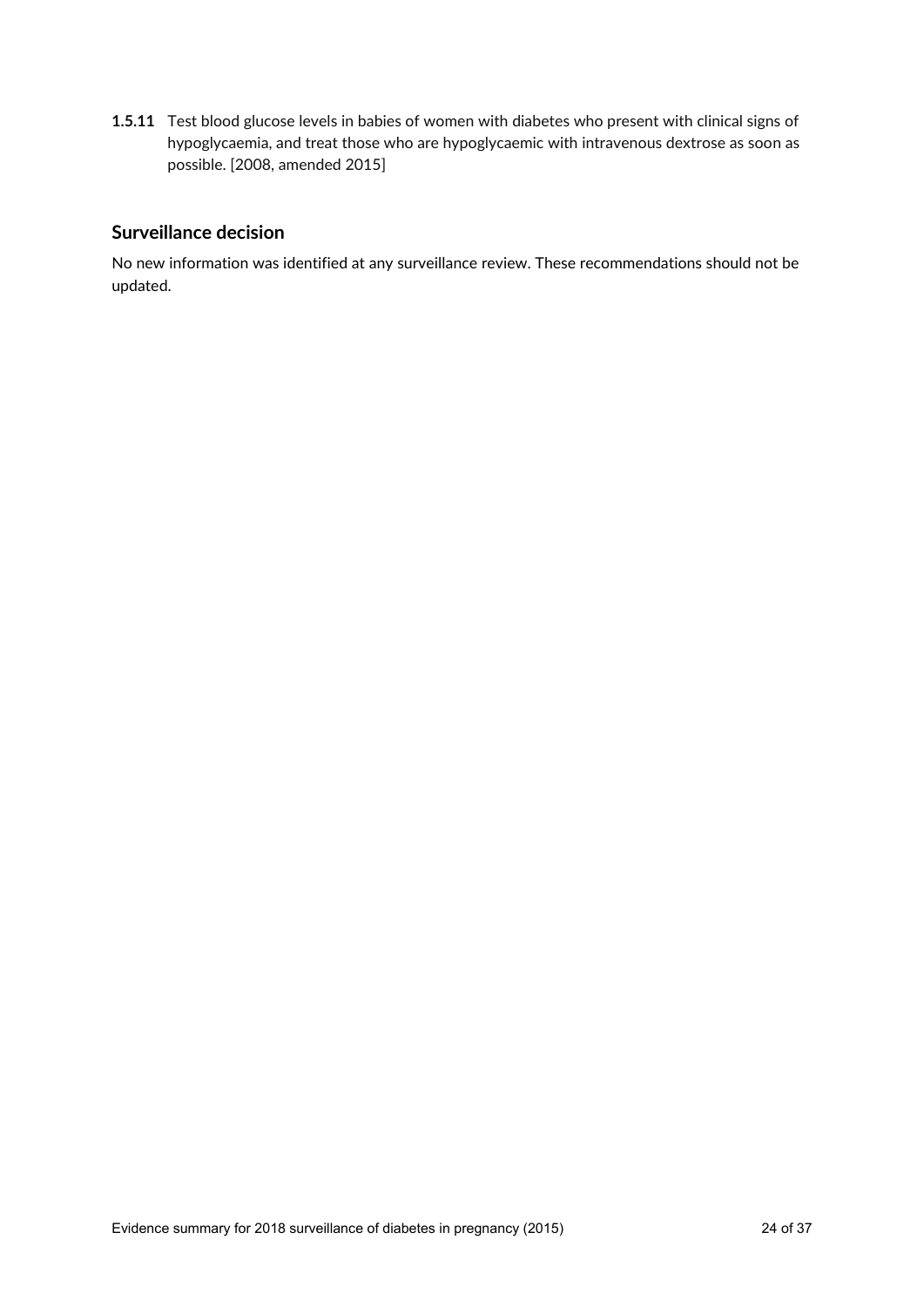**1.5.11** Test blood glucose levels in babies of women with diabetes who present with clinical signs of hypoglycaemia, and treat those who are hypoglycaemic with intravenous dextrose as soon as possible. [2008, amended 2015]

## **Surveillance decision**

No new information was identified at any surveillance review. These recommendations should not be updated.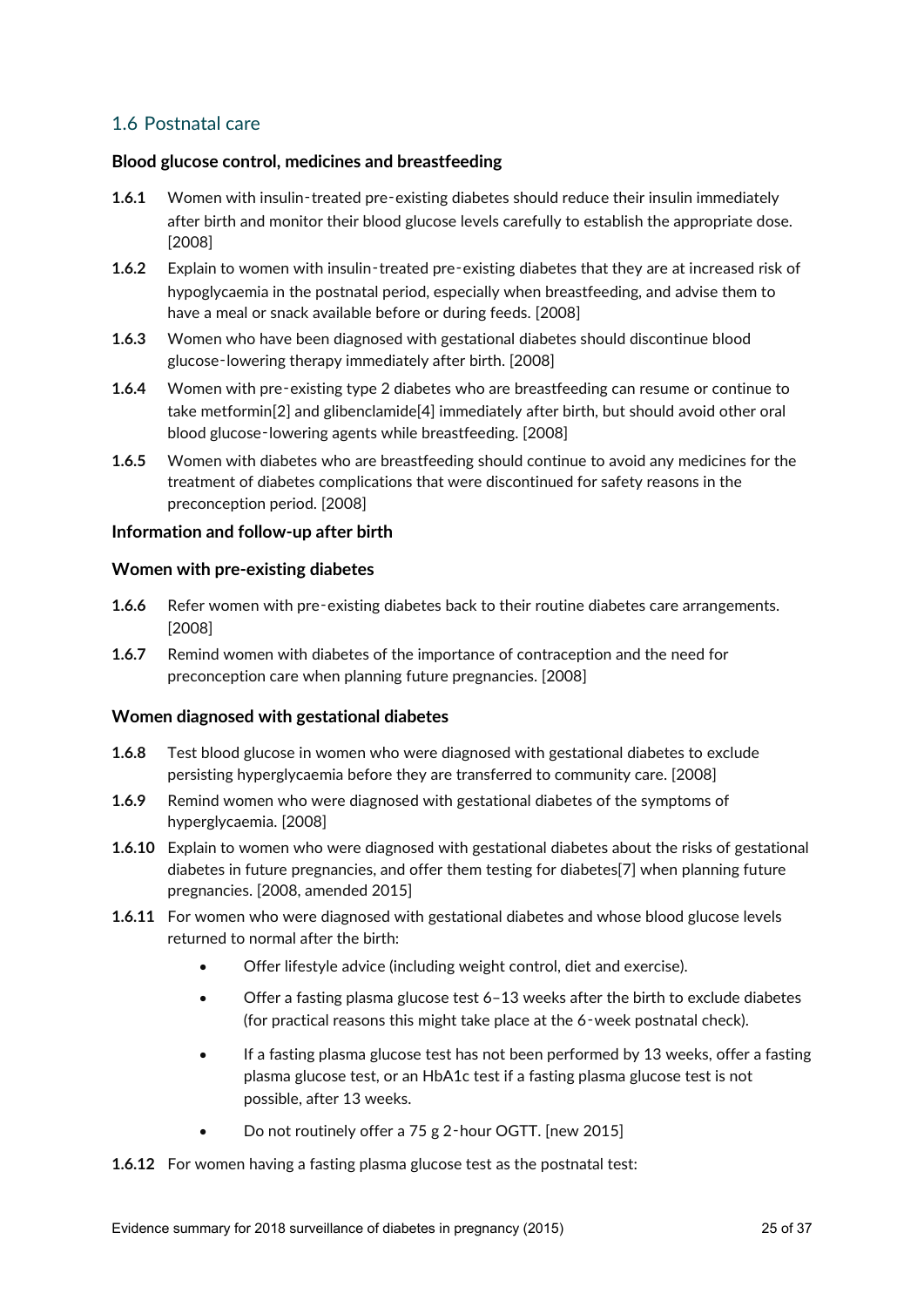## 1.6 Postnatal care

## **Blood glucose control, medicines and breastfeeding**

- **1.6.1** Women with insulin-treated pre-existing diabetes should reduce their insulin immediately after birth and monitor their blood glucose levels carefully to establish the appropriate dose. [2008]
- **1.6.2** Explain to women with insulin-treated pre-existing diabetes that they are at increased risk of hypoglycaemia in the postnatal period, especially when breastfeeding, and advise them to have a meal or snack available before or during feeds. [2008]
- **1.6.3** Women who have been diagnosed with gestational diabetes should discontinue blood glucose‑lowering therapy immediately after birth. [2008]
- **1.6.4** Women with pre‑existing type 2 diabetes who are breastfeeding can resume or continue to take metformin[2] and glibenclamide[4] immediately after birth, but should avoid other oral blood glucose-lowering agents while breastfeeding. [2008]
- **1.6.5** Women with diabetes who are breastfeeding should continue to avoid any medicines for the treatment of diabetes complications that were discontinued for safety reasons in the preconception period. [2008]

#### **Information and follow-up after birth**

#### **Women with pre-existing diabetes**

- **1.6.6** Refer women with pre-existing diabetes back to their routine diabetes care arrangements. [2008]
- **1.6.7** Remind women with diabetes of the importance of contraception and the need for preconception care when planning future pregnancies. [2008]

#### **Women diagnosed with gestational diabetes**

- **1.6.8** Test blood glucose in women who were diagnosed with gestational diabetes to exclude persisting hyperglycaemia before they are transferred to community care. [2008]
- **1.6.9** Remind women who were diagnosed with gestational diabetes of the symptoms of hyperglycaemia. [2008]
- **1.6.10** Explain to women who were diagnosed with gestational diabetes about the risks of gestational diabetes in future pregnancies, and offer them testing for diabetes[7] when planning future pregnancies. [2008, amended 2015]
- **1.6.11** For women who were diagnosed with gestational diabetes and whose blood glucose levels returned to normal after the birth:
	- Offer lifestyle advice (including weight control, diet and exercise).
	- Offer a fasting plasma glucose test 6–13 weeks after the birth to exclude diabetes (for practical reasons this might take place at the 6‑week postnatal check).
	- If a fasting plasma glucose test has not been performed by 13 weeks, offer a fasting plasma glucose test, or an HbA1c test if a fasting plasma glucose test is not possible, after 13 weeks.
	- Do not routinely offer a 75 g 2‑hour OGTT. [new 2015]

**1.6.12** For women having a fasting plasma glucose test as the postnatal test: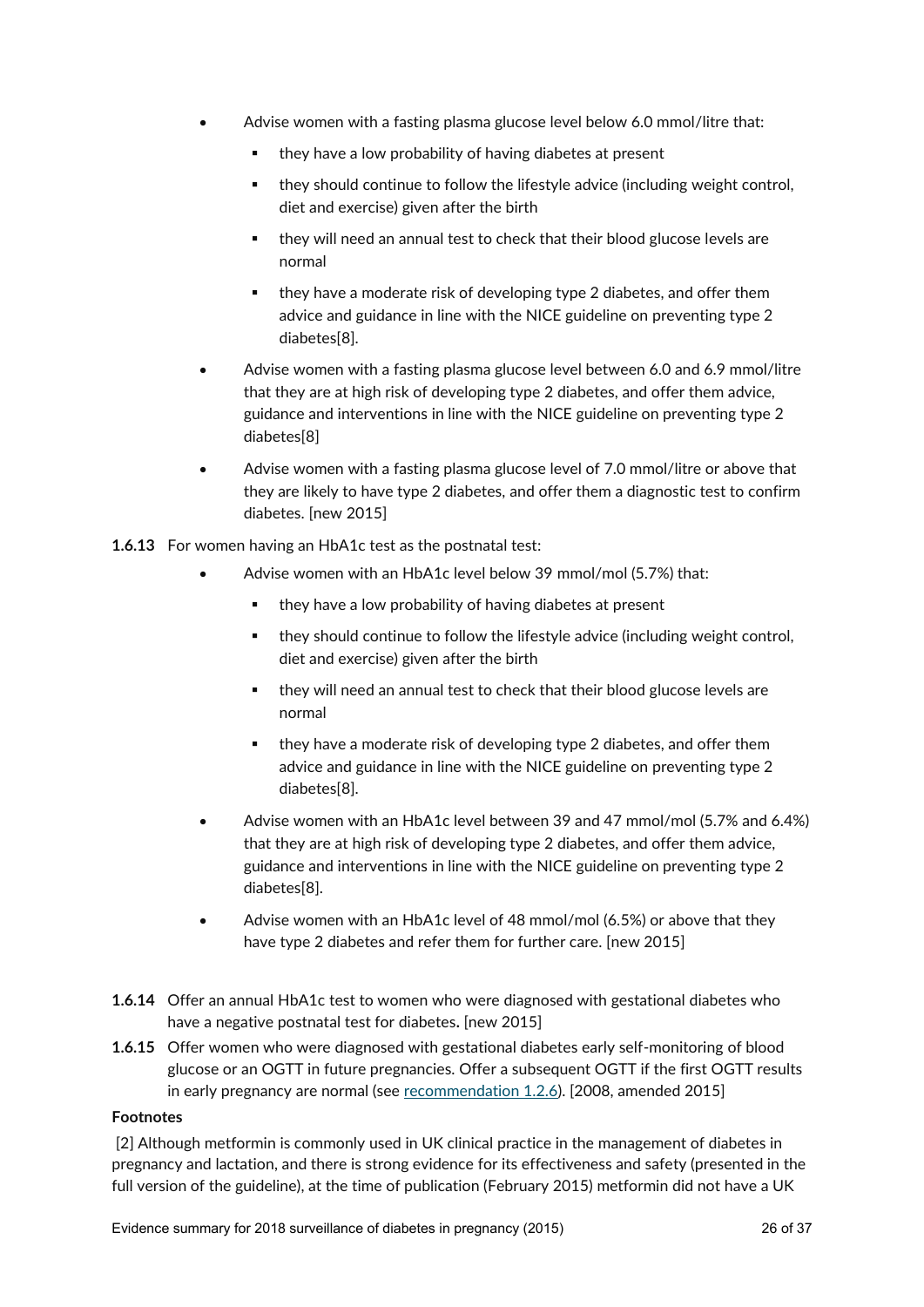- Advise women with a fasting plasma glucose level below 6.0 mmol/litre that:
	- **they have a low probability of having diabetes at present**
	- they should continue to follow the lifestyle advice (including weight control, diet and exercise) given after the birth
	- they will need an annual test to check that their blood glucose levels are normal
	- they have a moderate risk of developing type 2 diabetes, and offer them advice and guidance in line with the NICE guideline on preventing type 2 diabetes[8].
- Advise women with a fasting plasma glucose level between 6.0 and 6.9 mmol/litre that they are at high risk of developing type 2 diabetes, and offer them advice, guidance and interventions in line with the NICE guideline on preventing type 2 diabetes[8]
- Advise women with a fasting plasma glucose level of 7.0 mmol/litre or above that they are likely to have type 2 diabetes, and offer them a diagnostic test to confirm diabetes. [new 2015]
- **1.6.13** For women having an HbA1c test as the postnatal test:
	- Advise women with an HbA1c level below 39 mmol/mol (5.7%) that:
		- they have a low probability of having diabetes at present
		- they should continue to follow the lifestyle advice (including weight control, diet and exercise) given after the birth
		- they will need an annual test to check that their blood glucose levels are normal
		- they have a moderate risk of developing type 2 diabetes, and offer them advice and guidance in line with the NICE guideline on preventing type 2 diabetes[8].
	- Advise women with an HbA1c level between 39 and 47 mmol/mol (5.7% and 6.4%) that they are at high risk of developing type 2 diabetes, and offer them advice, guidance and interventions in line with the NICE guideline on preventing type 2 diabetes[8].
	- Advise women with an HbA1c level of 48 mmol/mol (6.5%) or above that they have type 2 diabetes and refer them for further care. [new 2015]
- **1.6.14** Offer an annual HbA1c test to women who were diagnosed with gestational diabetes who have a negative postnatal test for diabetes**.** [new 2015]
- **1.6.15** Offer women who were diagnosed with gestational diabetes early self-monitoring of blood glucose or an OGTT in future pregnancies. Offer a subsequent OGTT if the first OGTT results in early pregnancy are normal (see [recommendation 1.2.6\)](https://www.nice.org.uk/guidance/ng3/chapter/recommendations#testing). [2008, amended 2015]

#### **Footnotes**

[2] Although metformin is commonly used in UK clinical practice in the management of diabetes in pregnancy and lactation, and there is strong evidence for its effectiveness and safety (presented in the full version of the guideline), at the time of publication (February 2015) metformin did not have a UK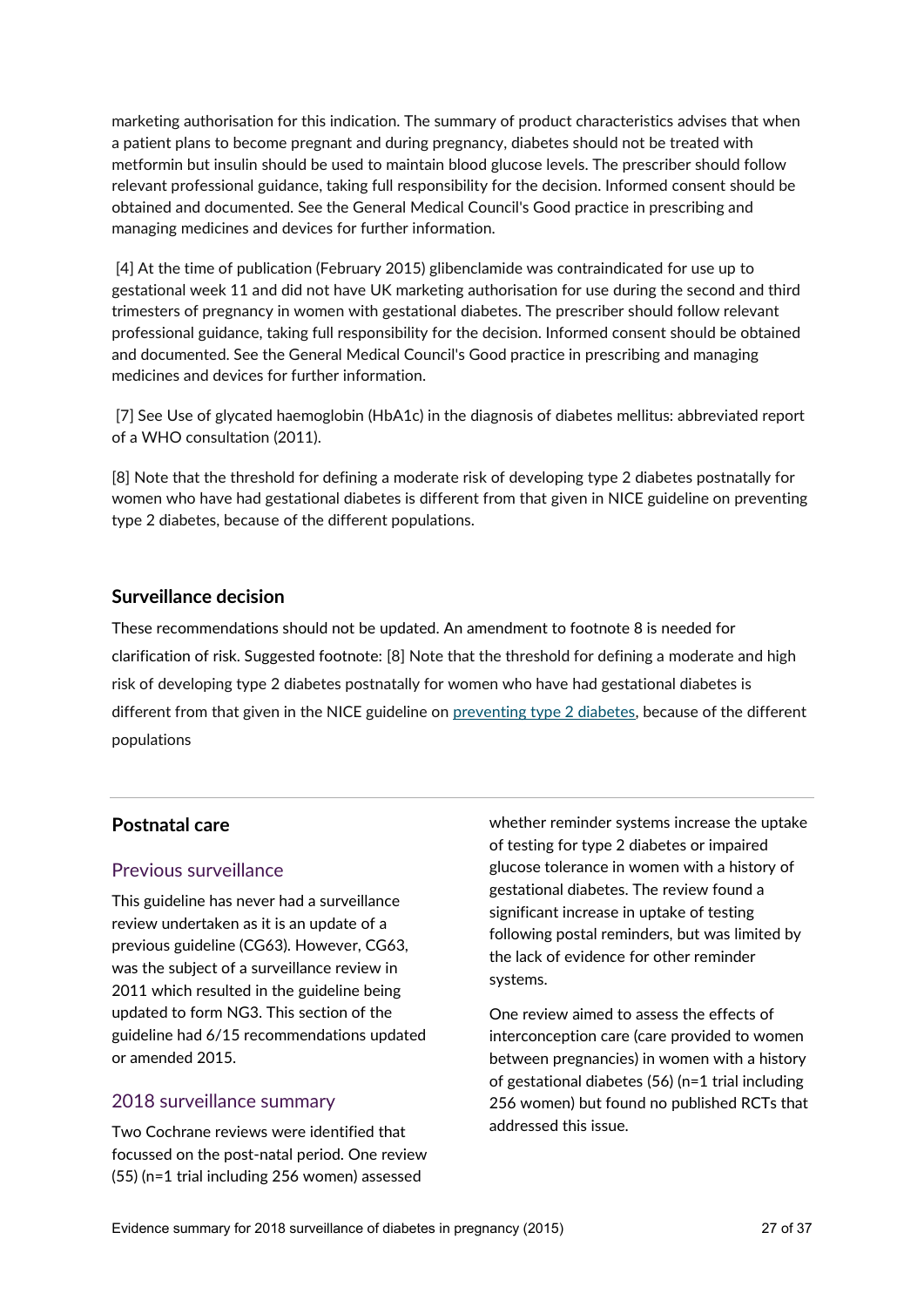marketing authorisation for this indication. The summary of product characteristics advises that when a patient plans to become pregnant and during pregnancy, diabetes should not be treated with metformin but insulin should be used to maintain blood glucose levels. The prescriber should follow relevant professional guidance, taking full responsibility for the decision. Informed consent should be obtained and documented. See the General Medical Council's Good practice in prescribing and managing medicines and devices for further information.

[4] At the time of publication (February 2015) glibenclamide was contraindicated for use up to gestational week 11 and did not have UK marketing authorisation for use during the second and third trimesters of pregnancy in women with gestational diabetes. The prescriber should follow relevant professional guidance, taking full responsibility for the decision. Informed consent should be obtained and documented. See the General Medical Council's Good practice in prescribing and managing medicines and devices for further information.

[7] See Use of glycated haemoglobin (HbA1c) in the diagnosis of diabetes mellitus: abbreviated report of a WHO consultation (2011).

[8] Note that the threshold for defining a moderate risk of developing type 2 diabetes postnatally for women who have had gestational diabetes is different from that given in NICE guideline on preventing type 2 diabetes, because of the different populations.

## **Surveillance decision**

These recommendations should not be updated. An amendment to footnote 8 is needed for clarification of risk. Suggested footnote: [8] Note that the threshold for defining a moderate and high risk of developing type 2 diabetes postnatally for women who have had gestational diabetes is different from that given in the NICE guideline on [preventing type 2 diabetes,](http://www.nice.org.uk/guidance/ph38/chapter/1-recommendations) because of the different populations

## **Postnatal care**

## Previous surveillance

This guideline has never had a surveillance review undertaken as it is an update of a previous guideline (CG63). However, CG63, was the subject of a surveillance review in 2011 which resulted in the guideline being updated to form NG3. This section of the guideline had 6/15 recommendations updated or amended 2015.

## 2018 surveillance summary

Two Cochrane reviews were identified that focussed on the post-natal period. One review (55) (n=1 trial including 256 women) assessed

whether reminder systems increase the uptake of testing for type 2 diabetes or impaired glucose tolerance in women with a history of gestational diabetes. The review found a significant increase in uptake of testing following postal reminders, but was limited by the lack of evidence for other reminder systems.

One review aimed to assess the effects of interconception care (care provided to women between pregnancies) in women with a history of gestational diabetes (56) (n=1 trial including 256 women) but found no published RCTs that addressed this issue.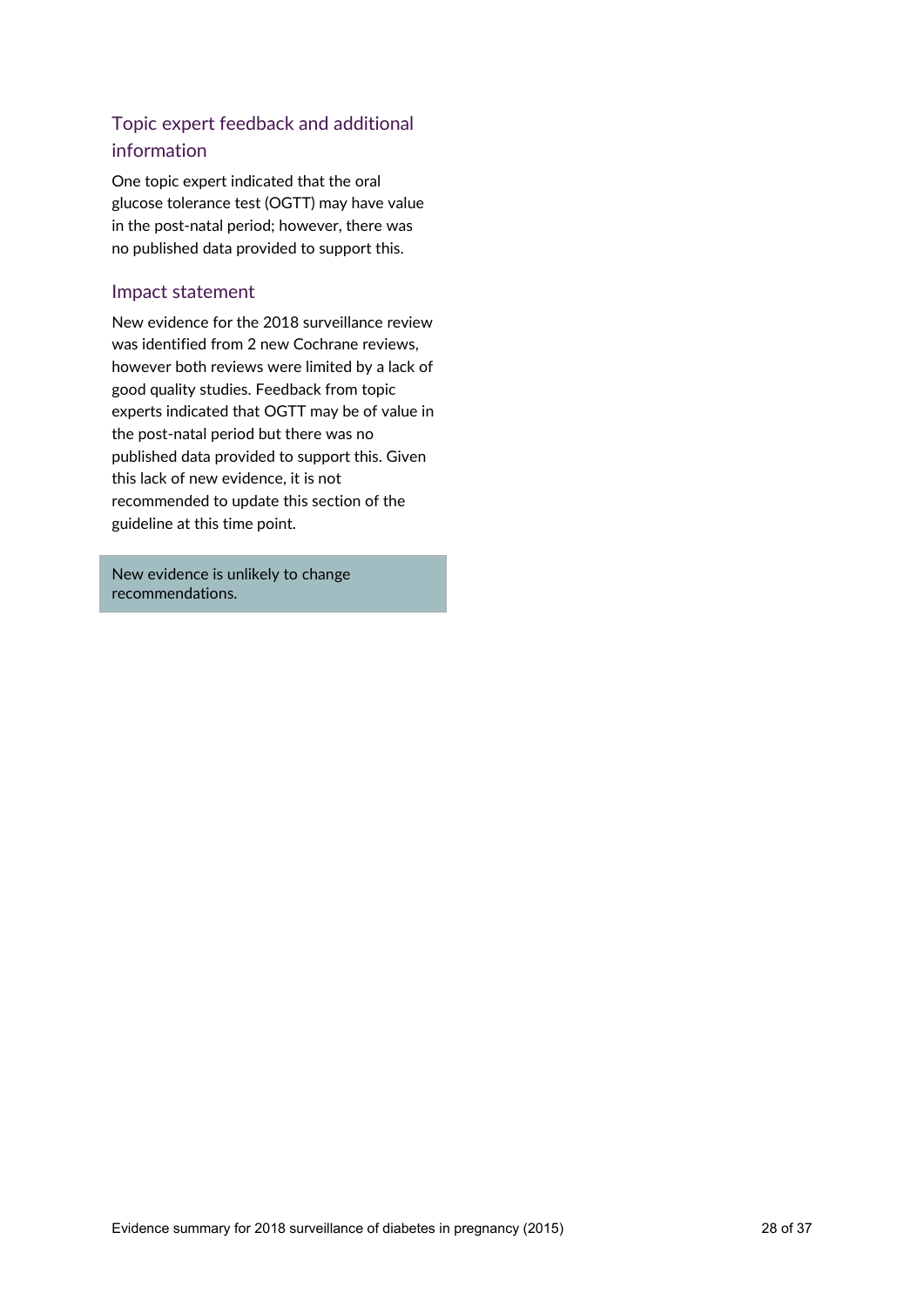## Topic expert feedback and additional information

One topic expert indicated that the oral glucose tolerance test (OGTT) may have value in the post-natal period; however, there was no published data provided to support this.

## Impact statement

New evidence for the 2018 surveillance review was identified from 2 new Cochrane reviews, however both reviews were limited by a lack of good quality studies. Feedback from topic experts indicated that OGTT may be of value in the post-natal period but there was no published data provided to support this. Given this lack of new evidence, it is not recommended to update this section of the guideline at this time point.

New evidence is unlikely to change recommendations.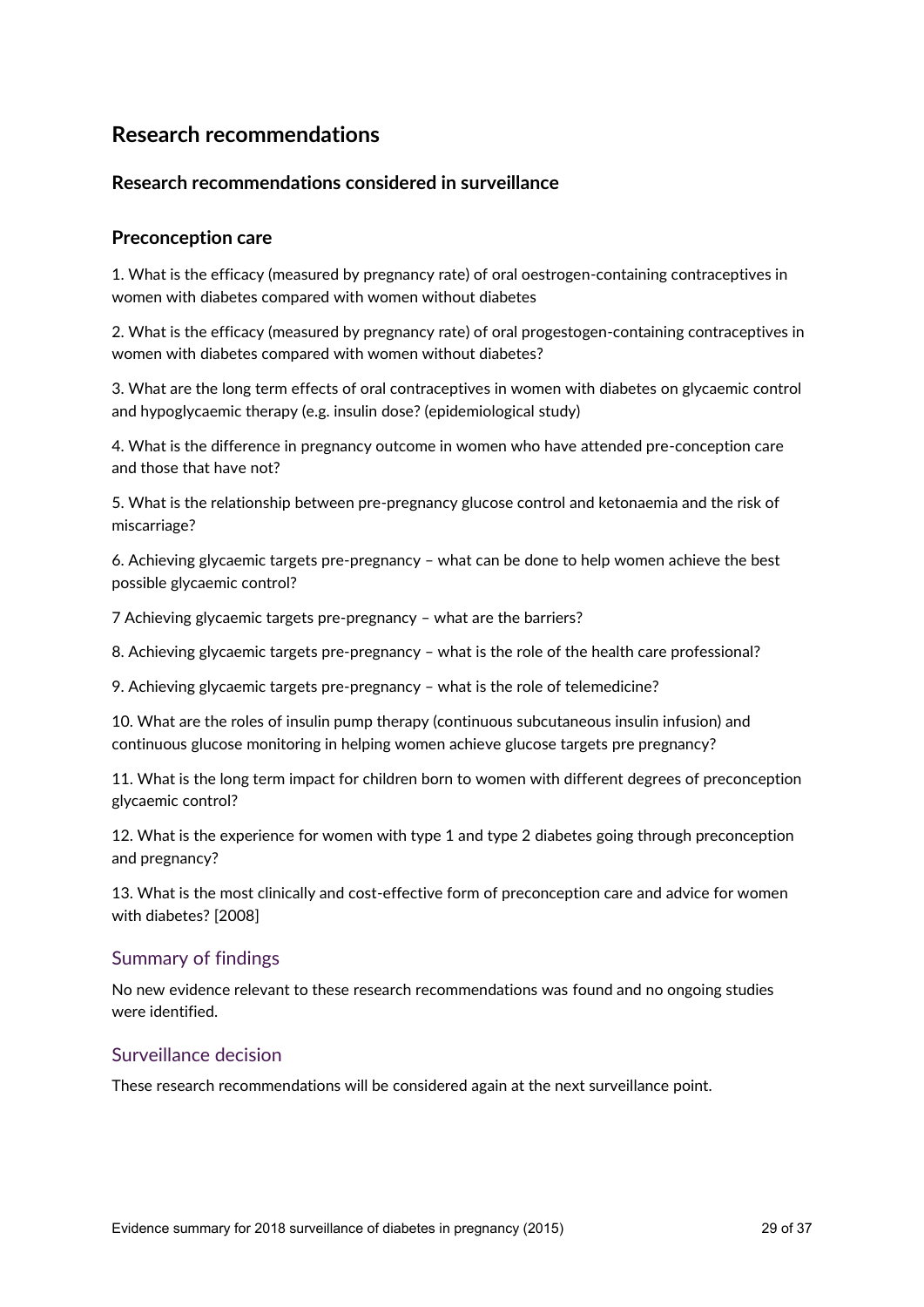## **Research recommendations**

## **Research recommendations considered in surveillance**

## **Preconception care**

1. What is the efficacy (measured by pregnancy rate) of oral oestrogen-containing contraceptives in women with diabetes compared with women without diabetes

2. What is the efficacy (measured by pregnancy rate) of oral progestogen-containing contraceptives in women with diabetes compared with women without diabetes?

3. What are the long term effects of oral contraceptives in women with diabetes on glycaemic control and hypoglycaemic therapy (e.g. insulin dose? (epidemiological study)

4. What is the difference in pregnancy outcome in women who have attended pre-conception care and those that have not?

5. What is the relationship between pre-pregnancy glucose control and ketonaemia and the risk of miscarriage?

6. Achieving glycaemic targets pre-pregnancy – what can be done to help women achieve the best possible glycaemic control?

7 Achieving glycaemic targets pre-pregnancy – what are the barriers?

8. Achieving glycaemic targets pre-pregnancy – what is the role of the health care professional?

9. Achieving glycaemic targets pre-pregnancy – what is the role of telemedicine?

10. What are the roles of insulin pump therapy (continuous subcutaneous insulin infusion) and continuous glucose monitoring in helping women achieve glucose targets pre pregnancy?

11. What is the long term impact for children born to women with different degrees of preconception glycaemic control?

12. What is the experience for women with type 1 and type 2 diabetes going through preconception and pregnancy?

13. What is the most clinically and cost-effective form of preconception care and advice for women with diabetes? [2008]

## Summary of findings

No new evidence relevant to these research recommendations was found and no ongoing studies were identified.

## Surveillance decision

These research recommendations will be considered again at the next surveillance point.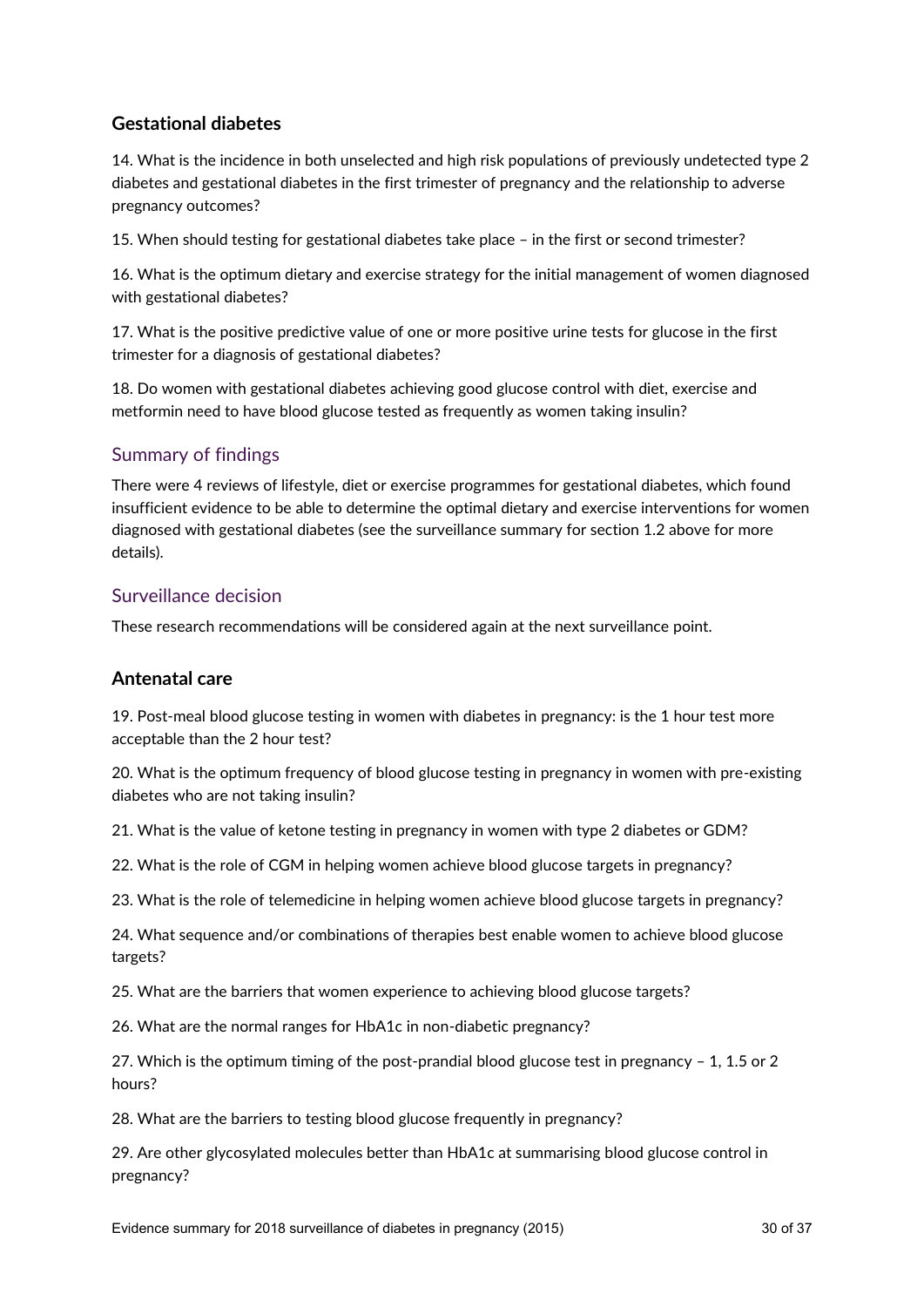## **Gestational diabetes**

14. What is the incidence in both unselected and high risk populations of previously undetected type 2 diabetes and gestational diabetes in the first trimester of pregnancy and the relationship to adverse pregnancy outcomes?

15. When should testing for gestational diabetes take place – in the first or second trimester?

16. What is the optimum dietary and exercise strategy for the initial management of women diagnosed with gestational diabetes?

17. What is the positive predictive value of one or more positive urine tests for glucose in the first trimester for a diagnosis of gestational diabetes?

18. Do women with gestational diabetes achieving good glucose control with diet, exercise and metformin need to have blood glucose tested as frequently as women taking insulin?

## Summary of findings

There were 4 reviews of lifestyle, diet or exercise programmes for gestational diabetes, which found insufficient evidence to be able to determine the optimal dietary and exercise interventions for women diagnosed with gestational diabetes (see the surveillance summary for section 1.2 above for more details).

## Surveillance decision

These research recommendations will be considered again at the next surveillance point.

## **Antenatal care**

19. Post-meal blood glucose testing in women with diabetes in pregnancy: is the 1 hour test more acceptable than the 2 hour test?

20. What is the optimum frequency of blood glucose testing in pregnancy in women with pre-existing diabetes who are not taking insulin?

21. What is the value of ketone testing in pregnancy in women with type 2 diabetes or GDM?

22. What is the role of CGM in helping women achieve blood glucose targets in pregnancy?

23. What is the role of telemedicine in helping women achieve blood glucose targets in pregnancy?

24. What sequence and/or combinations of therapies best enable women to achieve blood glucose targets?

25. What are the barriers that women experience to achieving blood glucose targets?

26. What are the normal ranges for HbA1c in non-diabetic pregnancy?

27. Which is the optimum timing of the post-prandial blood glucose test in pregnancy – 1, 1.5 or 2 hours?

28. What are the barriers to testing blood glucose frequently in pregnancy?

29. Are other glycosylated molecules better than HbA1c at summarising blood glucose control in pregnancy?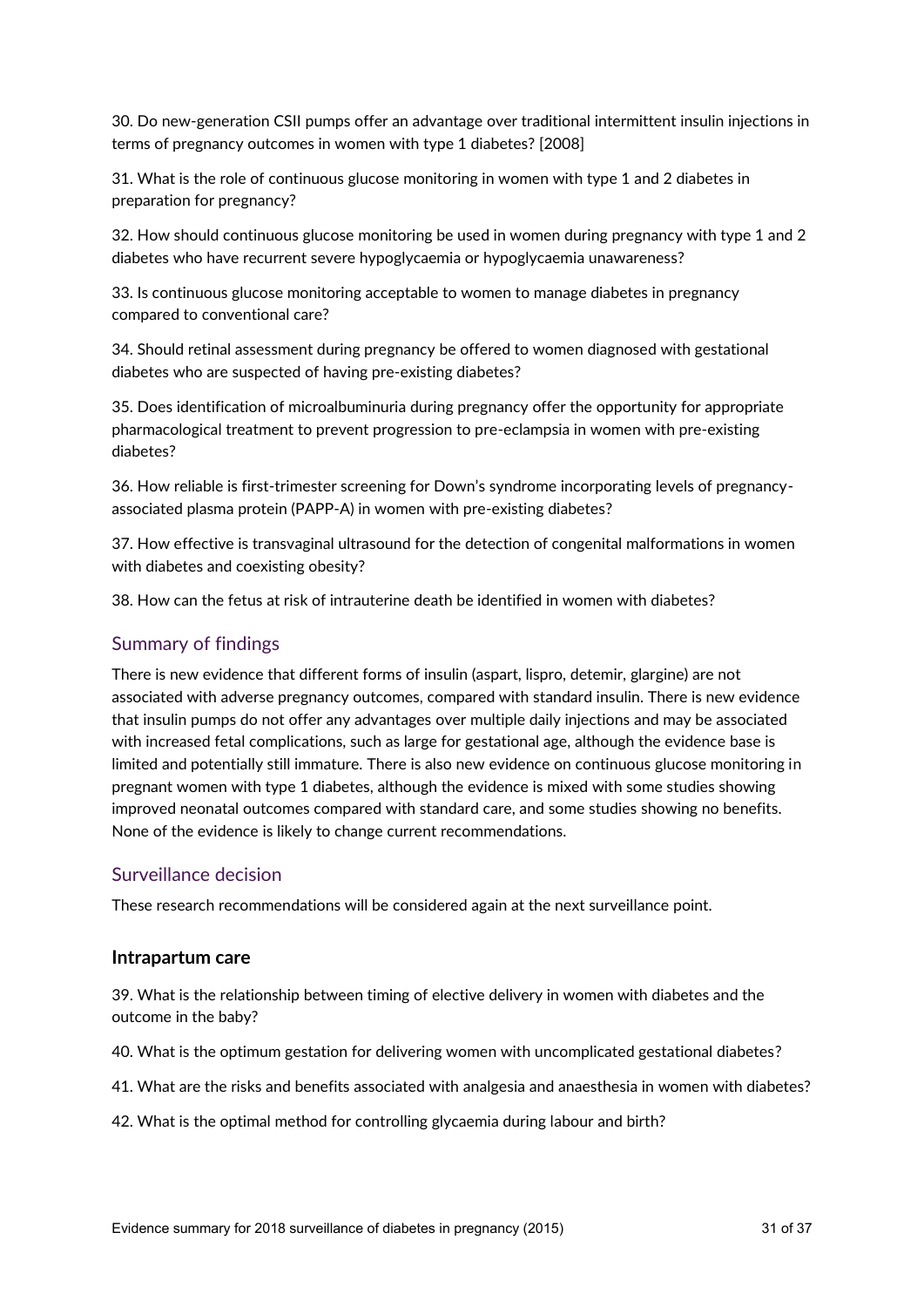30. Do new-generation CSII pumps offer an advantage over traditional intermittent insulin injections in terms of pregnancy outcomes in women with type 1 diabetes? [2008]

31. What is the role of continuous glucose monitoring in women with type 1 and 2 diabetes in preparation for pregnancy?

32. How should continuous glucose monitoring be used in women during pregnancy with type 1 and 2 diabetes who have recurrent severe hypoglycaemia or hypoglycaemia unawareness?

33. Is continuous glucose monitoring acceptable to women to manage diabetes in pregnancy compared to conventional care?

34. Should retinal assessment during pregnancy be offered to women diagnosed with gestational diabetes who are suspected of having pre-existing diabetes?

35. Does identification of microalbuminuria during pregnancy offer the opportunity for appropriate pharmacological treatment to prevent progression to pre-eclampsia in women with pre-existing diabetes?

36. How reliable is first-trimester screening for Down's syndrome incorporating levels of pregnancyassociated plasma protein (PAPP-A) in women with pre-existing diabetes?

37. How effective is transvaginal ultrasound for the detection of congenital malformations in women with diabetes and coexisting obesity?

38. How can the fetus at risk of intrauterine death be identified in women with diabetes?

### Summary of findings

There is new evidence that different forms of insulin (aspart, lispro, detemir, glargine) are not associated with adverse pregnancy outcomes, compared with standard insulin. There is new evidence that insulin pumps do not offer any advantages over multiple daily injections and may be associated with increased fetal complications, such as large for gestational age, although the evidence base is limited and potentially still immature. There is also new evidence on continuous glucose monitoring in pregnant women with type 1 diabetes, although the evidence is mixed with some studies showing improved neonatal outcomes compared with standard care, and some studies showing no benefits. None of the evidence is likely to change current recommendations.

#### Surveillance decision

These research recommendations will be considered again at the next surveillance point.

#### **Intrapartum care**

39. What is the relationship between timing of elective delivery in women with diabetes and the outcome in the baby?

40. What is the optimum gestation for delivering women with uncomplicated gestational diabetes?

41. What are the risks and benefits associated with analgesia and anaesthesia in women with diabetes?

42. What is the optimal method for controlling glycaemia during labour and birth?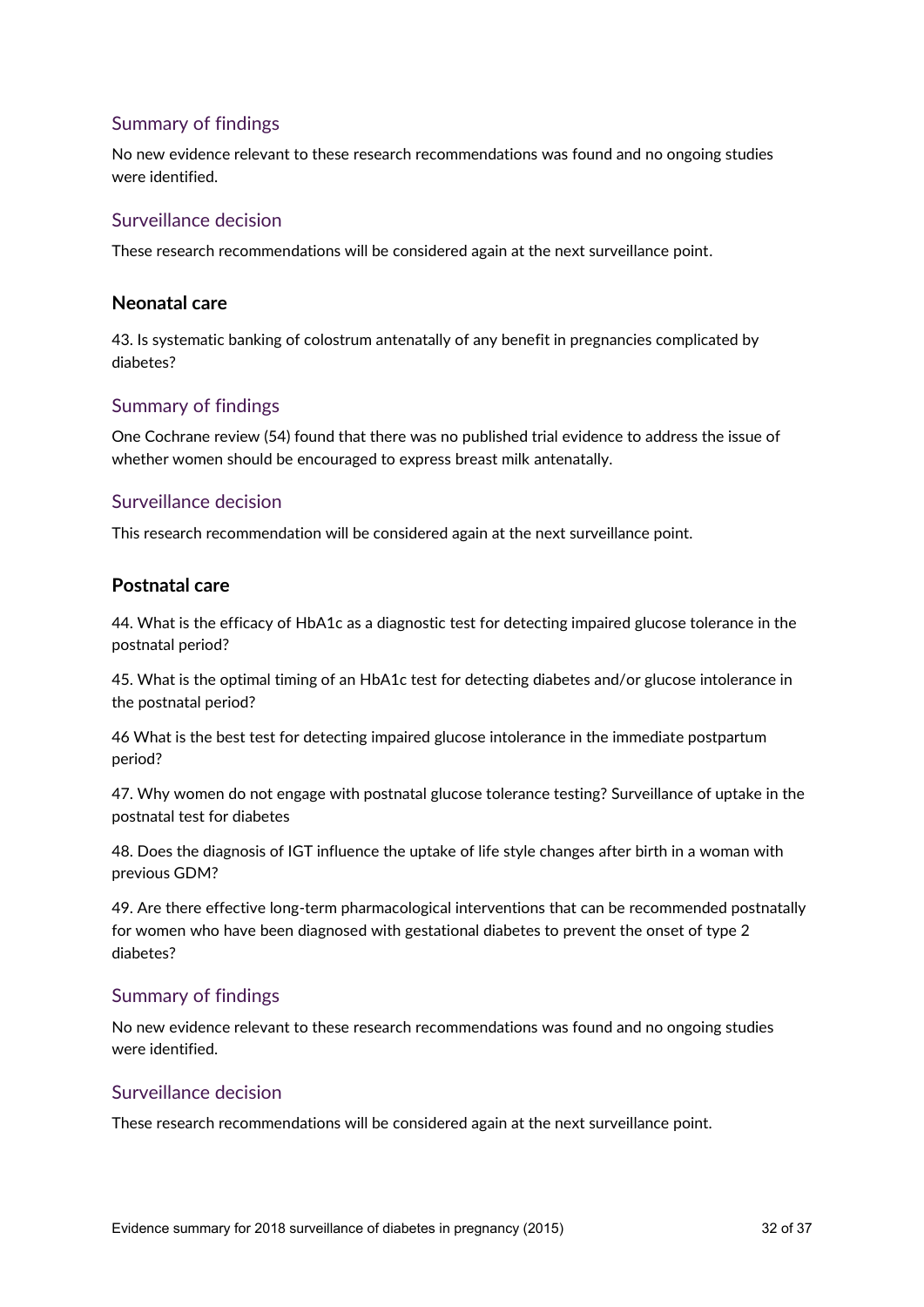## Summary of findings

No new evidence relevant to these research recommendations was found and no ongoing studies were identified.

## Surveillance decision

These research recommendations will be considered again at the next surveillance point.

### **Neonatal care**

43. Is systematic banking of colostrum antenatally of any benefit in pregnancies complicated by diabetes?

## Summary of findings

One Cochrane review (54) found that there was no published trial evidence to address the issue of whether women should be encouraged to express breast milk antenatally.

## Surveillance decision

This research recommendation will be considered again at the next surveillance point.

## **Postnatal care**

44. What is the efficacy of HbA1c as a diagnostic test for detecting impaired glucose tolerance in the postnatal period?

45. What is the optimal timing of an HbA1c test for detecting diabetes and/or glucose intolerance in the postnatal period?

46 What is the best test for detecting impaired glucose intolerance in the immediate postpartum period?

47. Why women do not engage with postnatal glucose tolerance testing? Surveillance of uptake in the postnatal test for diabetes

48. Does the diagnosis of IGT influence the uptake of life style changes after birth in a woman with previous GDM?

49. Are there effective long-term pharmacological interventions that can be recommended postnatally for women who have been diagnosed with gestational diabetes to prevent the onset of type 2 diabetes?

## Summary of findings

No new evidence relevant to these research recommendations was found and no ongoing studies were identified.

#### Surveillance decision

These research recommendations will be considered again at the next surveillance point.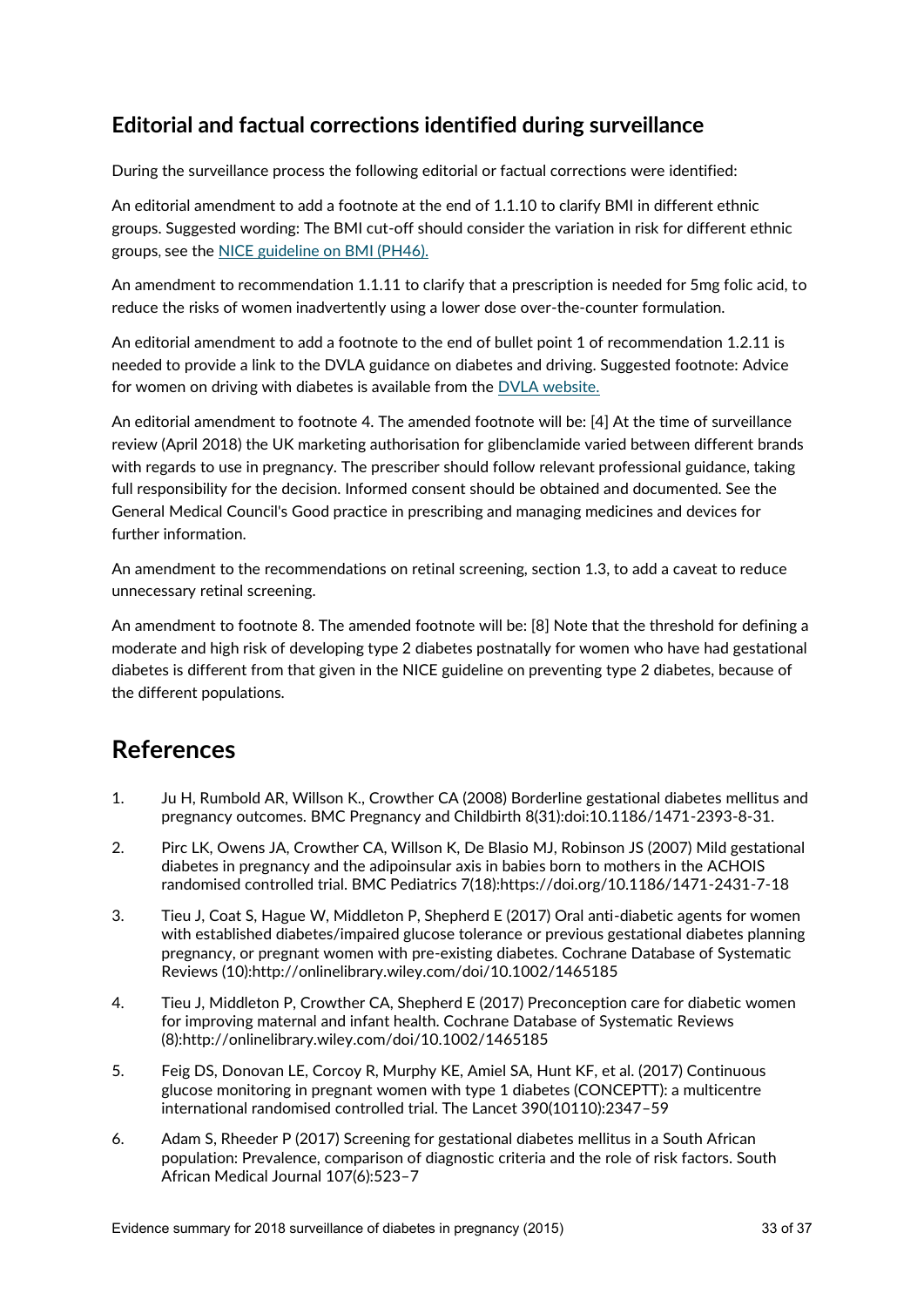## **Editorial and factual corrections identified during surveillance**

During the surveillance process the following editorial or factual corrections were identified:

An editorial amendment to add a footnote at the end of 1.1.10 to clarify BMI in different ethnic groups. Suggested wording: The BMI cut-off should consider the variation in risk for different ethnic groups, see the [NICE guideline on BMI \(PH46\).](https://www.nice.org.uk/guidance/ph46/chapter/1-Recommendations) 

An amendment to recommendation 1.1.11 to clarify that a prescription is needed for 5mg folic acid, to reduce the risks of women inadvertently using a lower dose over-the-counter formulation.

An editorial amendment to add a footnote to the end of bullet point 1 of recommendation 1.2.11 is needed to provide a link to the DVLA guidance on diabetes and driving. Suggested footnote: Advice for women on driving with diabetes is available from the [DVLA website.](https://www.gov.uk/diabetes-driving)

An editorial amendment to footnote 4. The amended footnote will be: [4] At the time of surveillance review (April 2018) the UK marketing authorisation for glibenclamide varied between different brands with regards to use in pregnancy. The prescriber should follow relevant professional guidance, taking full responsibility for the decision. Informed consent should be obtained and documented. See the General Medical Council's Good practice in prescribing and managing medicines and devices for further information.

An amendment to the recommendations on retinal screening, section 1.3, to add a caveat to reduce unnecessary retinal screening.

An amendment to footnote 8. The amended footnote will be: [8] Note that the threshold for defining a moderate and high risk of developing type 2 diabetes postnatally for women who have had gestational diabetes is different from that given in the NICE guideline on preventing type 2 diabetes, because of the different populations.

## **References**

- 1. Ju H, Rumbold AR, Willson K., Crowther CA (2008) Borderline gestational diabetes mellitus and pregnancy outcomes. BMC Pregnancy and Childbirth 8(31):doi:10.1186/1471-2393-8-31.
- 2. Pirc LK, Owens JA, Crowther CA, Willson K, De Blasio MJ, Robinson JS (2007) Mild gestational diabetes in pregnancy and the adipoinsular axis in babies born to mothers in the ACHOIS randomised controlled trial. BMC Pediatrics 7(18):https://doi.org/10.1186/1471-2431-7-18
- 3. Tieu J, Coat S, Hague W, Middleton P, Shepherd E (2017) Oral anti-diabetic agents for women with established diabetes/impaired glucose tolerance or previous gestational diabetes planning pregnancy, or pregnant women with pre-existing diabetes. Cochrane Database of Systematic Reviews (10):http://onlinelibrary.wiley.com/doi/10.1002/1465185
- 4. Tieu J, Middleton P, Crowther CA, Shepherd E (2017) Preconception care for diabetic women for improving maternal and infant health. Cochrane Database of Systematic Reviews (8):http://onlinelibrary.wiley.com/doi/10.1002/1465185
- 5. Feig DS, Donovan LE, Corcoy R, Murphy KE, Amiel SA, Hunt KF, et al. (2017) Continuous glucose monitoring in pregnant women with type 1 diabetes (CONCEPTT): a multicentre international randomised controlled trial. The Lancet 390(10110):2347–59
- 6. Adam S, Rheeder P (2017) Screening for gestational diabetes mellitus in a South African population: Prevalence, comparison of diagnostic criteria and the role of risk factors. South African Medical Journal 107(6):523–7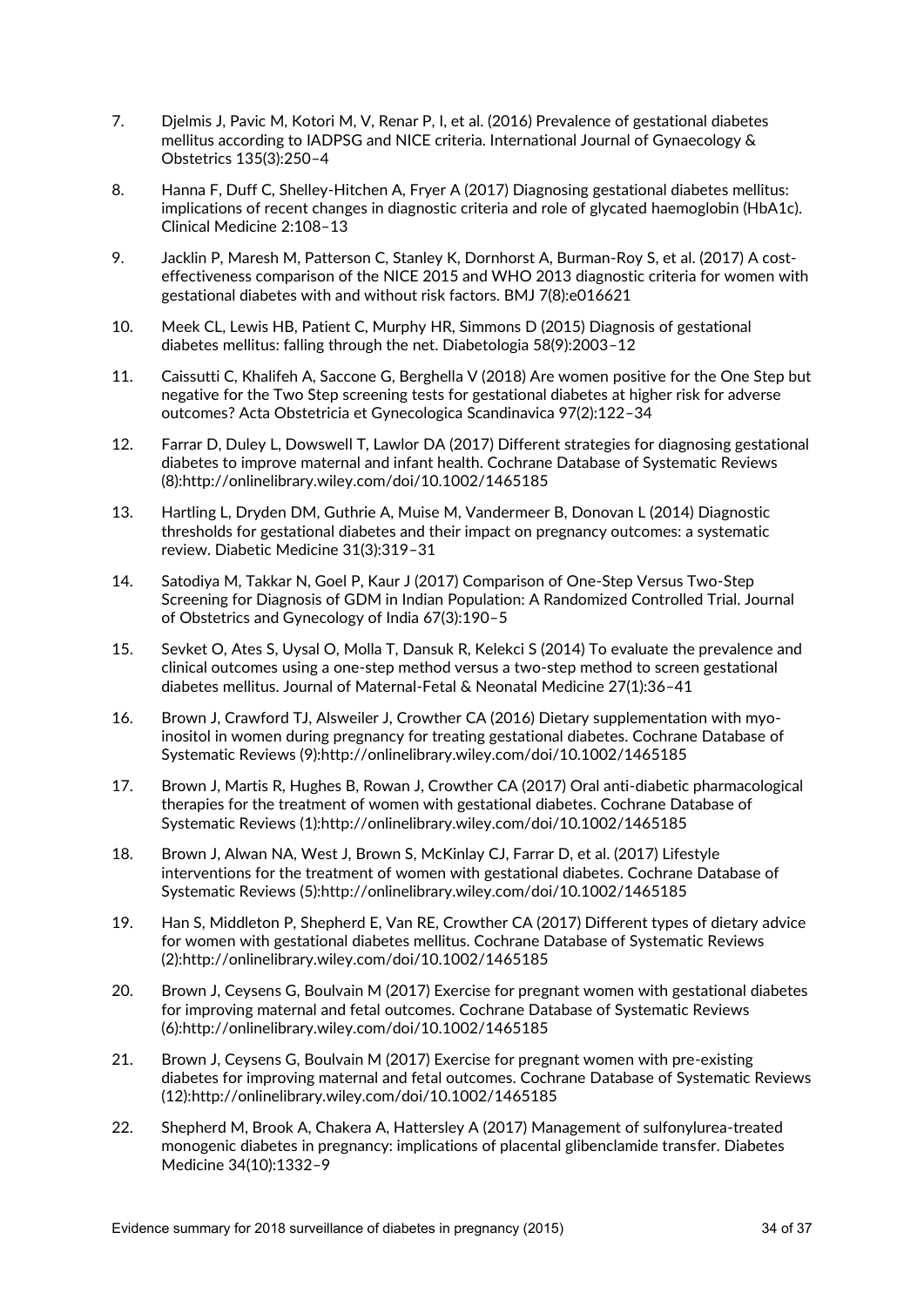- 7. Djelmis J, Pavic M, Kotori M, V, Renar P, I, et al. (2016) Prevalence of gestational diabetes mellitus according to IADPSG and NICE criteria. International Journal of Gynaecology & Obstetrics 135(3):250–4
- 8. Hanna F, Duff C, Shelley-Hitchen A, Fryer A (2017) Diagnosing gestational diabetes mellitus: implications of recent changes in diagnostic criteria and role of glycated haemoglobin (HbA1c). Clinical Medicine 2:108–13
- 9. Jacklin P, Maresh M, Patterson C, Stanley K, Dornhorst A, Burman-Roy S, et al. (2017) A costeffectiveness comparison of the NICE 2015 and WHO 2013 diagnostic criteria for women with gestational diabetes with and without risk factors. BMJ 7(8):e016621
- 10. Meek CL, Lewis HB, Patient C, Murphy HR, Simmons D (2015) Diagnosis of gestational diabetes mellitus: falling through the net. Diabetologia 58(9):2003–12
- 11. Caissutti C, Khalifeh A, Saccone G, Berghella V (2018) Are women positive for the One Step but negative for the Two Step screening tests for gestational diabetes at higher risk for adverse outcomes? Acta Obstetricia et Gynecologica Scandinavica 97(2):122–34
- 12. Farrar D, Duley L, Dowswell T, Lawlor DA (2017) Different strategies for diagnosing gestational diabetes to improve maternal and infant health. Cochrane Database of Systematic Reviews (8):http://onlinelibrary.wiley.com/doi/10.1002/1465185
- 13. Hartling L, Dryden DM, Guthrie A, Muise M, Vandermeer B, Donovan L (2014) Diagnostic thresholds for gestational diabetes and their impact on pregnancy outcomes: a systematic review. Diabetic Medicine 31(3):319–31
- 14. Satodiya M, Takkar N, Goel P, Kaur J (2017) Comparison of One-Step Versus Two-Step Screening for Diagnosis of GDM in Indian Population: A Randomized Controlled Trial. Journal of Obstetrics and Gynecology of India 67(3):190–5
- 15. Sevket O, Ates S, Uysal O, Molla T, Dansuk R, Kelekci S (2014) To evaluate the prevalence and clinical outcomes using a one-step method versus a two-step method to screen gestational diabetes mellitus. Journal of Maternal-Fetal & Neonatal Medicine 27(1):36–41
- 16. Brown J, Crawford TJ, Alsweiler J, Crowther CA (2016) Dietary supplementation with myoinositol in women during pregnancy for treating gestational diabetes. Cochrane Database of Systematic Reviews (9):http://onlinelibrary.wiley.com/doi/10.1002/1465185
- 17. Brown J, Martis R, Hughes B, Rowan J, Crowther CA (2017) Oral anti-diabetic pharmacological therapies for the treatment of women with gestational diabetes. Cochrane Database of Systematic Reviews (1):http://onlinelibrary.wiley.com/doi/10.1002/1465185
- 18. Brown J, Alwan NA, West J, Brown S, McKinlay CJ, Farrar D, et al. (2017) Lifestyle interventions for the treatment of women with gestational diabetes. Cochrane Database of Systematic Reviews (5):http://onlinelibrary.wiley.com/doi/10.1002/1465185
- 19. Han S, Middleton P, Shepherd E, Van RE, Crowther CA (2017) Different types of dietary advice for women with gestational diabetes mellitus. Cochrane Database of Systematic Reviews (2):http://onlinelibrary.wiley.com/doi/10.1002/1465185
- 20. Brown J, Ceysens G, Boulvain M (2017) Exercise for pregnant women with gestational diabetes for improving maternal and fetal outcomes. Cochrane Database of Systematic Reviews (6):http://onlinelibrary.wiley.com/doi/10.1002/1465185
- 21. Brown J, Ceysens G, Boulvain M (2017) Exercise for pregnant women with pre-existing diabetes for improving maternal and fetal outcomes. Cochrane Database of Systematic Reviews (12):http://onlinelibrary.wiley.com/doi/10.1002/1465185
- 22. Shepherd M, Brook A, Chakera A, Hattersley A (2017) Management of sulfonylurea-treated monogenic diabetes in pregnancy: implications of placental glibenclamide transfer. Diabetes Medicine 34(10):1332–9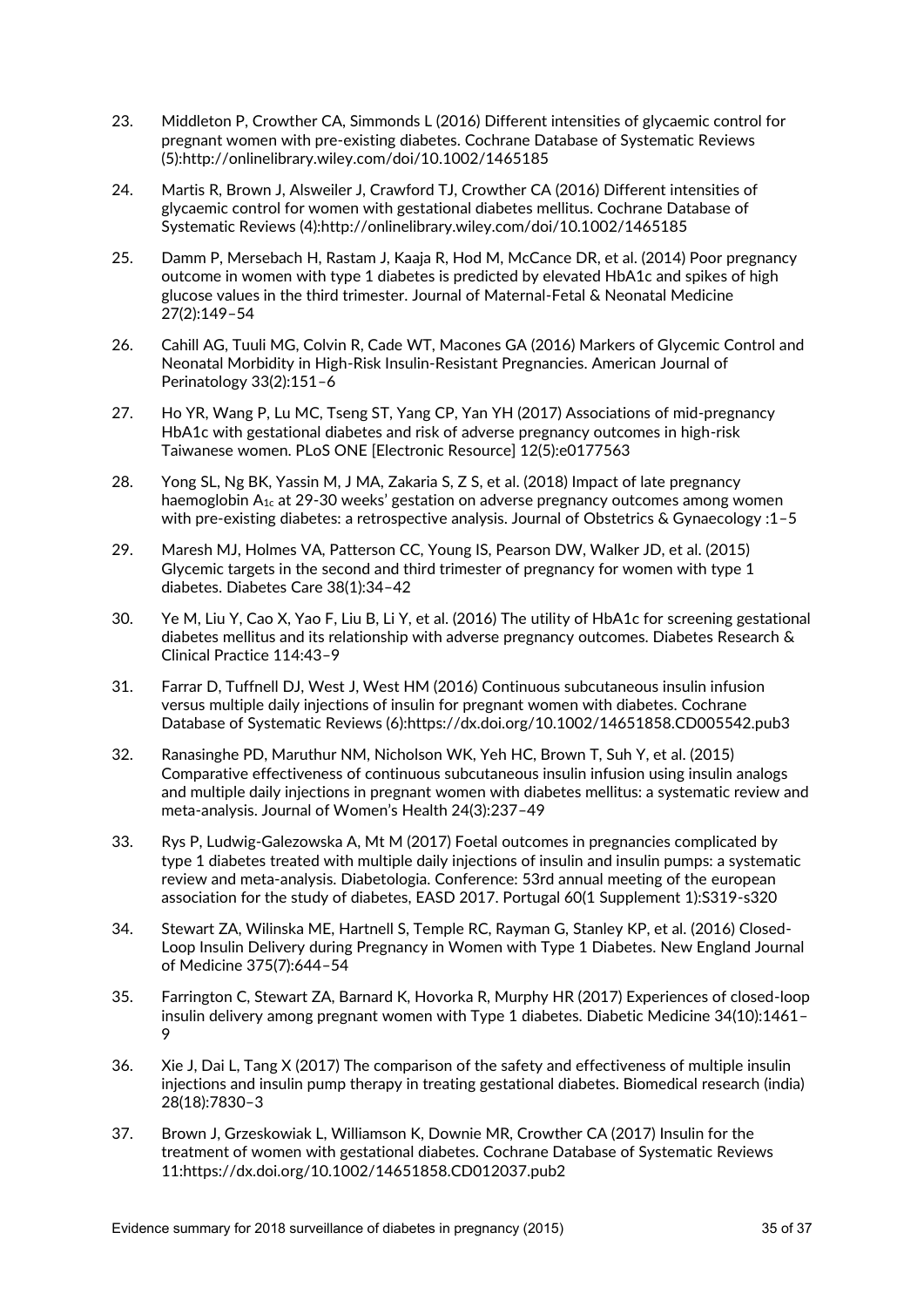- 23. Middleton P, Crowther CA, Simmonds L (2016) Different intensities of glycaemic control for pregnant women with pre-existing diabetes. Cochrane Database of Systematic Reviews (5):http://onlinelibrary.wiley.com/doi/10.1002/1465185
- 24. Martis R, Brown J, Alsweiler J, Crawford TJ, Crowther CA (2016) Different intensities of glycaemic control for women with gestational diabetes mellitus. Cochrane Database of Systematic Reviews (4):http://onlinelibrary.wiley.com/doi/10.1002/1465185
- 25. Damm P, Mersebach H, Rastam J, Kaaja R, Hod M, McCance DR, et al. (2014) Poor pregnancy outcome in women with type 1 diabetes is predicted by elevated HbA1c and spikes of high glucose values in the third trimester. Journal of Maternal-Fetal & Neonatal Medicine 27(2):149–54
- 26. Cahill AG, Tuuli MG, Colvin R, Cade WT, Macones GA (2016) Markers of Glycemic Control and Neonatal Morbidity in High-Risk Insulin-Resistant Pregnancies. American Journal of Perinatology 33(2):151–6
- 27. Ho YR, Wang P, Lu MC, Tseng ST, Yang CP, Yan YH (2017) Associations of mid-pregnancy HbA1c with gestational diabetes and risk of adverse pregnancy outcomes in high-risk Taiwanese women. PLoS ONE [Electronic Resource] 12(5):e0177563
- 28. Yong SL, Ng BK, Yassin M, J MA, Zakaria S, Z S, et al. (2018) Impact of late pregnancy haemoglobin  $A_{1c}$  at 29-30 weeks' gestation on adverse pregnancy outcomes among women with pre-existing diabetes: a retrospective analysis. Journal of Obstetrics & Gynaecology :1–5
- 29. Maresh MJ, Holmes VA, Patterson CC, Young IS, Pearson DW, Walker JD, et al. (2015) Glycemic targets in the second and third trimester of pregnancy for women with type 1 diabetes. Diabetes Care 38(1):34–42
- 30. Ye M, Liu Y, Cao X, Yao F, Liu B, Li Y, et al. (2016) The utility of HbA1c for screening gestational diabetes mellitus and its relationship with adverse pregnancy outcomes. Diabetes Research & Clinical Practice 114:43–9
- 31. Farrar D, Tuffnell DJ, West J, West HM (2016) Continuous subcutaneous insulin infusion versus multiple daily injections of insulin for pregnant women with diabetes. Cochrane Database of Systematic Reviews (6):https://dx.doi.org/10.1002/14651858.CD005542.pub3
- 32. Ranasinghe PD, Maruthur NM, Nicholson WK, Yeh HC, Brown T, Suh Y, et al. (2015) Comparative effectiveness of continuous subcutaneous insulin infusion using insulin analogs and multiple daily injections in pregnant women with diabetes mellitus: a systematic review and meta-analysis. Journal of Women's Health 24(3):237–49
- 33. Rys P, Ludwig-Galezowska A, Mt M (2017) Foetal outcomes in pregnancies complicated by type 1 diabetes treated with multiple daily injections of insulin and insulin pumps: a systematic review and meta-analysis. Diabetologia. Conference: 53rd annual meeting of the european association for the study of diabetes, EASD 2017. Portugal 60(1 Supplement 1):S319-s320
- 34. Stewart ZA, Wilinska ME, Hartnell S, Temple RC, Rayman G, Stanley KP, et al. (2016) Closed-Loop Insulin Delivery during Pregnancy in Women with Type 1 Diabetes. New England Journal of Medicine 375(7):644–54
- 35. Farrington C, Stewart ZA, Barnard K, Hovorka R, Murphy HR (2017) Experiences of closed-loop insulin delivery among pregnant women with Type 1 diabetes. Diabetic Medicine 34(10):1461– 9
- 36. Xie J, Dai L, Tang X (2017) The comparison of the safety and effectiveness of multiple insulin injections and insulin pump therapy in treating gestational diabetes. Biomedical research (india) 28(18):7830–3
- 37. Brown J, Grzeskowiak L, Williamson K, Downie MR, Crowther CA (2017) Insulin for the treatment of women with gestational diabetes. Cochrane Database of Systematic Reviews 11:https://dx.doi.org/10.1002/14651858.CD012037.pub2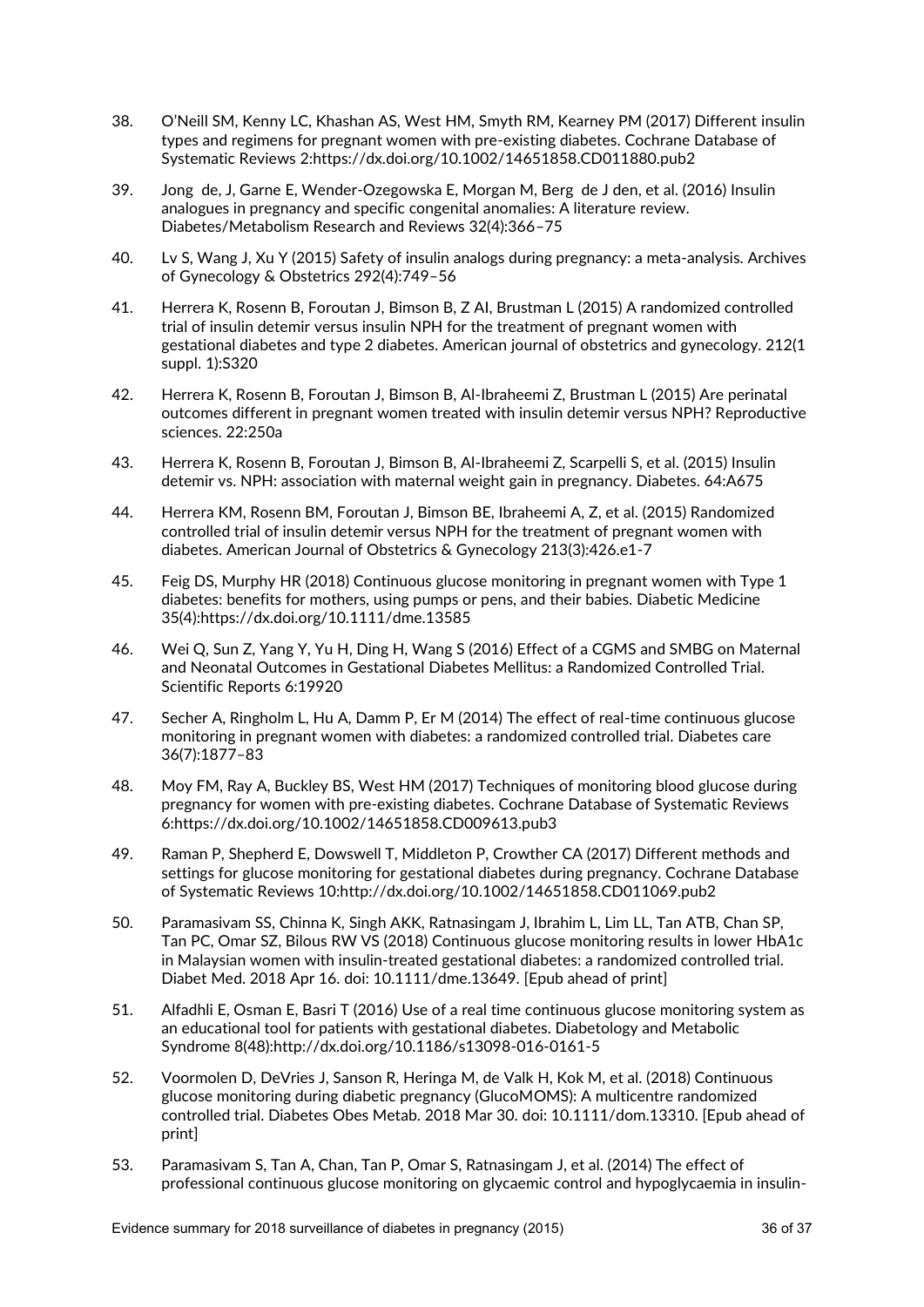- 38. O'Neill SM, Kenny LC, Khashan AS, West HM, Smyth RM, Kearney PM (2017) Different insulin types and regimens for pregnant women with pre-existing diabetes. Cochrane Database of Systematic Reviews 2:https://dx.doi.org/10.1002/14651858.CD011880.pub2
- 39. Jong de, J, Garne E, Wender-Ozegowska E, Morgan M, Berg de J den, et al. (2016) Insulin analogues in pregnancy and specific congenital anomalies: A literature review. Diabetes/Metabolism Research and Reviews 32(4):366–75
- 40. Lv S, Wang J, Xu Y (2015) Safety of insulin analogs during pregnancy: a meta-analysis. Archives of Gynecology & Obstetrics 292(4):749–56
- 41. Herrera K, Rosenn B, Foroutan J, Bimson B, Z AI, Brustman L (2015) A randomized controlled trial of insulin detemir versus insulin NPH for the treatment of pregnant women with gestational diabetes and type 2 diabetes. American journal of obstetrics and gynecology. 212(1 suppl. 1):S320
- 42. Herrera K, Rosenn B, Foroutan J, Bimson B, Al-Ibraheemi Z, Brustman L (2015) Are perinatal outcomes different in pregnant women treated with insulin detemir versus NPH? Reproductive sciences. 22:250a
- 43. Herrera K, Rosenn B, Foroutan J, Bimson B, Al-Ibraheemi Z, Scarpelli S, et al. (2015) Insulin detemir vs. NPH: association with maternal weight gain in pregnancy. Diabetes. 64:A675
- 44. Herrera KM, Rosenn BM, Foroutan J, Bimson BE, Ibraheemi A, Z, et al. (2015) Randomized controlled trial of insulin detemir versus NPH for the treatment of pregnant women with diabetes. American Journal of Obstetrics & Gynecology 213(3):426.e1-7
- 45. Feig DS, Murphy HR (2018) Continuous glucose monitoring in pregnant women with Type 1 diabetes: benefits for mothers, using pumps or pens, and their babies. Diabetic Medicine 35(4):https://dx.doi.org/10.1111/dme.13585
- 46. Wei Q, Sun Z, Yang Y, Yu H, Ding H, Wang S (2016) Effect of a CGMS and SMBG on Maternal and Neonatal Outcomes in Gestational Diabetes Mellitus: a Randomized Controlled Trial. Scientific Reports 6:19920
- 47. Secher A, Ringholm L, Hu A, Damm P, Er M (2014) The effect of real-time continuous glucose monitoring in pregnant women with diabetes: a randomized controlled trial. Diabetes care 36(7):1877–83
- 48. Moy FM, Ray A, Buckley BS, West HM (2017) Techniques of monitoring blood glucose during pregnancy for women with pre-existing diabetes. Cochrane Database of Systematic Reviews 6:https://dx.doi.org/10.1002/14651858.CD009613.pub3
- 49. Raman P, Shepherd E, Dowswell T, Middleton P, Crowther CA (2017) Different methods and settings for glucose monitoring for gestational diabetes during pregnancy. Cochrane Database of Systematic Reviews 10:http://dx.doi.org/10.1002/14651858.CD011069.pub2
- 50. Paramasivam SS, Chinna K, Singh AKK, Ratnasingam J, Ibrahim L, Lim LL, Tan ATB, Chan SP, Tan PC, Omar SZ, Bilous RW VS (2018) Continuous glucose monitoring results in lower HbA1c in Malaysian women with insulin-treated gestational diabetes: a randomized controlled trial. Diabet Med. 2018 Apr 16. doi: 10.1111/dme.13649. [Epub ahead of print]
- 51. Alfadhli E, Osman E, Basri T (2016) Use of a real time continuous glucose monitoring system as an educational tool for patients with gestational diabetes. Diabetology and Metabolic Syndrome 8(48):http://dx.doi.org/10.1186/s13098-016-0161-5
- 52. Voormolen D, DeVries J, Sanson R, Heringa M, de Valk H, Kok M, et al. (2018) Continuous glucose monitoring during diabetic pregnancy (GlucoMOMS): A multicentre randomized controlled trial. Diabetes Obes Metab. 2018 Mar 30. doi: 10.1111/dom.13310. [Epub ahead of print]
- 53. Paramasivam S, Tan A, Chan, Tan P, Omar S, Ratnasingam J, et al. (2014) The effect of professional continuous glucose monitoring on glycaemic control and hypoglycaemia in insulin-